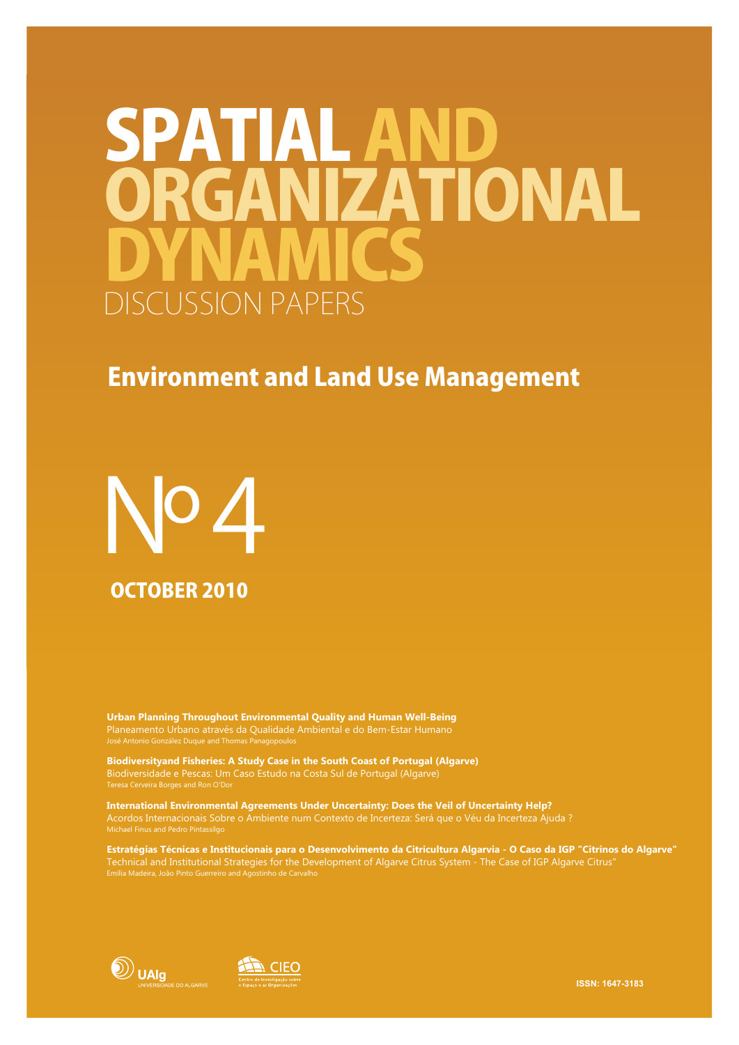# **SPATIAL AN DYNAMICS** NIZATIONAL ISCUSSION PAPERS

## Environment and Land Use Management



**Urban Planning Throughout Environmental Quality and Human Well-Being**

**Biodiversityand Fisheries: A Study Case in the South Coast of Portugal (Algarve)** Biodiversidade e Pescas: Um Caso Estudo na Costa Sul de Portugal (Algarve) Teresa Cerveira Borges and Ron O'Dor

**International Environmental Agreements Under Uncertainty: Does the Veil of Uncertainty Help?** Michael Finus and Pedro Pintassilgo

**Estratégias Técnicas e Institucionais para o Desenvolvimento da Citricultura Algarvia - O Caso da IGP "Citrinos do Algarve"**  Technical and Institutional Strategies for the Development of Algarve Citrus System - The Case of IGP Algarve Citrus" Emília Madeira, João Pinto Guerreiro and Agostinho de Carvalho



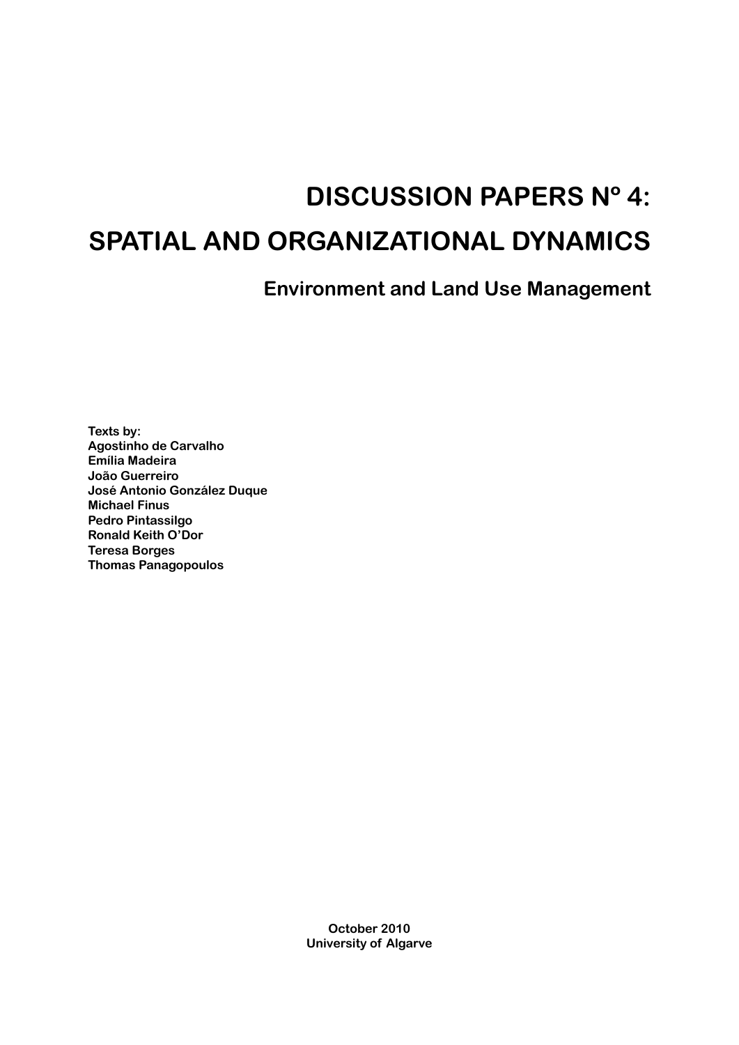## **DISCUSSION PAPERS Nº 4: SPATIAL AND ORGANIZATIONAL DYNAMICS**

## **Environment and Land Use Management**

**Texts by: Agostinho de Carvalho Emília Madeira João Guerreiro José Antonio González Duque Michael Finus Pedro Pintassilgo Ronald Keith O'Dor Teresa Borges Thomas Panagopoulos**

> **October 2010 University of Algarve**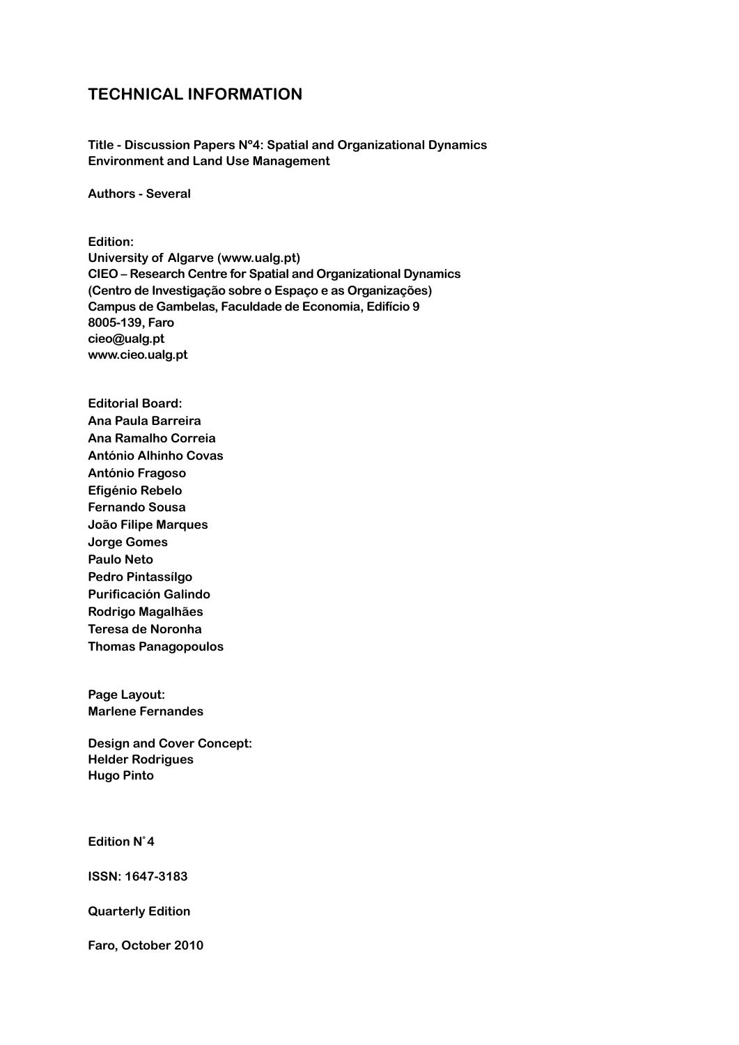#### **Technical Information**

**Title - Discussion Papers Nº4: Spatial and Organizational Dynamics Environment and Land Use Management**

**Authors - Several**

**Edition:**

**University of Algarve (www.ualg.pt) CIEO – Research Centre for Spatial and Organizational Dynamics (Centro de Investigação sobre o Espaço e as Organizações) Campus de Gambelas, Faculdade de Economia, Edifício 9 8005-139, Faro cieo@ualg.pt www.cieo.ualg.pt**

**Editorial Board: Ana Paula Barreira Ana Ramalho Correia António Alhinho Covas António Fragoso Efigénio Rebelo Fernando Sousa João Filipe Marques Jorge Gomes Paulo Neto Pedro Pintassílgo Purificación Galindo Rodrigo Magalhães Teresa de Noronha Thomas Panagopoulos**

**Page Layout: Marlene Fernandes**

**Design and Cover Concept: Helder Rodrigues Hugo Pinto**

**Edition Nº 4**

**ISSN: 1647-3183**

**Quarterly Edition**

**Faro, October 2010**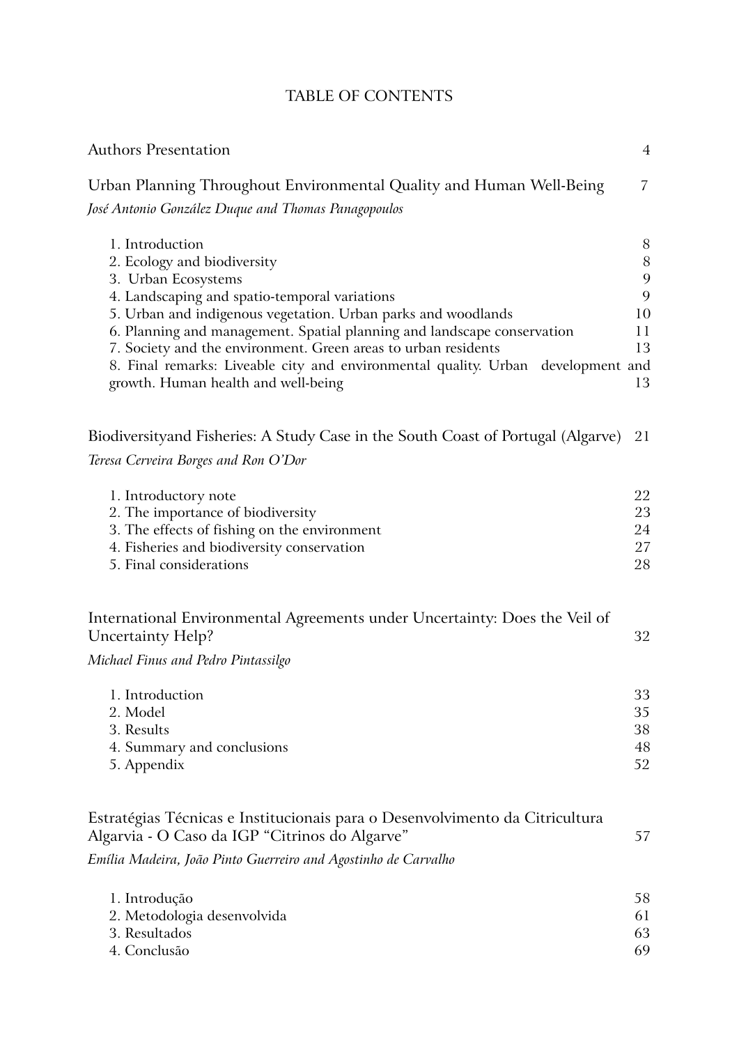| <b>Authors Presentation</b>                                                                                                                                                                                                                                                                                                                                                                                              | $\overline{4}$                         |
|--------------------------------------------------------------------------------------------------------------------------------------------------------------------------------------------------------------------------------------------------------------------------------------------------------------------------------------------------------------------------------------------------------------------------|----------------------------------------|
| Urban Planning Throughout Environmental Quality and Human Well-Being<br>José Antonio González Duque and Thomas Panagopoulos                                                                                                                                                                                                                                                                                              | 7                                      |
| 1. Introduction<br>2. Ecology and biodiversity<br>3. Urban Ecosystems<br>4. Landscaping and spatio-temporal variations<br>5. Urban and indigenous vegetation. Urban parks and woodlands<br>6. Planning and management. Spatial planning and landscape conservation<br>7. Society and the environment. Green areas to urban residents<br>8. Final remarks: Liveable city and environmental quality. Urban development and | 8<br>$8\,$<br>9<br>9<br>10<br>11<br>13 |
| growth. Human health and well-being                                                                                                                                                                                                                                                                                                                                                                                      | 13                                     |
| Biodiversityand Fisheries: A Study Case in the South Coast of Portugal (Algarve)                                                                                                                                                                                                                                                                                                                                         | 21                                     |
| Teresa Cerveira Borges and Ron O'Dor                                                                                                                                                                                                                                                                                                                                                                                     |                                        |
| 1. Introductory note                                                                                                                                                                                                                                                                                                                                                                                                     | 22                                     |
| 2. The importance of biodiversity                                                                                                                                                                                                                                                                                                                                                                                        | 23                                     |
| 3. The effects of fishing on the environment                                                                                                                                                                                                                                                                                                                                                                             | 24                                     |
| 4. Fisheries and biodiversity conservation<br>5. Final considerations                                                                                                                                                                                                                                                                                                                                                    | 27<br>28                               |
| International Environmental Agreements under Uncertainty: Does the Veil of<br>Uncertainty Help?                                                                                                                                                                                                                                                                                                                          | 32                                     |
| Michael Finus and Pedro Pintassilgo                                                                                                                                                                                                                                                                                                                                                                                      |                                        |
| 1. Introduction<br>2. Model<br>3. Results<br>4. Summary and conclusions<br>5. Appendix                                                                                                                                                                                                                                                                                                                                   | 33<br>35<br>38<br>48<br>52             |
| Estratégias Técnicas e Institucionais para o Desenvolvimento da Citricultura<br>Algarvia - O Caso da IGP "Citrinos do Algarve"                                                                                                                                                                                                                                                                                           | 57                                     |
| Emília Madeira, João Pinto Guerreiro and Agostinho de Carvalho                                                                                                                                                                                                                                                                                                                                                           |                                        |
| 1. Introdução<br>2. Metodologia desenvolvida<br>3. Resultados<br>4. Conclusão                                                                                                                                                                                                                                                                                                                                            | 58<br>61<br>63<br>69                   |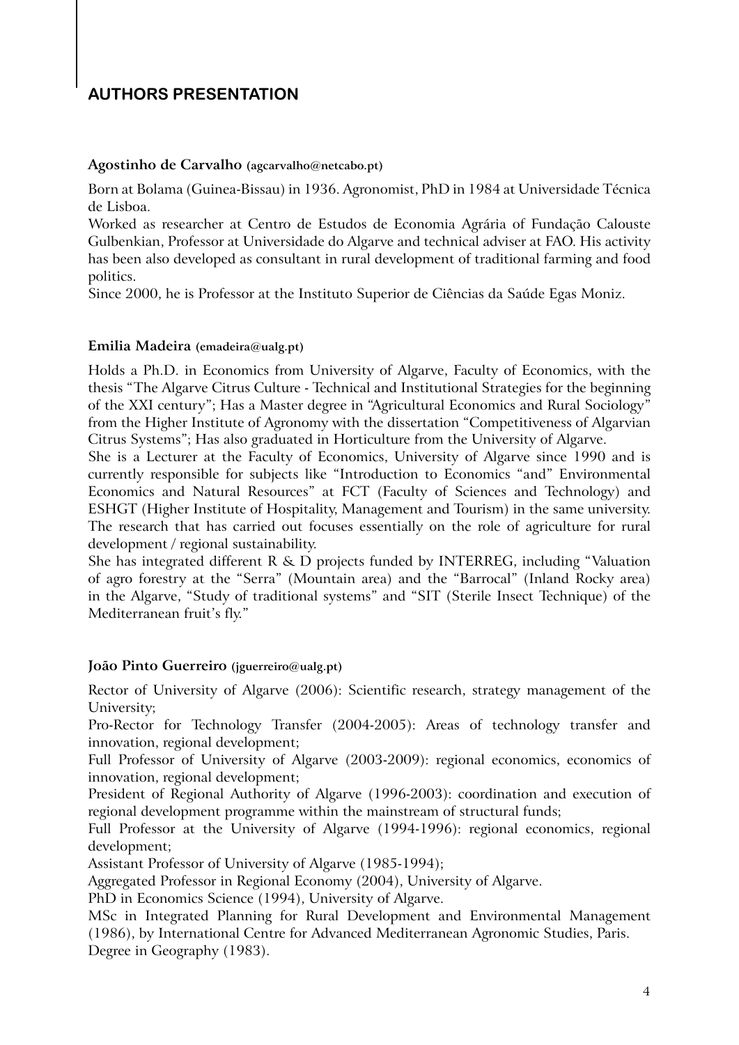## **AUTHORS PRESENTATION**

#### **Agostinho de Carvalho (agcarvalho@netcabo.pt)**

Born at Bolama (Guinea-Bissau) in 1936. Agronomist, PhD in 1984 at Universidade Técnica de Lisboa.

Worked as researcher at Centro de Estudos de Economia Agrária of Fundação Calouste Gulbenkian, Professor at Universidade do Algarve and technical adviser at FAO. His activity has been also developed as consultant in rural development of traditional farming and food politics.

Since 2000, he is Professor at the Instituto Superior de Ciências da Saúde Egas Moniz.

#### **Emilia Madeira (emadeira@ualg.pt)**

Holds a Ph.D. in Economics from University of Algarve, Faculty of Economics, with the thesis "The Algarve Citrus Culture - Technical and Institutional Strategies for the beginning of the XXI century"; Has a Master degree in "Agricultural Economics and Rural Sociology" from the Higher Institute of Agronomy with the dissertation "Competitiveness of Algarvian Citrus Systems"; Has also graduated in Horticulture from the University of Algarve.

She is a Lecturer at the Faculty of Economics, University of Algarve since 1990 and is currently responsible for subjects like "Introduction to Economics "and" Environmental Economics and Natural Resources" at FCT (Faculty of Sciences and Technology) and ESHGT (Higher Institute of Hospitality, Management and Tourism) in the same university. The research that has carried out focuses essentially on the role of agriculture for rural development / regional sustainability.

She has integrated different R & D projects funded by INTERREG, including "Valuation of agro forestry at the "Serra" (Mountain area) and the "Barrocal" (Inland Rocky area) in the Algarve, "Study of traditional systems" and "SIT (Sterile Insect Technique) of the Mediterranean fruit's fly."

#### **João Pinto Guerreiro (jguerreiro@ualg.pt)**

Rector of University of Algarve (2006): Scientific research, strategy management of the University;

Pro-Rector for Technology Transfer (2004-2005): Areas of technology transfer and innovation, regional development;

Full Professor of University of Algarve (2003-2009): regional economics, economics of innovation, regional development;

President of Regional Authority of Algarve (1996-2003): coordination and execution of regional development programme within the mainstream of structural funds;

Full Professor at the University of Algarve (1994-1996): regional economics, regional development;

Assistant Professor of University of Algarve (1985-1994);

Aggregated Professor in Regional Economy (2004), University of Algarve.

PhD in Economics Science (1994), University of Algarve.

MSc in Integrated Planning for Rural Development and Environmental Management (1986), by International Centre for Advanced Mediterranean Agronomic Studies, Paris. Degree in Geography (1983).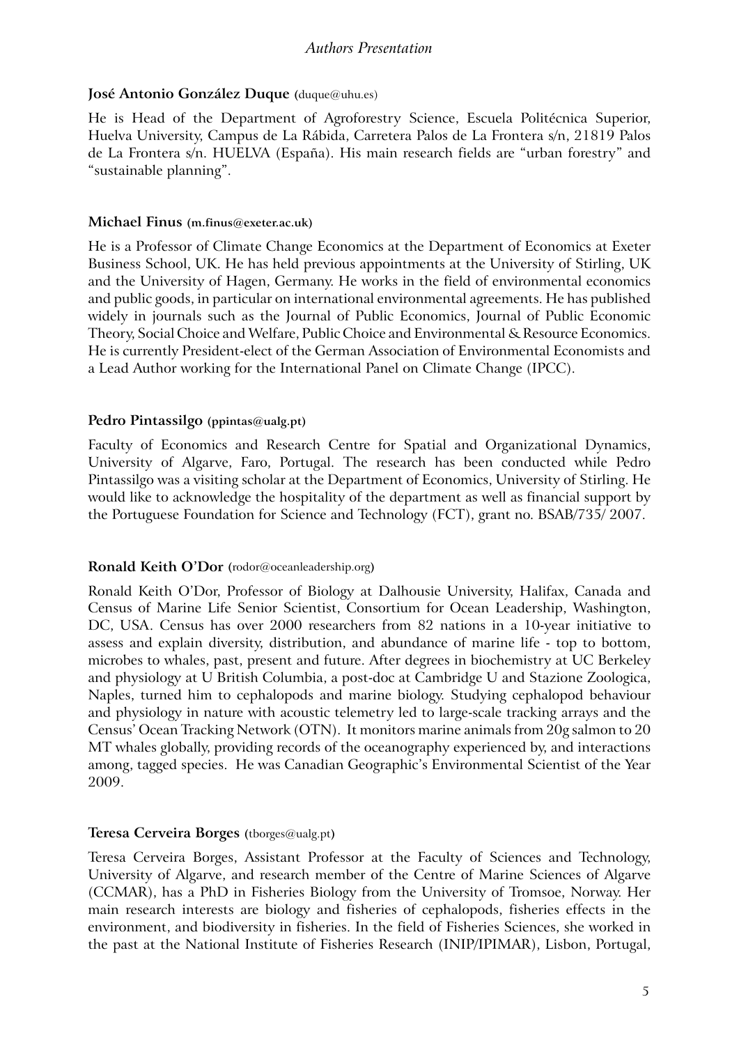#### **José Antonio González Duque (**duque@uhu.es)

He is Head of the Department of Agroforestry Science, Escuela Politécnica Superior, Huelva University, Campus de La Rábida, Carretera Palos de La Frontera s/n, 21819 Palos de La Frontera s/n. HUELVA (España). His main research fields are "urban forestry" and "sustainable planning".

#### **Michael Finus (m.finus@exeter.ac.uk)**

He is a Professor of Climate Change Economics at the Department of Economics at Exeter Business School, UK. He has held previous appointments at the University of Stirling, UK and the University of Hagen, Germany. He works in the field of environmental economics and public goods, in particular on international environmental agreements. He has published widely in journals such as the Journal of Public Economics, Journal of Public Economic Theory, Social Choice and Welfare, Public Choice and Environmental & Resource Economics. He is currently President-elect of the German Association of Environmental Economists and a Lead Author working for the International Panel on Climate Change (IPCC).

#### **Pedro Pintassilgo (ppintas@ualg.pt)**

Faculty of Economics and Research Centre for Spatial and Organizational Dynamics, University of Algarve, Faro, Portugal. The research has been conducted while Pedro Pintassilgo was a visiting scholar at the Department of Economics, University of Stirling. He would like to acknowledge the hospitality of the department as well as financial support by the Portuguese Foundation for Science and Technology (FCT), grant no. BSAB/735/ 2007.

#### **Ronald Keith O'Dor (**rodor@oceanleadership.org**)**

Ronald Keith O'Dor, Professor of Biology at Dalhousie University, Halifax, Canada and Census of Marine Life Senior Scientist, Consortium for Ocean Leadership, Washington, DC, USA. Census has over 2000 researchers from 82 nations in a 10-year initiative to assess and explain diversity, distribution, and abundance of marine life - top to bottom, microbes to whales, past, present and future. After degrees in biochemistry at UC Berkeley and physiology at U British Columbia, a post-doc at Cambridge U and Stazione Zoologica, Naples, turned him to cephalopods and marine biology. Studying cephalopod behaviour and physiology in nature with acoustic telemetry led to large-scale tracking arrays and the Census' Ocean Tracking Network (OTN). It monitors marine animals from 20g salmon to 20 MT whales globally, providing records of the oceanography experienced by, and interactions among, tagged species. He was Canadian Geographic's Environmental Scientist of the Year 2009.

#### **Teresa Cerveira Borges (**tborges@ualg.pt**)**

Teresa Cerveira Borges, Assistant Professor at the Faculty of Sciences and Technology, University of Algarve, and research member of the Centre of Marine Sciences of Algarve (CCMAR), has a PhD in Fisheries Biology from the University of Tromsoe, Norway. Her main research interests are biology and fisheries of cephalopods, fisheries effects in the environment, and biodiversity in fisheries. In the field of Fisheries Sciences, she worked in the past at the National Institute of Fisheries Research (INIP/IPIMAR), Lisbon, Portugal,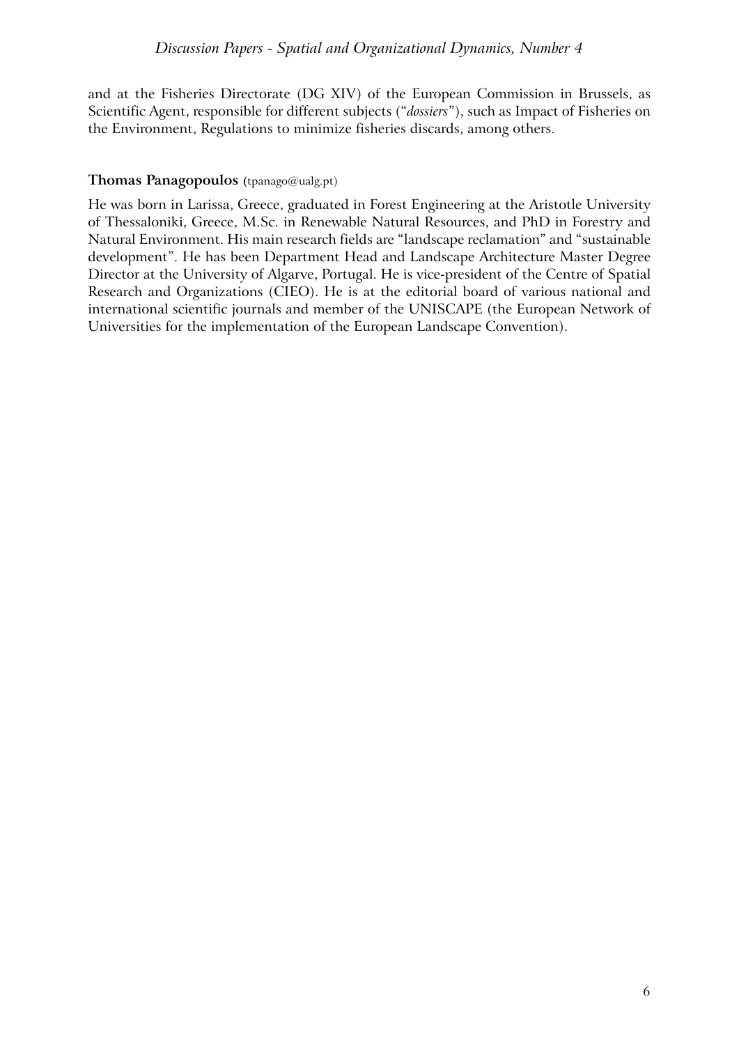and at the Fisheries Directorate (DG XIV) of the European Commission in Brussels, as Scientific Agent, responsible for different subjects ("*dossiers*"), such as Impact of Fisheries on the Environment, Regulations to minimize fisheries discards, among others.

#### **Thomas Panagopoulos (**tpanago@ualg.pt)

He was born in Larissa, Greece, graduated in Forest Engineering at the Aristotle University of Thessaloniki, Greece, M.Sc. in Renewable Natural Resources, and PhD in Forestry and Natural Environment. His main research fields are "landscape reclamation" and "sustainable development". He has been Department Head and Landscape Architecture Master Degree Director at the University of Algarve, Portugal. He is vice-president of the Centre of Spatial Research and Organizations (CIEO). He is at the editorial board of various national and international scientific journals and member of the UNISCAPE (the European Network of Universities for the implementation of the European Landscape Convention).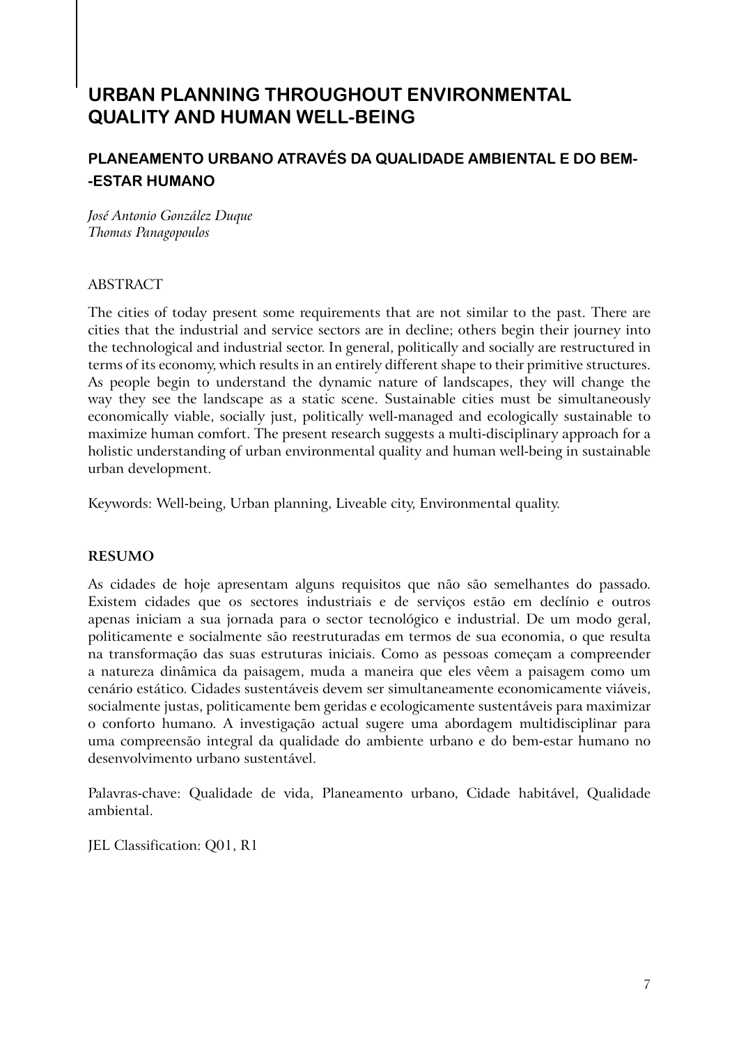## **Urban planning throughout environmental quality and human well-being**

## **Planeamento Urbano através da qualidade ambiental e do bem- -estar humano**

*José Antonio González Duque Thomas Panagopoulos*

#### ABSTRACT

The cities of today present some requirements that are not similar to the past. There are cities that the industrial and service sectors are in decline; others begin their journey into the technological and industrial sector. In general, politically and socially are restructured in terms of its economy, which results in an entirely different shape to their primitive structures. As people begin to understand the dynamic nature of landscapes, they will change the way they see the landscape as a static scene. Sustainable cities must be simultaneously economically viable, socially just, politically well-managed and ecologically sustainable to maximize human comfort. The present research suggests a multi-disciplinary approach for a holistic understanding of urban environmental quality and human well-being in sustainable urban development.

Keywords: Well-being, Urban planning, Liveable city, Environmental quality.

#### **RESUMO**

As cidades de hoje apresentam alguns requisitos que não são semelhantes do passado. Existem cidades que os sectores industriais e de serviços estão em declínio e outros apenas iniciam a sua jornada para o sector tecnológico e industrial. De um modo geral, politicamente e socialmente são reestruturadas em termos de sua economia, o que resulta na transformação das suas estruturas iniciais. Como as pessoas começam a compreender a natureza dinâmica da paisagem, muda a maneira que eles vêem a paisagem como um cenário estático. Cidades sustentáveis devem ser simultaneamente economicamente viáveis, socialmente justas, politicamente bem geridas e ecologicamente sustentáveis para maximizar o conforto humano. A investigação actual sugere uma abordagem multidisciplinar para uma compreensão integral da qualidade do ambiente urbano e do bem-estar humano no desenvolvimento urbano sustentável.

Palavras-chave: Qualidade de vida, Planeamento urbano, Cidade habitável, Qualidade ambiental.

JEL Classification: Q01, R1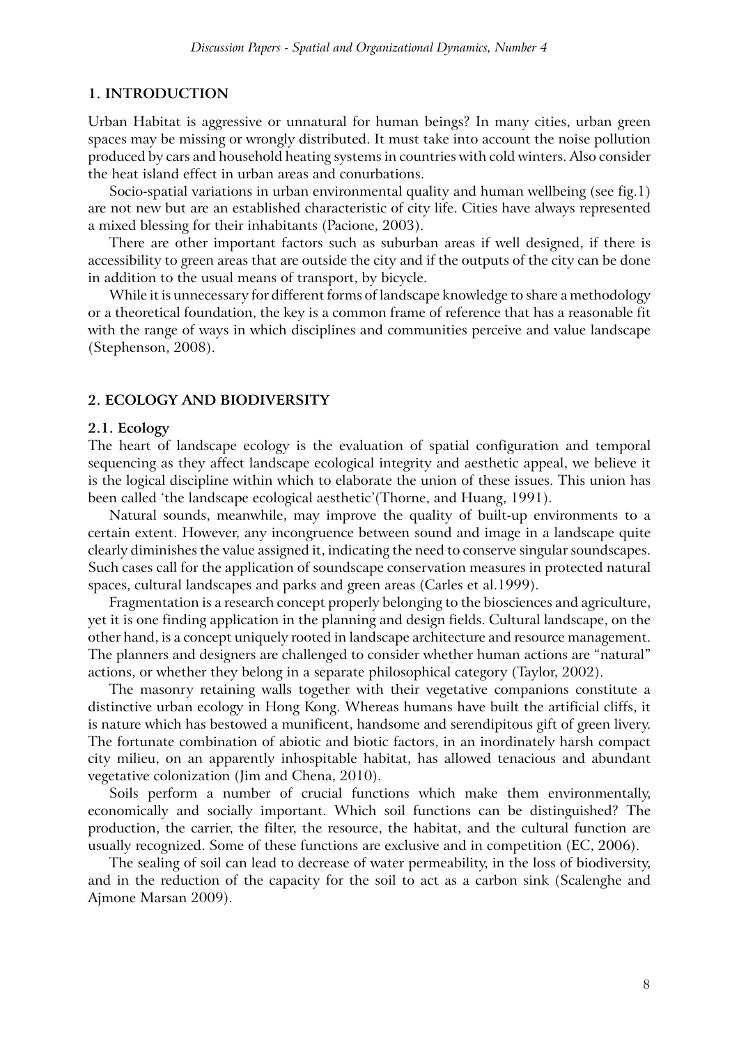#### **1. Introduction**

Urban Habitat is aggressive or unnatural for human beings? In many cities, urban green spaces may be missing or wrongly distributed. It must take into account the noise pollution produced by cars and household heating systems in countries with cold winters. Also consider the heat island effect in urban areas and conurbations.

Socio-spatial variations in urban environmental quality and human wellbeing (see fig.1) are not new but are an established characteristic of city life. Cities have always represented a mixed blessing for their inhabitants (Pacione, 2003).

There are other important factors such as suburban areas if well designed, if there is accessibility to green areas that are outside the city and if the outputs of the city can be done in addition to the usual means of transport, by bicycle.

While it is unnecessary for different forms of landscape knowledge to share a methodology or a theoretical foundation, the key is a common frame of reference that has a reasonable fit with the range of ways in which disciplines and communities perceive and value landscape (Stephenson, 2008).

#### **2. Ecology and biodiversity**

#### **2.1. Ecology**

The heart of landscape ecology is the evaluation of spatial configuration and temporal sequencing as they affect landscape ecological integrity and aesthetic appeal, we believe it is the logical discipline within which to elaborate the union of these issues. This union has been called 'the landscape ecological aesthetic'(Thorne, and Huang, 1991).

Natural sounds, meanwhile, may improve the quality of built-up environments to a certain extent. However, any incongruence between sound and image in a landscape quite clearly diminishes the value assigned it, indicating the need to conserve singular soundscapes. Such cases call for the application of soundscape conservation measures in protected natural spaces, cultural landscapes and parks and green areas (Carles et al.1999).

Fragmentation is a research concept properly belonging to the biosciences and agriculture, yet it is one finding application in the planning and design fields. Cultural landscape, on the other hand, is a concept uniquely rooted in landscape architecture and resource management. The planners and designers are challenged to consider whether human actions are "natural" actions, or whether they belong in a separate philosophical category (Taylor, 2002).

The masonry retaining walls together with their vegetative companions constitute a distinctive urban ecology in Hong Kong. Whereas humans have built the artificial cliffs, it is nature which has bestowed a munificent, handsome and serendipitous gift of green livery. The fortunate combination of abiotic and biotic factors, in an inordinately harsh compact city milieu, on an apparently inhospitable habitat, has allowed tenacious and abundant vegetative colonization (Jim and Chena, 2010).

Soils perform a number of crucial functions which make them environmentally, economically and socially important. Which soil functions can be distinguished? The production, the carrier, the filter, the resource, the habitat, and the cultural function are usually recognized. Some of these functions are exclusive and in competition (EC, 2006).

The sealing of soil can lead to decrease of water permeability, in the loss of biodiversity, and in the reduction of the capacity for the soil to act as a carbon sink (Scalenghe and Ajmone Marsan 2009).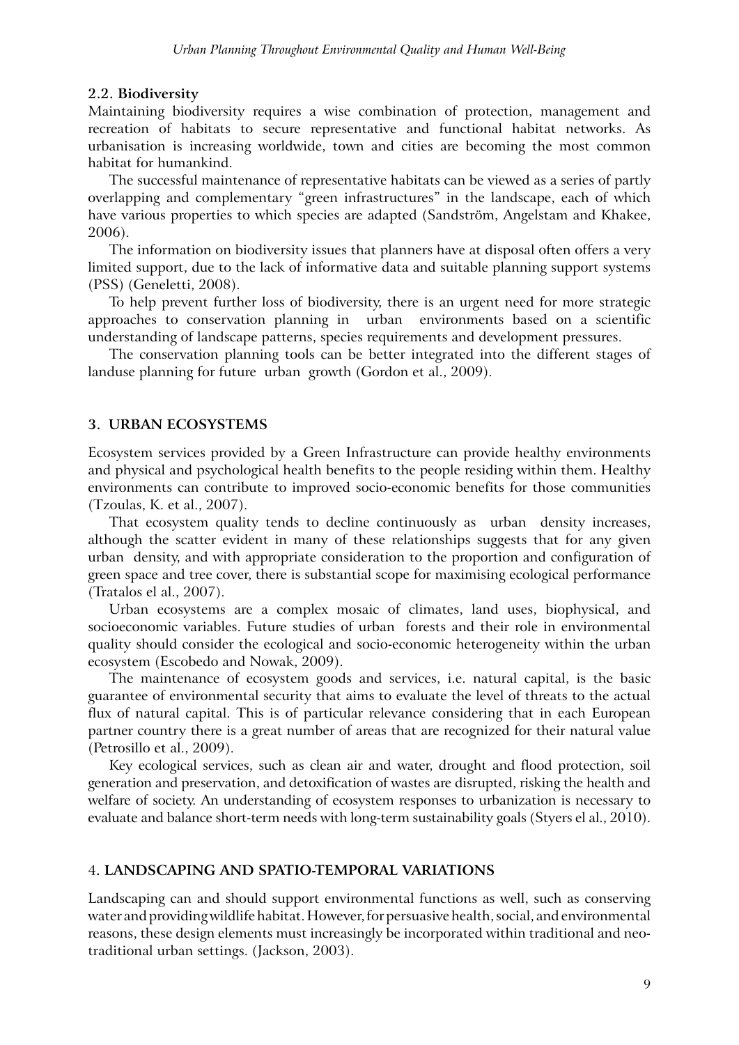#### **2.2. Biodiversity**

Maintaining biodiversity requires a wise combination of protection, management and recreation of habitats to secure representative and functional habitat networks. As urbanisation is increasing worldwide, town and cities are becoming the most common habitat for humankind.

The successful maintenance of representative habitats can be viewed as a series of partly overlapping and complementary "green infrastructures" in the landscape, each of which have various properties to which species are adapted (Sandström, Angelstam and Khakee, 2006).

The information on biodiversity issues that planners have at disposal often offers a very limited support, due to the lack of informative data and suitable planning support systems (PSS) (Geneletti, 2008).

To help prevent further loss of biodiversity, there is an urgent need for more strategic approaches to conservation planning in urban environments based on a scientific understanding of landscape patterns, species requirements and development pressures.

The conservation planning tools can be better integrated into the different stages of landuse planning for future urban growth (Gordon et al., 2009).

#### **3. Urban Ecosystems**

Ecosystem services provided by a Green Infrastructure can provide healthy environments and physical and psychological health benefits to the people residing within them. Healthy environments can contribute to improved socio-economic benefits for those communities (Tzoulas, K. et al., 2007).

That ecosystem quality tends to decline continuously as urban density increases, although the scatter evident in many of these relationships suggests that for any given urban density, and with appropriate consideration to the proportion and configuration of green space and tree cover, there is substantial scope for maximising ecological performance (Tratalos el al., 2007).

Urban ecosystems are a complex mosaic of climates, land uses, biophysical, and socioeconomic variables. Future studies of urban forests and their role in environmental quality should consider the ecological and socio-economic heterogeneity within the urban ecosystem (Escobedo and Nowak, 2009).

The maintenance of ecosystem goods and services, i.e. natural capital, is the basic guarantee of environmental security that aims to evaluate the level of threats to the actual flux of natural capital. This is of particular relevance considering that in each European partner country there is a great number of areas that are recognized for their natural value (Petrosillo et al., 2009).

Key ecological services, such as clean air and water, drought and flood protection, soil generation and preservation, and detoxification of wastes are disrupted, risking the health and welfare of society. An understanding of ecosystem responses to urbanization is necessary to evaluate and balance short-term needs with long-term sustainability goals (Styers el al., 2010).

#### 4**. Landscaping and spatio-temporal variations**

Landscaping can and should support environmental functions as well, such as conserving water and providing wildlife habitat. However, for persuasive health, social, and environmental reasons, these design elements must increasingly be incorporated within traditional and neotraditional urban settings. (Jackson, 2003).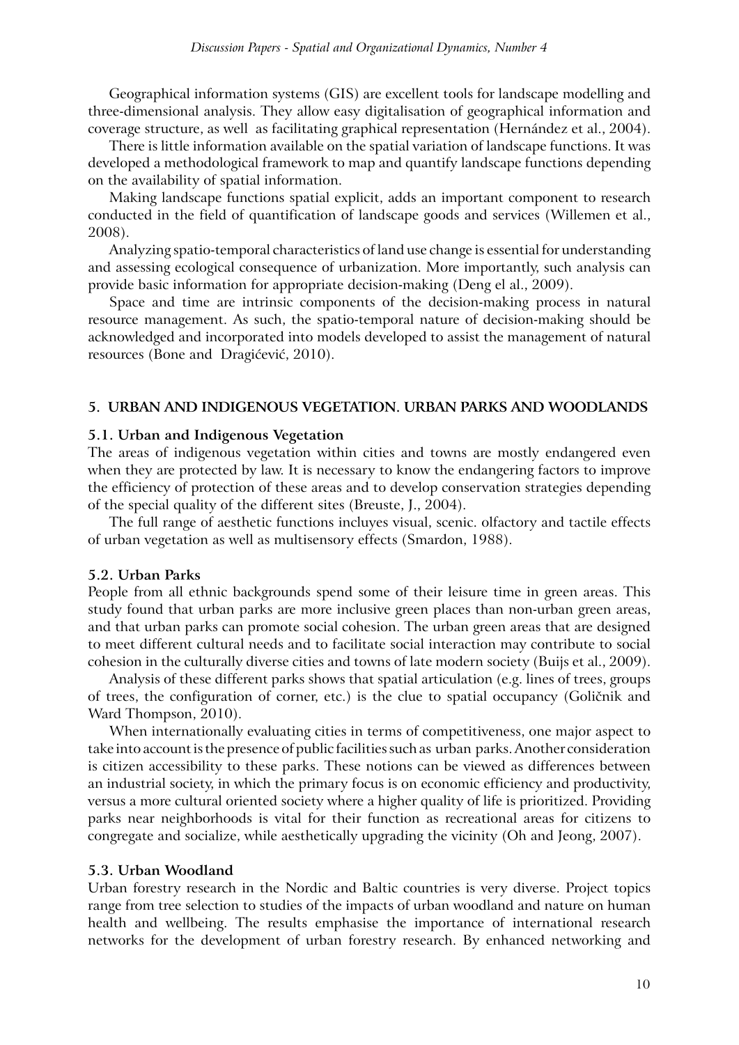Geographical information systems (GIS) are excellent tools for landscape modelling and three-dimensional analysis. They allow easy digitalisation of geographical information and coverage structure, as well as facilitating graphical representation (Hernández et al., 2004).

There is little information available on the spatial variation of landscape functions. It was developed a methodological framework to map and quantify landscape functions depending on the availability of spatial information.

Making landscape functions spatial explicit, adds an important component to research conducted in the field of quantification of landscape goods and services (Willemen et al., 2008).

Analyzing spatio-temporal characteristics of land use change is essential for understanding and assessing ecological consequence of urbanization. More importantly, such analysis can provide basic information for appropriate decision-making (Deng el al., 2009).

Space and time are intrinsic components of the decision-making process in natural resource management. As such, the spatio-temporal nature of decision-making should be acknowledged and incorporated into models developed to assist the management of natural resources (Bone and Dragićević, 2010).

#### **5. Urban and indigenous vegetation. Urban parks and woodlands**

#### **5.1. Urban and Indigenous Vegetation**

The areas of indigenous vegetation within cities and towns are mostly endangered even when they are protected by law. It is necessary to know the endangering factors to improve the efficiency of protection of these areas and to develop conservation strategies depending of the special quality of the different sites (Breuste, J., 2004).

The full range of aesthetic functions incluyes visual, scenic. olfactory and tactile effects of urban vegetation as well as multisensory effects (Smardon, 1988).

#### **5.2. Urban Parks**

People from all ethnic backgrounds spend some of their leisure time in green areas. This study found that urban parks are more inclusive green places than non-urban green areas, and that urban parks can promote social cohesion. The urban green areas that are designed to meet different cultural needs and to facilitate social interaction may contribute to social cohesion in the culturally diverse cities and towns of late modern society (Buijs et al., 2009).

Analysis of these different parks shows that spatial articulation (e.g. lines of trees, groups of trees, the configuration of corner, etc.) is the clue to spatial occupancy (Goličnik and Ward Thompson, 2010).

When internationally evaluating cities in terms of competitiveness, one major aspect to take into account is the presence of public facilities such as urban parks. Another consideration is citizen accessibility to these parks. These notions can be viewed as differences between an industrial society, in which the primary focus is on economic efficiency and productivity, versus a more cultural oriented society where a higher quality of life is prioritized. Providing parks near neighborhoods is vital for their function as recreational areas for citizens to congregate and socialize, while aesthetically upgrading the vicinity (Oh and Jeong, 2007).

#### **5.3. Urban Woodland**

Urban forestry research in the Nordic and Baltic countries is very diverse. Project topics range from tree selection to studies of the impacts of urban woodland and nature on human health and wellbeing. The results emphasise the importance of international research networks for the development of urban forestry research. By enhanced networking and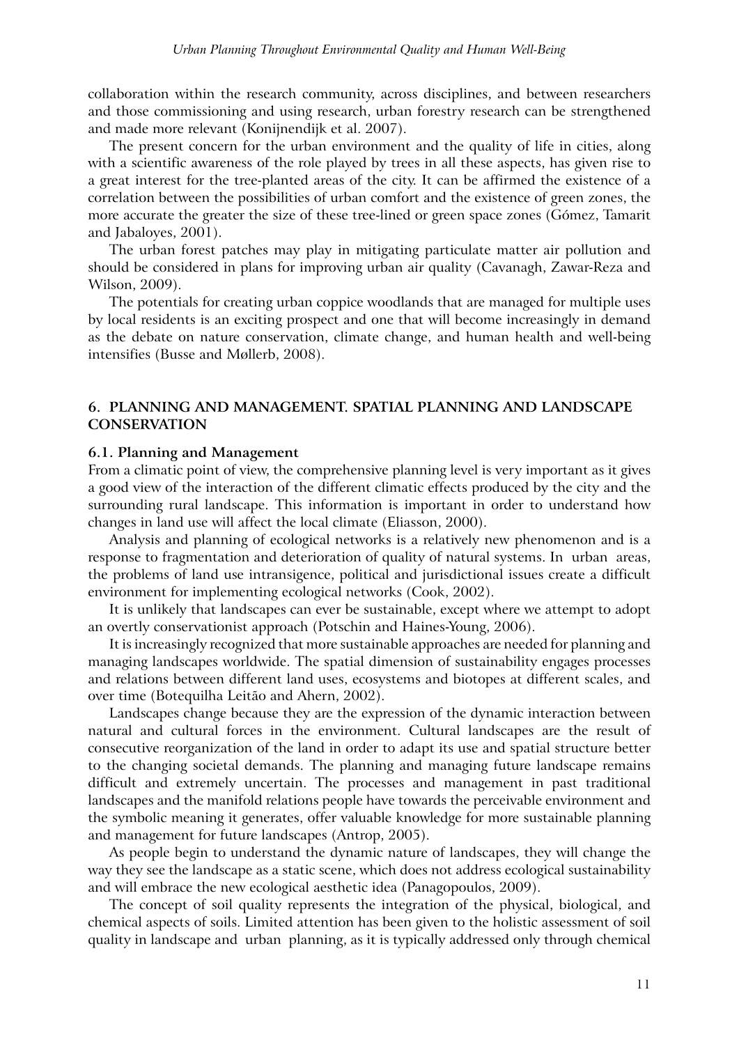collaboration within the research community, across disciplines, and between researchers and those commissioning and using research, urban forestry research can be strengthened and made more relevant (Konijnendijk et al. 2007).

The present concern for the urban environment and the quality of life in cities, along with a scientific awareness of the role played by trees in all these aspects, has given rise to a great interest for the tree-planted areas of the city. It can be affirmed the existence of a correlation between the possibilities of urban comfort and the existence of green zones, the more accurate the greater the size of these tree-lined or green space zones (Gómez, Tamarit and Jabaloyes, 2001).

The urban forest patches may play in mitigating particulate matter air pollution and should be considered in plans for improving urban air quality (Cavanagh, Zawar-Reza and Wilson, 2009).

The potentials for creating urban coppice woodlands that are managed for multiple uses by local residents is an exciting prospect and one that will become increasingly in demand as the debate on nature conservation, climate change, and human health and well-being intensifies (Busse and Møllerb, 2008).

#### **6. Planning and management. Spatial planning and landscape conservation**

#### **6.1. Planning and Management**

From a climatic point of view, the comprehensive planning level is very important as it gives a good view of the interaction of the different climatic effects produced by the city and the surrounding rural landscape. This information is important in order to understand how changes in land use will affect the local climate (Eliasson, 2000).

Analysis and planning of ecological networks is a relatively new phenomenon and is a response to fragmentation and deterioration of quality of natural systems. In urban areas, the problems of land use intransigence, political and jurisdictional issues create a difficult environment for implementing ecological networks (Cook, 2002).

It is unlikely that landscapes can ever be sustainable, except where we attempt to adopt an overtly conservationist approach (Potschin and Haines-Young, 2006).

It is increasingly recognized that more sustainable approaches are needed for planning and managing landscapes worldwide. The spatial dimension of sustainability engages processes and relations between different land uses, ecosystems and biotopes at different scales, and over time (Botequilha Leitão and Ahern, 2002).

Landscapes change because they are the expression of the dynamic interaction between natural and cultural forces in the environment. Cultural landscapes are the result of consecutive reorganization of the land in order to adapt its use and spatial structure better to the changing societal demands. The planning and managing future landscape remains difficult and extremely uncertain. The processes and management in past traditional landscapes and the manifold relations people have towards the perceivable environment and the symbolic meaning it generates, offer valuable knowledge for more sustainable planning and management for future landscapes (Antrop, 2005).

As people begin to understand the dynamic nature of landscapes, they will change the way they see the landscape as a static scene, which does not address ecological sustainability and will embrace the new ecological aesthetic idea (Panagopoulos, 2009).

The concept of soil quality represents the integration of the physical, biological, and chemical aspects of soils. Limited attention has been given to the holistic assessment of soil quality in landscape and urban planning, as it is typically addressed only through chemical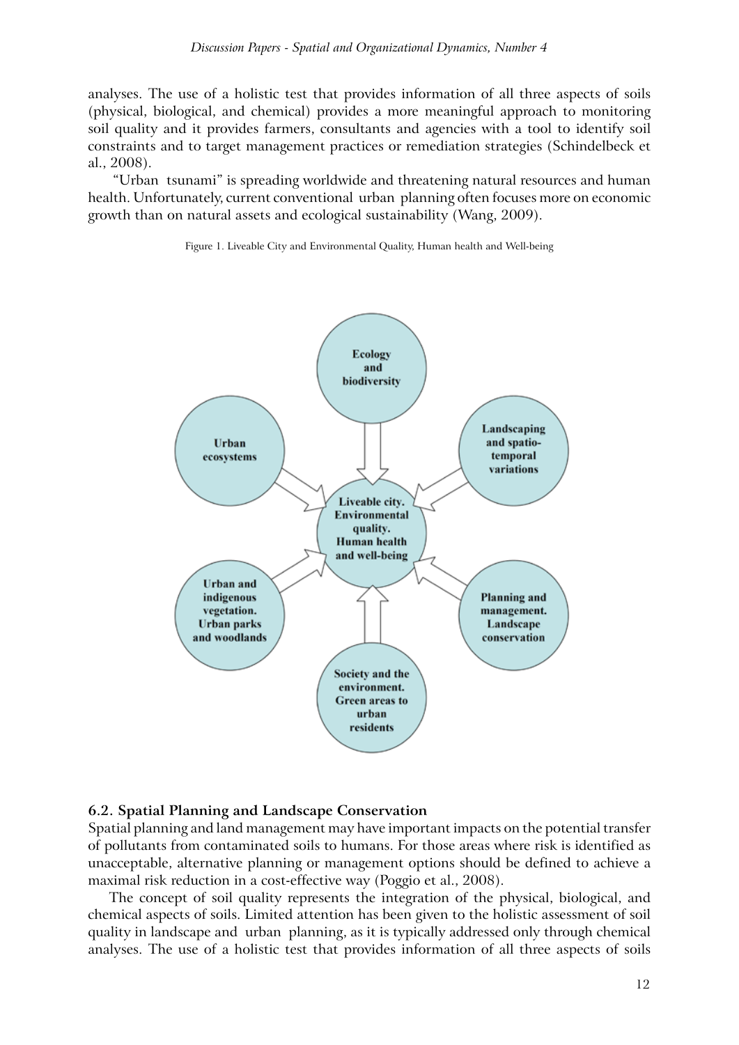analyses. The use of a holistic test that provides information of all three aspects of soils (physical, biological, and chemical) provides a more meaningful approach to monitoring soil quality and it provides farmers, consultants and agencies with a tool to identify soil constraints and to target management practices or remediation strategies (Schindelbeck et al., 2008).

 "Urban tsunami" is spreading worldwide and threatening natural resources and human health. Unfortunately, current conventional urban planning often focuses more on economic growth than on natural assets and ecological sustainability (Wang, 2009).





#### **6.2. Spatial Planning and Landscape Conservation**

Spatial planning and land management may have important impacts on the potential transfer of pollutants from contaminated soils to humans. For those areas where risk is identified as unacceptable, alternative planning or management options should be defined to achieve a maximal risk reduction in a cost-effective way (Poggio et al., 2008).

The concept of soil quality represents the integration of the physical, biological, and chemical aspects of soils. Limited attention has been given to the holistic assessment of soil quality in landscape and urban planning, as it is typically addressed only through chemical analyses. The use of a holistic test that provides information of all three aspects of soils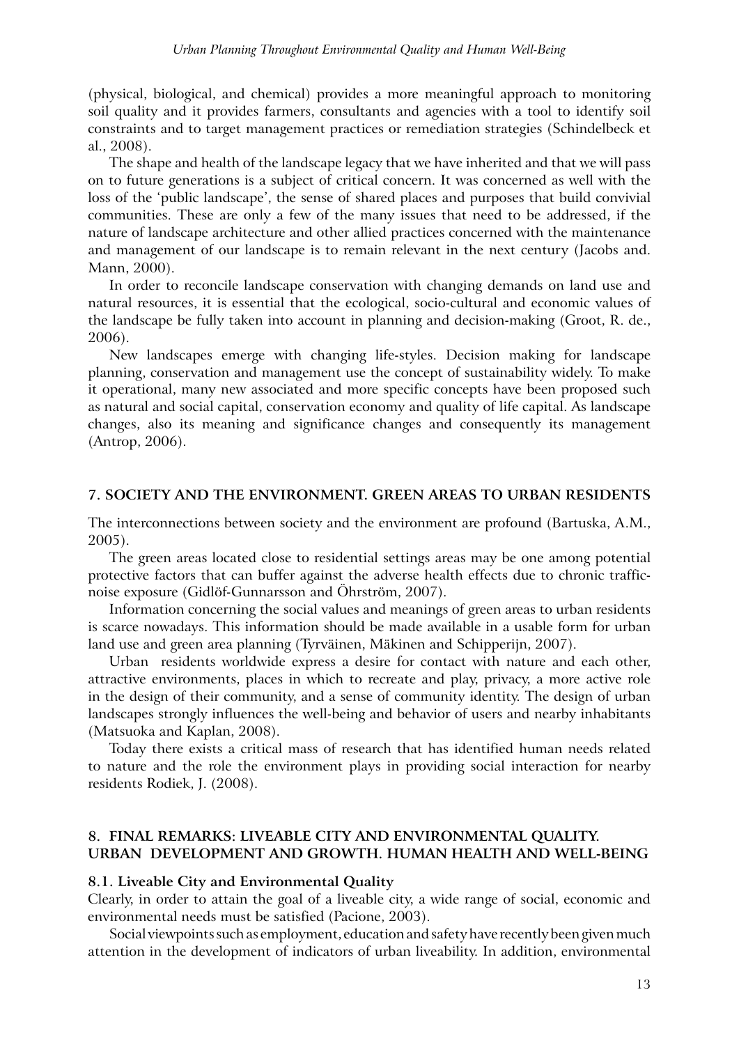(physical, biological, and chemical) provides a more meaningful approach to monitoring soil quality and it provides farmers, consultants and agencies with a tool to identify soil constraints and to target management practices or remediation strategies (Schindelbeck et al., 2008).

The shape and health of the landscape legacy that we have inherited and that we will pass on to future generations is a subject of critical concern. It was concerned as well with the loss of the 'public landscape', the sense of shared places and purposes that build convivial communities. These are only a few of the many issues that need to be addressed, if the nature of landscape architecture and other allied practices concerned with the maintenance and management of our landscape is to remain relevant in the next century (Jacobs and. Mann, 2000).

In order to reconcile landscape conservation with changing demands on land use and natural resources, it is essential that the ecological, socio-cultural and economic values of the landscape be fully taken into account in planning and decision-making (Groot, R. de., 2006).

New landscapes emerge with changing life-styles. Decision making for landscape planning, conservation and management use the concept of sustainability widely. To make it operational, many new associated and more specific concepts have been proposed such as natural and social capital, conservation economy and quality of life capital. As landscape changes, also its meaning and significance changes and consequently its management (Antrop, 2006).

#### **7. Society and the environment. Green areas to urban residents**

The interconnections between society and the environment are profound (Bartuska, A.M., 2005).

The green areas located close to residential settings areas may be one among potential protective factors that can buffer against the adverse health effects due to chronic trafficnoise exposure (Gidlöf-Gunnarsson and Öhrström, 2007).

Information concerning the social values and meanings of green areas to urban residents is scarce nowadays. This information should be made available in a usable form for urban land use and green area planning (Tyrväinen, Mäkinen and Schipperijn, 2007).

Urban residents worldwide express a desire for contact with nature and each other, attractive environments, places in which to recreate and play, privacy, a more active role in the design of their community, and a sense of community identity. The design of urban landscapes strongly influences the well-being and behavior of users and nearby inhabitants (Matsuoka and Kaplan, 2008).

Today there exists a critical mass of research that has identified human needs related to nature and the role the environment plays in providing social interaction for nearby residents Rodiek, J. (2008).

#### **8. Final remarks: Liveable city and environmental quality. Urban development and growth. Human health and well-being**

#### **8.1. Liveable City and Environmental Quality**

Clearly, in order to attain the goal of a liveable city, a wide range of social, economic and environmental needs must be satisfied (Pacione, 2003).

Social viewpoints such as employment, education and safety have recently been given much attention in the development of indicators of urban liveability. In addition, environmental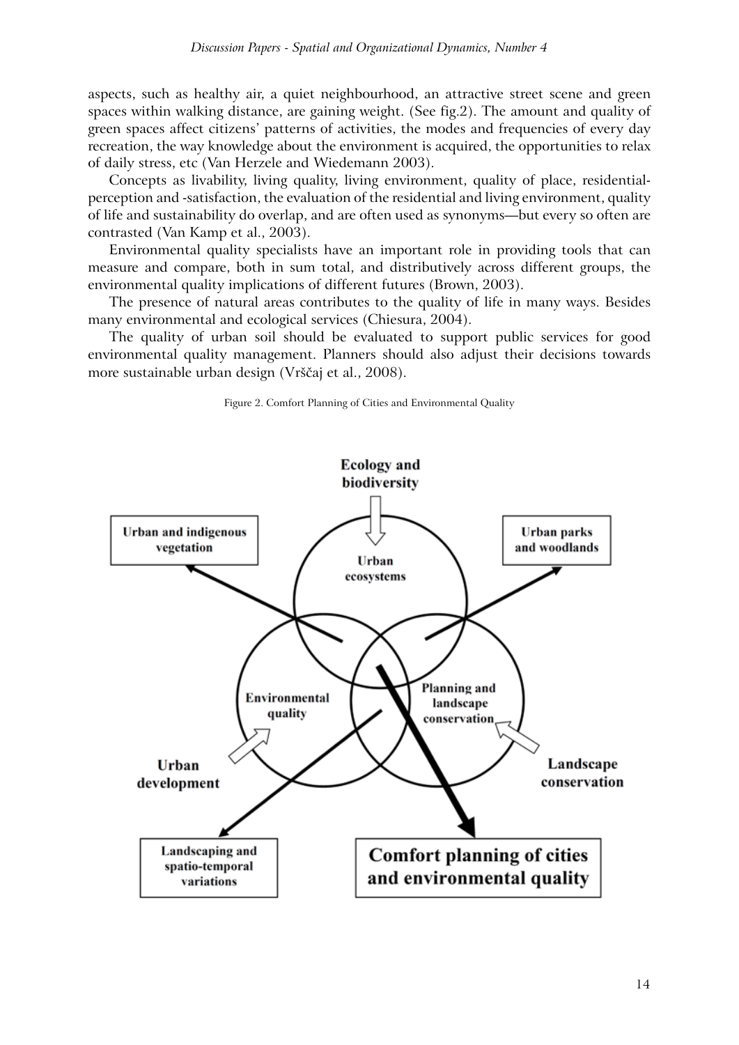aspects, such as healthy air, a quiet neighbourhood, an attractive street scene and green spaces within walking distance, are gaining weight. (See fig.2). The amount and quality of green spaces affect citizens' patterns of activities, the modes and frequencies of every day recreation, the way knowledge about the environment is acquired, the opportunities to relax of daily stress, etc (Van Herzele and Wiedemann 2003).

Concepts as livability, living quality, living environment, quality of place, residentialperception and -satisfaction, the evaluation of the residential and living environment, quality of life and sustainability do overlap, and are often used as synonyms—but every so often are contrasted (Van Kamp et al., 2003).

Environmental quality specialists have an important role in providing tools that can measure and compare, both in sum total, and distributively across different groups, the environmental quality implications of different futures (Brown, 2003).

The presence of natural areas contributes to the quality of life in many ways. Besides many environmental and ecological services (Chiesura, 2004).

The quality of urban soil should be evaluated to support public services for good environmental quality management. Planners should also adjust their decisions towards more sustainable urban design (Vrščaj et al., 2008).



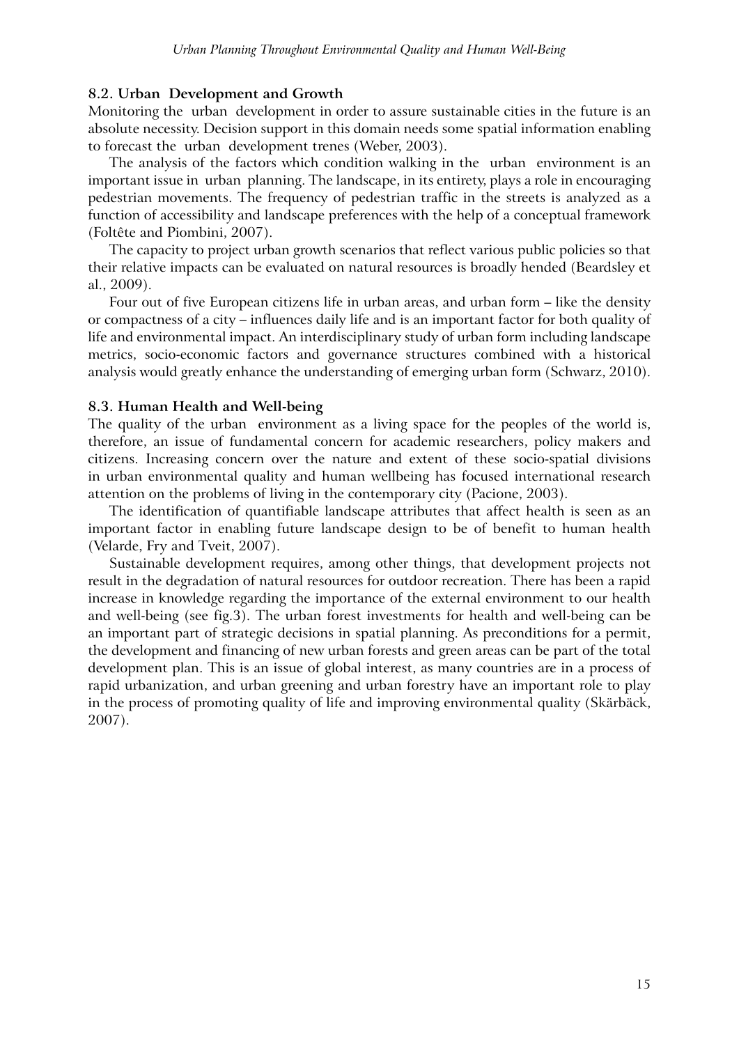#### **8.2. Urban Development and Growth**

Monitoring the urban development in order to assure sustainable cities in the future is an absolute necessity. Decision support in this domain needs some spatial information enabling to forecast the urban development trenes (Weber, 2003).

The analysis of the factors which condition walking in the urban environment is an important issue in urban planning. The landscape, in its entirety, plays a role in encouraging pedestrian movements. The frequency of pedestrian traffic in the streets is analyzed as a function of accessibility and landscape preferences with the help of a conceptual framework (Foltête and Piombini, 2007).

The capacity to project urban growth scenarios that reflect various public policies so that their relative impacts can be evaluated on natural resources is broadly hended (Beardsley et al., 2009).

Four out of five European citizens life in urban areas, and urban form – like the density or compactness of a city – influences daily life and is an important factor for both quality of life and environmental impact. An interdisciplinary study of urban form including landscape metrics, socio-economic factors and governance structures combined with a historical analysis would greatly enhance the understanding of emerging urban form (Schwarz, 2010).

#### **8.3. Human Health and Well-being**

The quality of the urban environment as a living space for the peoples of the world is, therefore, an issue of fundamental concern for academic researchers, policy makers and citizens. Increasing concern over the nature and extent of these socio-spatial divisions in urban environmental quality and human wellbeing has focused international research attention on the problems of living in the contemporary city (Pacione, 2003).

The identification of quantifiable landscape attributes that affect health is seen as an important factor in enabling future landscape design to be of benefit to human health (Velarde, Fry and Tveit, 2007).

Sustainable development requires, among other things, that development projects not result in the degradation of natural resources for outdoor recreation. There has been a rapid increase in knowledge regarding the importance of the external environment to our health and well-being (see fig.3). The urban forest investments for health and well-being can be an important part of strategic decisions in spatial planning. As preconditions for a permit, the development and financing of new urban forests and green areas can be part of the total development plan. This is an issue of global interest, as many countries are in a process of rapid urbanization, and urban greening and urban forestry have an important role to play in the process of promoting quality of life and improving environmental quality (Skärbäck, 2007).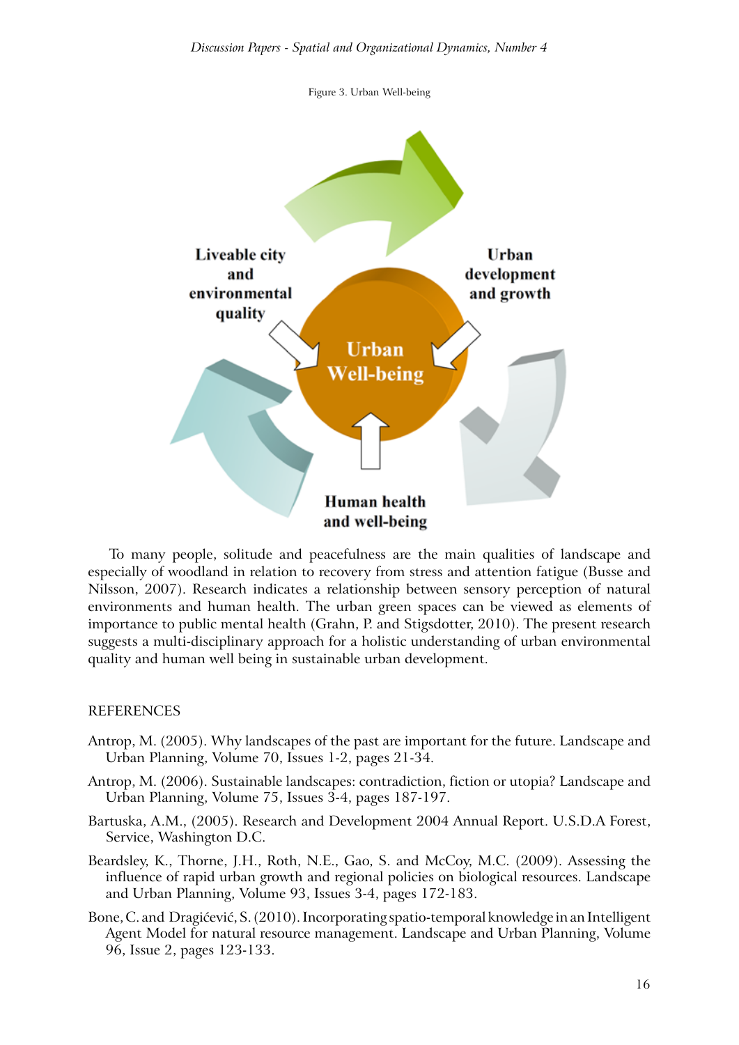



To many people, solitude and peacefulness are the main qualities of landscape and especially of woodland in relation to recovery from stress and attention fatigue (Busse and Nilsson, 2007). Research indicates a relationship between sensory perception of natural environments and human health. The urban green spaces can be viewed as elements of importance to public mental health (Grahn, P. and Stigsdotter, 2010). The present research suggests a multi-disciplinary approach for a holistic understanding of urban environmental quality and human well being in sustainable urban development.

#### **REFERENCES**

- Antrop, M. (2005). Why landscapes of the past are important for the future. Landscape and Urban Planning, Volume 70, Issues 1-2, pages 21-34.
- Antrop, M. (2006). Sustainable landscapes: contradiction, fiction or utopia? Landscape and Urban Planning, Volume 75, Issues 3-4, pages 187-197.
- Bartuska, A.M., (2005). Research and Development 2004 Annual Report. U.S.D.A Forest, Service, Washington D.C.
- Beardsley, K., Thorne, J.H., Roth, N.E., Gao, S. and McCoy, M.C. (2009). Assessing the influence of rapid urban growth and regional policies on biological resources. Landscape and Urban Planning, Volume 93, Issues 3-4, pages 172-183.
- Bone, C. and Dragićević, S. (2010). Incorporating spatio-temporal knowledge in an Intelligent Agent Model for natural resource management. Landscape and Urban Planning, Volume 96, Issue 2, pages 123-133.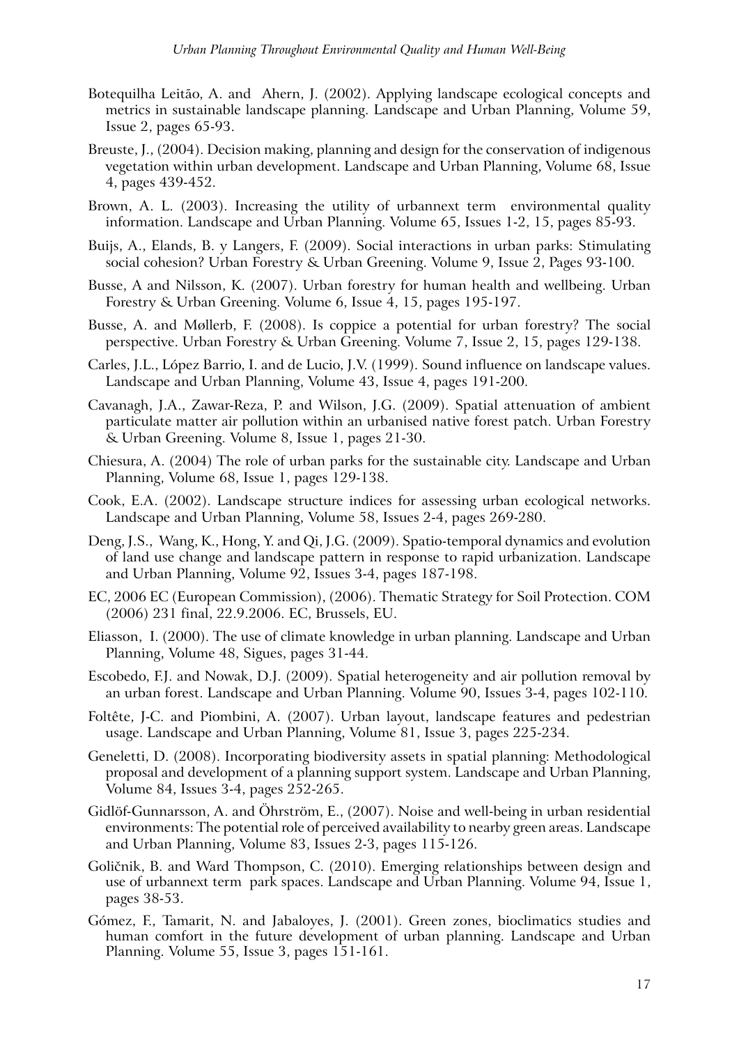- Botequilha Leitão, A. and Ahern, J. (2002). Applying landscape ecological concepts and metrics in sustainable landscape planning. Landscape and Urban Planning, Volume 59, Issue 2, pages 65-93.
- Breuste, J., (2004). Decision making, planning and design for the conservation of indigenous vegetation within urban development. Landscape and Urban Planning, Volume 68, Issue 4, pages 439-452.
- Brown, A. L. (2003). Increasing the utility of urbannext term environmental quality information. Landscape and Urban Planning. Volume 65, Issues 1-2, 15, pages 85-93.
- Buijs, A., Elands, B. y Langers, F. (2009). Social interactions in urban parks: Stimulating social cohesion? Urban Forestry & Urban Greening. Volume 9, Issue 2, Pages 93-100.
- Busse, A and Nilsson, K. (2007). Urban forestry for human health and wellbeing. Urban Forestry & Urban Greening. Volume 6, Issue 4, 15, pages 195-197.
- Busse, A. and Møllerb, F. (2008). Is coppice a potential for urban forestry? The social perspective. Urban Forestry & Urban Greening. Volume 7, Issue 2, 15, pages 129-138.
- Carles, J.L., López Barrio, I. and de Lucio, J.V. (1999). Sound influence on landscape values. Landscape and Urban Planning, Volume 43, Issue 4, pages 191-200.
- Cavanagh, J.A., Zawar-Reza, P. and Wilson, J.G. (2009). Spatial attenuation of ambient particulate matter air pollution within an urbanised native forest patch. Urban Forestry & Urban Greening. Volume 8, Issue 1, pages 21-30.
- Chiesura, A. (2004) The role of urban parks for the sustainable city. Landscape and Urban Planning, Volume 68, Issue 1, pages 129-138.
- Cook, E.A. (2002). Landscape structure indices for assessing urban ecological networks. Landscape and Urban Planning, Volume 58, Issues 2-4, pages 269-280.
- Deng, J.S., Wang, K., Hong, Y. and Qi, J.G. (2009). Spatio-temporal dynamics and evolution of land use change and landscape pattern in response to rapid urbanization. Landscape and Urban Planning, Volume 92, Issues 3-4, pages 187-198.
- EC, 2006 EC (European Commission), (2006). Thematic Strategy for Soil Protection. COM (2006) 231 final, 22.9.2006. EC, Brussels, EU.
- Eliasson, I. (2000). The use of climate knowledge in urban planning. Landscape and Urban Planning, Volume 48, Sigues, pages 31-44.
- Escobedo, F.J. and Nowak, D.J. (2009). Spatial heterogeneity and air pollution removal by an urban forest. Landscape and Urban Planning. Volume 90, Issues 3-4, pages 102-110.
- Foltête, J-C. and Piombini, A. (2007). Urban layout, landscape features and pedestrian usage. Landscape and Urban Planning, Volume 81, Issue 3, pages 225-234.
- Geneletti, D. (2008). Incorporating biodiversity assets in spatial planning: Methodological proposal and development of a planning support system. Landscape and Urban Planning, Volume 84, Issues 3-4, pages 252-265.
- Gidlöf-Gunnarsson, A. and Öhrström, E., (2007). Noise and well-being in urban residential environments: The potential role of perceived availability to nearby green areas. Landscape and Urban Planning, Volume 83, Issues 2-3, pages 115-126.
- Goličnik, B. and Ward Thompson, C. (2010). Emerging relationships between design and use of urbannext term park spaces. Landscape and Urban Planning. Volume 94, Issue 1, pages 38-53.
- Gómez, F., Tamarit, N. and Jabaloyes, J. (2001). Green zones, bioclimatics studies and human comfort in the future development of urban planning. Landscape and Urban Planning. Volume 55, Issue 3, pages 151-161.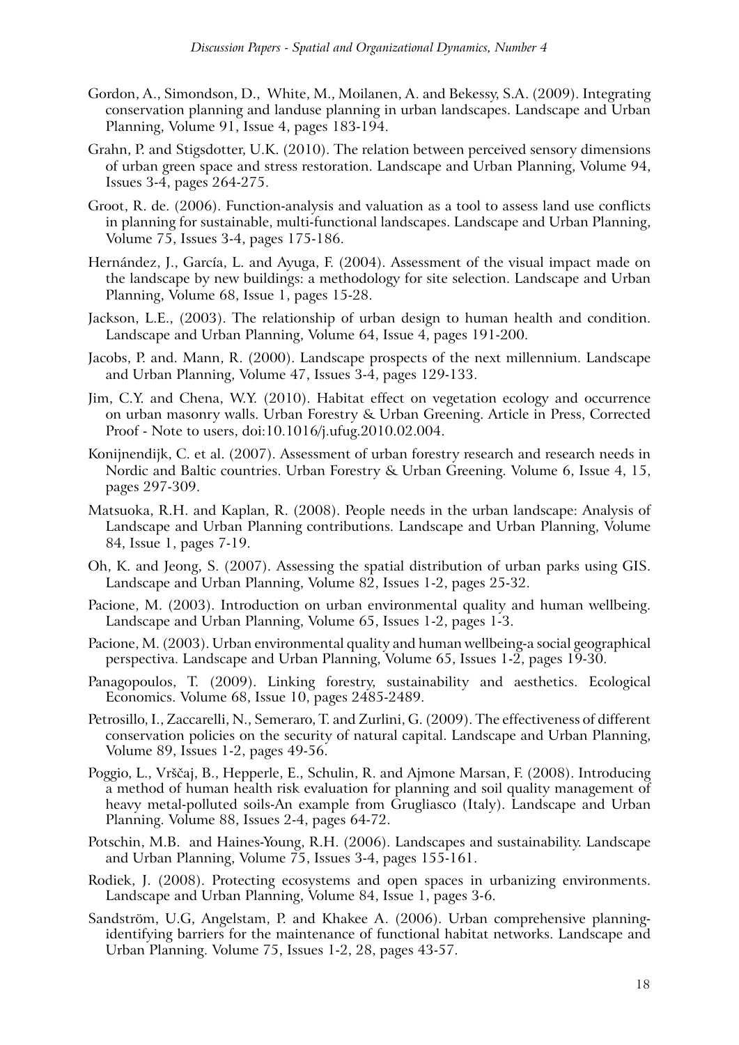- Gordon, A., Simondson, D., White, M., Moilanen, A. and Bekessy, S.A. (2009). Integrating conservation planning and landuse planning in urban landscapes. Landscape and Urban Planning, Volume 91, Issue 4, pages 183-194.
- Grahn, P. and Stigsdotter, U.K. (2010). The relation between perceived sensory dimensions of urban green space and stress restoration. Landscape and Urban Planning, Volume 94, Issues 3-4, pages 264-275.
- Groot, R. de. (2006). Function-analysis and valuation as a tool to assess land use conflicts in planning for sustainable, multi-functional landscapes. Landscape and Urban Planning, Volume 75, Issues 3-4, pages 175-186.
- Hernández, J., García, L. and Ayuga, F. (2004). Assessment of the visual impact made on the landscape by new buildings: a methodology for site selection. Landscape and Urban Planning, Volume 68, Issue 1, pages 15-28.
- Jackson, L.E., (2003). The relationship of urban design to human health and condition. Landscape and Urban Planning, Volume 64, Issue 4, pages 191-200.
- Jacobs, P. and. Mann, R. (2000). Landscape prospects of the next millennium. Landscape and Urban Planning, Volume 47, Issues 3-4, pages 129-133.
- Jim, C.Y. and Chena, W.Y. (2010). Habitat effect on vegetation ecology and occurrence on urban masonry walls. Urban Forestry & Urban Greening. Article in Press, Corrected Proof - Note to users, doi:10.1016/j.ufug.2010.02.004.
- Konijnendijk, C. et al. (2007). Assessment of urban forestry research and research needs in Nordic and Baltic countries. Urban Forestry & Urban Greening. Volume 6, Issue 4, 15, pages 297-309.
- Matsuoka, R.H. and Kaplan, R. (2008). People needs in the urban landscape: Analysis of Landscape and Urban Planning contributions. Landscape and Urban Planning, Volume 84, Issue 1, pages 7-19.
- Oh, K. and Jeong, S. (2007). Assessing the spatial distribution of urban parks using GIS. Landscape and Urban Planning, Volume 82, Issues 1-2, pages 25-32.
- Pacione, M. (2003). Introduction on urban environmental quality and human wellbeing. Landscape and Urban Planning, Volume 65, Issues 1-2, pages 1-3.
- Pacione, M. (2003). Urban environmental quality and human wellbeing-a social geographical perspectiva. Landscape and Urban Planning, Volume 65, Issues 1-2, pages 19-30.
- Panagopoulos, T. (2009). Linking forestry, sustainability and aesthetics. Ecological Economics. Volume 68, Issue 10, pages 2485-2489.
- Petrosillo, I., Zaccarelli, N., Semeraro, T. and Zurlini, G. (2009). The effectiveness of different conservation policies on the security of natural capital. Landscape and Urban Planning, Volume 89, Issues 1-2, pages 49-56.
- Poggio, L., Vrščaj, B., Hepperle, E., Schulin, R. and Ajmone Marsan, F. (2008). Introducing a method of human health risk evaluation for planning and soil quality management of heavy metal-polluted soils-An example from Grugliasco (Italy). Landscape and Urban Planning. Volume 88, Issues 2-4, pages 64-72.
- Potschin, M.B. and Haines-Young, R.H. (2006). Landscapes and sustainability. Landscape and Urban Planning, Volume 75, Issues 3-4, pages 155-161.
- Rodiek, J. (2008). Protecting ecosystems and open spaces in urbanizing environments. Landscape and Urban Planning, Volume 84, Issue 1, pages 3-6.
- Sandström, U.G, Angelstam, P. and Khakee A. (2006). Urban comprehensive planningidentifying barriers for the maintenance of functional habitat networks. Landscape and Urban Planning. Volume 75, Issues 1-2, 28, pages 43-57.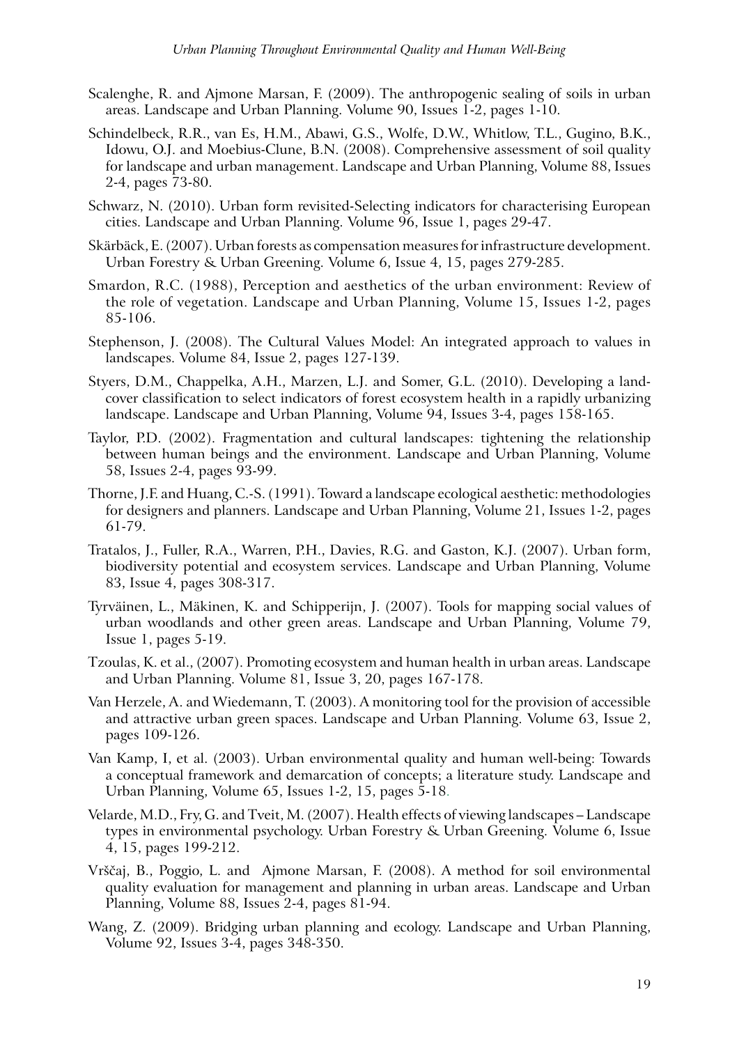- Scalenghe, R. and Ajmone Marsan, F. (2009). The anthropogenic sealing of soils in urban areas. Landscape and Urban Planning. Volume 90, Issues 1-2, pages 1-10.
- Schindelbeck, R.R., van Es, H.M., Abawi, G.S., Wolfe, D.W., Whitlow, T.L., Gugino, B.K., Idowu, O.J. and Moebius-Clune, B.N. (2008). Comprehensive assessment of soil quality for landscape and urban management. Landscape and Urban Planning, Volume 88, Issues 2-4, pages 73-80.
- Schwarz, N. (2010). Urban form revisited-Selecting indicators for characterising European cities. Landscape and Urban Planning. Volume 96, Issue 1, pages 29-47.
- Skärbäck, E. (2007). Urban forests as compensation measures for infrastructure development. Urban Forestry & Urban Greening. Volume 6, Issue 4, 15, pages 279-285.
- Smardon, R.C. (1988), Perception and aesthetics of the urban environment: Review of the role of vegetation. Landscape and Urban Planning, Volume 15, Issues 1-2, pages 85-106.
- Stephenson, J. (2008). The Cultural Values Model: An integrated approach to values in landscapes. Volume 84, Issue 2, pages 127-139.
- Styers, D.M., Chappelka, A.H., Marzen, L.J. and Somer, G.L. (2010). Developing a landcover classification to select indicators of forest ecosystem health in a rapidly urbanizing landscape. Landscape and Urban Planning, Volume 94, Issues 3-4, pages 158-165.
- Taylor, P.D. (2002). Fragmentation and cultural landscapes: tightening the relationship between human beings and the environment. Landscape and Urban Planning, Volume 58, Issues 2-4, pages 93-99.
- Thorne, J.F. and Huang, C.-S. (1991). Toward a landscape ecological aesthetic: methodologies for designers and planners. Landscape and Urban Planning, Volume 21, Issues 1-2, pages 61-79.
- Tratalos, J., Fuller, R.A., Warren, P.H., Davies, R.G. and Gaston, K.J. (2007). Urban form, biodiversity potential and ecosystem services. Landscape and Urban Planning, Volume 83, Issue 4, pages 308-317.
- Tyrväinen, L., Mäkinen, K. and Schipperijn, J. (2007). Tools for mapping social values of urban woodlands and other green areas. Landscape and Urban Planning, Volume 79, Issue 1, pages 5-19.
- Tzoulas, K. et al., (2007). Promoting ecosystem and human health in urban areas. Landscape and Urban Planning. Volume 81, Issue 3, 20, pages 167-178.
- Van Herzele, A. and Wiedemann, T. (2003). A monitoring tool for the provision of accessible and attractive urban green spaces. Landscape and Urban Planning. Volume 63, Issue 2, pages 109-126.
- Van Kamp, I, et al. (2003). Urban environmental quality and human well-being: Towards a conceptual framework and demarcation of concepts; a literature study. Landscape and Urban Planning, Volume 65, Issues 1-2, 15, pages 5-18.
- Velarde, M.D., Fry, G. and Tveit, M. (2007). Health effects of viewing landscapes Landscape types in environmental psychology. Urban Forestry & Urban Greening. Volume 6, Issue 4, 15, pages 199-212.
- Vrščaj, B., Poggio, L. and Ajmone Marsan, F. (2008). A method for soil environmental quality evaluation for management and planning in urban areas. Landscape and Urban Planning, Volume 88, Issues 2-4, pages 81-94.
- Wang, Z. (2009). Bridging urban planning and ecology. Landscape and Urban Planning, Volume 92, Issues 3-4, pages 348-350.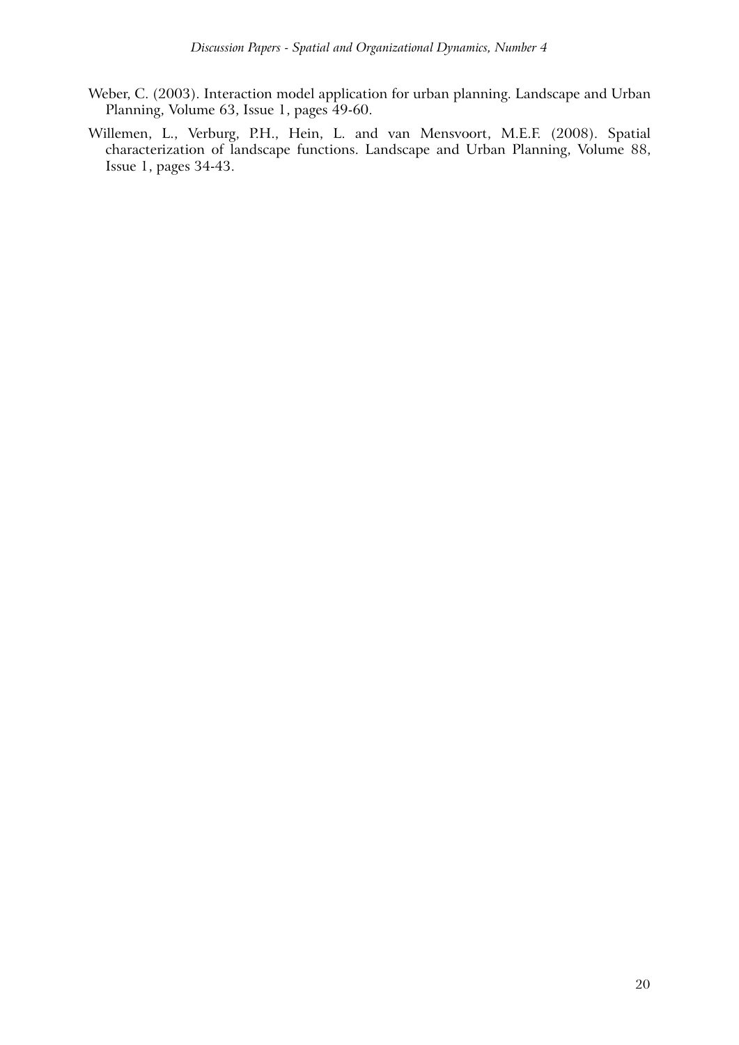- Weber, C. (2003). Interaction model application for urban planning. Landscape and Urban Planning, Volume 63, Issue 1, pages 49-60.
- Willemen, L., Verburg, P.H., Hein, L. and van Mensvoort, M.E.F. (2008). Spatial characterization of landscape functions. Landscape and Urban Planning, Volume 88, Issue 1, pages 34-43.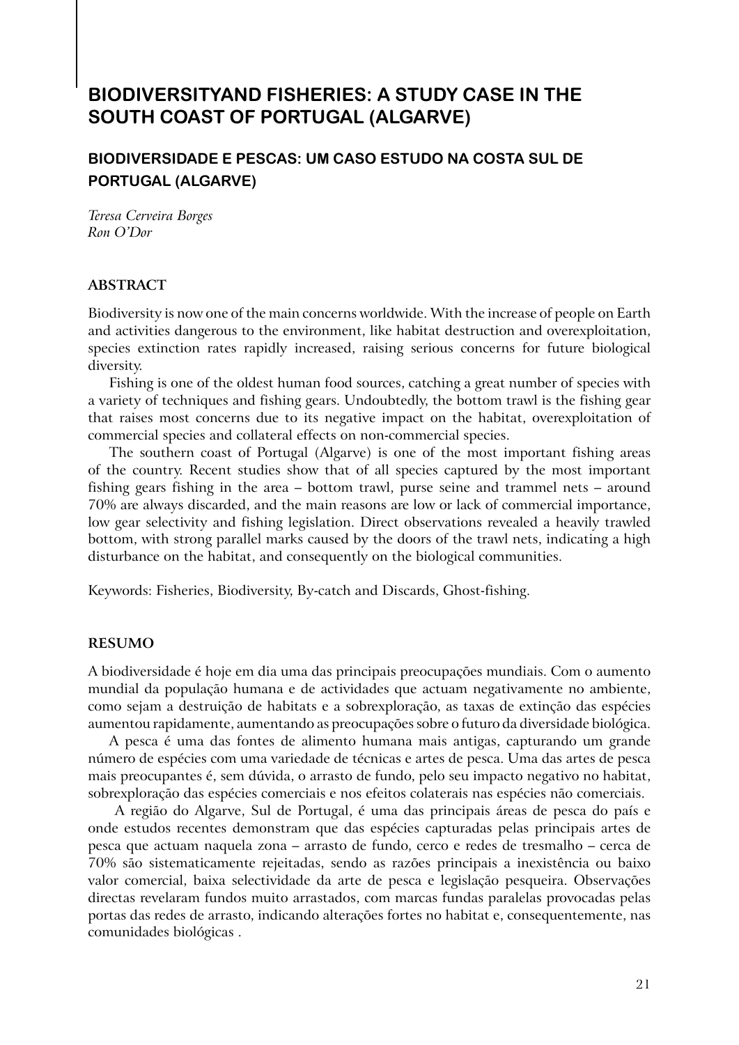## **Biodiversityand Fisheries: a study case in the south coast of portugal (algarve)**

## **Biodiversidade e pescas: um caso estudo na costa sul de portugal (algarve)**

*Teresa Cerveira Borges Ron O'Dor*

#### **ABSTRACT**

Biodiversity is now one of the main concerns worldwide. With the increase of people on Earth and activities dangerous to the environment, like habitat destruction and overexploitation, species extinction rates rapidly increased, raising serious concerns for future biological diversity.

Fishing is one of the oldest human food sources, catching a great number of species with a variety of techniques and fishing gears. Undoubtedly, the bottom trawl is the fishing gear that raises most concerns due to its negative impact on the habitat, overexploitation of commercial species and collateral effects on non-commercial species.

The southern coast of Portugal (Algarve) is one of the most important fishing areas of the country. Recent studies show that of all species captured by the most important fishing gears fishing in the area – bottom trawl, purse seine and trammel nets – around 70% are always discarded, and the main reasons are low or lack of commercial importance, low gear selectivity and fishing legislation. Direct observations revealed a heavily trawled bottom, with strong parallel marks caused by the doors of the trawl nets, indicating a high disturbance on the habitat, and consequently on the biological communities.

Keywords: Fisheries, Biodiversity, By-catch and Discards, Ghost-fishing.

#### **RESUMO**

A biodiversidade é hoje em dia uma das principais preocupações mundiais. Com o aumento mundial da população humana e de actividades que actuam negativamente no ambiente, como sejam a destruição de habitats e a sobrexploração, as taxas de extinção das espécies aumentou rapidamente, aumentando as preocupações sobre o futuro da diversidade biológica.

A pesca é uma das fontes de alimento humana mais antigas, capturando um grande número de espécies com uma variedade de técnicas e artes de pesca. Uma das artes de pesca mais preocupantes é, sem dúvida, o arrasto de fundo, pelo seu impacto negativo no habitat, sobrexploração das espécies comerciais e nos efeitos colaterais nas espécies não comerciais.

 A região do Algarve, Sul de Portugal, é uma das principais áreas de pesca do país e onde estudos recentes demonstram que das espécies capturadas pelas principais artes de pesca que actuam naquela zona – arrasto de fundo, cerco e redes de tresmalho – cerca de 70% são sistematicamente rejeitadas, sendo as razões principais a inexistência ou baixo valor comercial, baixa selectividade da arte de pesca e legislação pesqueira. Observações directas revelaram fundos muito arrastados, com marcas fundas paralelas provocadas pelas portas das redes de arrasto, indicando alterações fortes no habitat e, consequentemente, nas comunidades biológicas .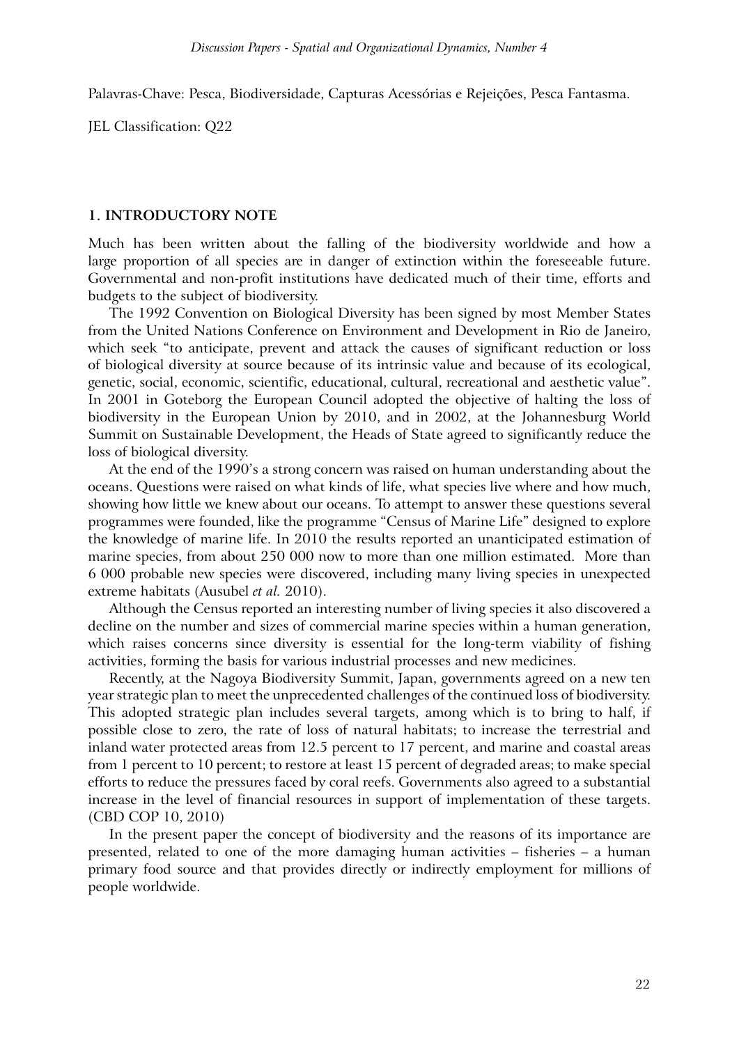Palavras-Chave: Pesca, Biodiversidade, Capturas Acessórias e Rejeições, Pesca Fantasma.

JEL Classification: Q22

#### **1. INTRODUCTORY NOTE**

Much has been written about the falling of the biodiversity worldwide and how a large proportion of all species are in danger of extinction within the foreseeable future. Governmental and non-profit institutions have dedicated much of their time, efforts and budgets to the subject of biodiversity.

The 1992 Convention on Biological Diversity has been signed by most Member States from the United Nations Conference on Environment and Development in Rio de Janeiro, which seek "to anticipate, prevent and attack the causes of significant reduction or loss of biological diversity at source because of its intrinsic value and because of its ecological, genetic, social, economic, scientific, educational, cultural, recreational and aesthetic value". In 2001 in Goteborg the European Council adopted the objective of halting the loss of biodiversity in the European Union by 2010, and in 2002, at the Johannesburg World Summit on Sustainable Development, the Heads of State agreed to significantly reduce the loss of biological diversity.

At the end of the 1990's a strong concern was raised on human understanding about the oceans. Questions were raised on what kinds of life, what species live where and how much, showing how little we knew about our oceans. To attempt to answer these questions several programmes were founded, like the programme "Census of Marine Life" designed to explore the knowledge of marine life. In 2010 the results reported an unanticipated estimation of marine species, from about 250 000 now to more than one million estimated. More than 6 000 probable new species were discovered, including many living species in unexpected extreme habitats (Ausubel *et al.* 2010).

Although the Census reported an interesting number of living species it also discovered a decline on the number and sizes of commercial marine species within a human generation, which raises concerns since diversity is essential for the long-term viability of fishing activities, forming the basis for various industrial processes and new medicines.

Recently, at the Nagoya Biodiversity Summit, Japan, governments agreed on a new ten year strategic plan to meet the unprecedented challenges of the continued loss of biodiversity. This adopted strategic plan includes several targets, among which is to bring to half, if possible close to zero, the rate of loss of natural habitats; to increase the terrestrial and inland water protected areas from 12.5 percent to 17 percent, and marine and coastal areas from 1 percent to 10 percent; to restore at least 15 percent of degraded areas; to make special efforts to reduce the pressures faced by coral reefs. Governments also agreed to a substantial increase in the level of financial resources in support of implementation of these targets. (CBD COP 10, 2010)

In the present paper the concept of biodiversity and the reasons of its importance are presented, related to one of the more damaging human activities – fisheries – a human primary food source and that provides directly or indirectly employment for millions of people worldwide.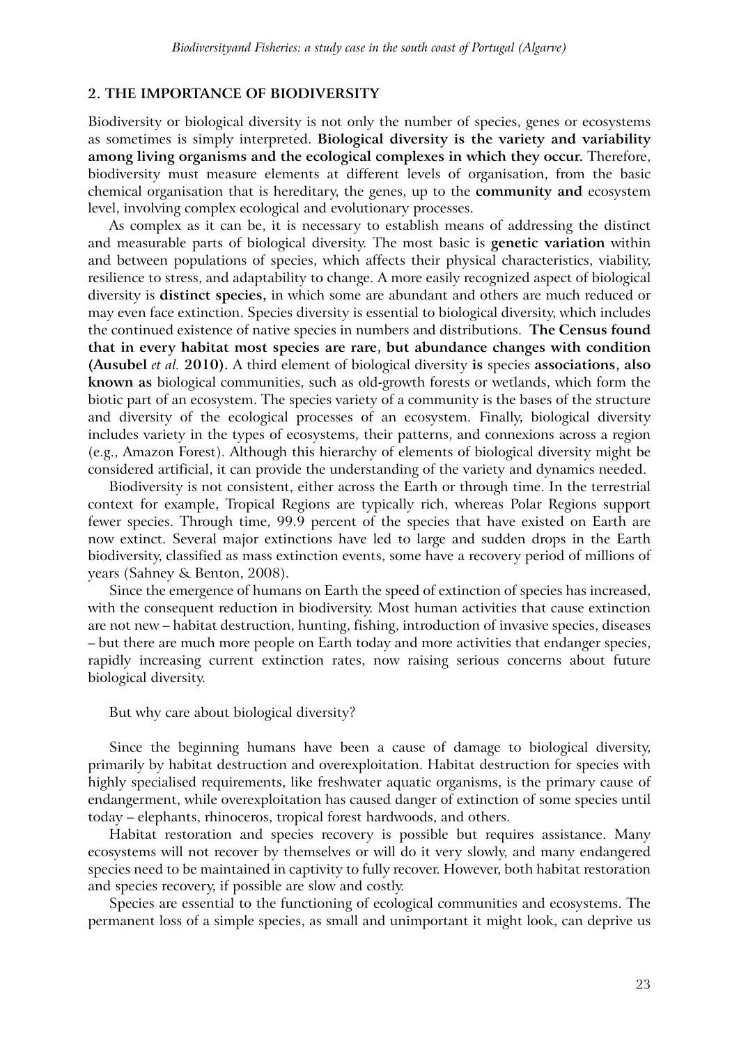#### **2. THE IMPORTANCE OF BIODIVERSITY**

Biodiversity or biological diversity is not only the number of species, genes or ecosystems as sometimes is simply interpreted. **Biological diversity is the variety and variability among living organisms and the ecological complexes in which they occur.** Therefore, biodiversity must measure elements at different levels of organisation, from the basic chemical organisation that is hereditary, the genes, up to the **community and** ecosystem level, involving complex ecological and evolutionary processes.

As complex as it can be, it is necessary to establish means of addressing the distinct and measurable parts of biological diversity. The most basic is **genetic variation** within and between populations of species, which affects their physical characteristics, viability, resilience to stress, and adaptability to change. A more easily recognized aspect of biological diversity is **distinct species,** in which some are abundant and others are much reduced or may even face extinction. Species diversity is essential to biological diversity, which includes the continued existence of native species in numbers and distributions. **The Census found that in every habitat most species are rare, but abundance changes with condition (Ausubel** *et al.* **2010).** A third element of biological diversity **is** species **associations, also known as** biological communities, such as old-growth forests or wetlands, which form the biotic part of an ecosystem. The species variety of a community is the bases of the structure and diversity of the ecological processes of an ecosystem. Finally, biological diversity includes variety in the types of ecosystems, their patterns, and connexions across a region (e.g., Amazon Forest). Although this hierarchy of elements of biological diversity might be considered artificial, it can provide the understanding of the variety and dynamics needed.

Biodiversity is not consistent, either across the Earth or through time. In the terrestrial context for example, Tropical Regions are typically rich, whereas Polar Regions support fewer species. Through time, 99.9 percent of the species that have existed on Earth are now extinct. Several major extinctions have led to large and sudden drops in the Earth biodiversity, classified as mass extinction events, some have a recovery period of millions of years (Sahney & Benton, 2008).

Since the emergence of humans on Earth the speed of extinction of species has increased, with the consequent reduction in biodiversity. Most human activities that cause extinction are not new – habitat destruction, hunting, fishing, introduction of invasive species, diseases – but there are much more people on Earth today and more activities that endanger species, rapidly increasing current extinction rates, now raising serious concerns about future biological diversity.

#### But why care about biological diversity?

Since the beginning humans have been a cause of damage to biological diversity, primarily by habitat destruction and overexploitation. Habitat destruction for species with highly specialised requirements, like freshwater aquatic organisms, is the primary cause of endangerment, while overexploitation has caused danger of extinction of some species until today – elephants, rhinoceros, tropical forest hardwoods, and others.

Habitat restoration and species recovery is possible but requires assistance. Many ecosystems will not recover by themselves or will do it very slowly, and many endangered species need to be maintained in captivity to fully recover. However, both habitat restoration and species recovery, if possible are slow and costly.

Species are essential to the functioning of ecological communities and ecosystems. The permanent loss of a simple species, as small and unimportant it might look, can deprive us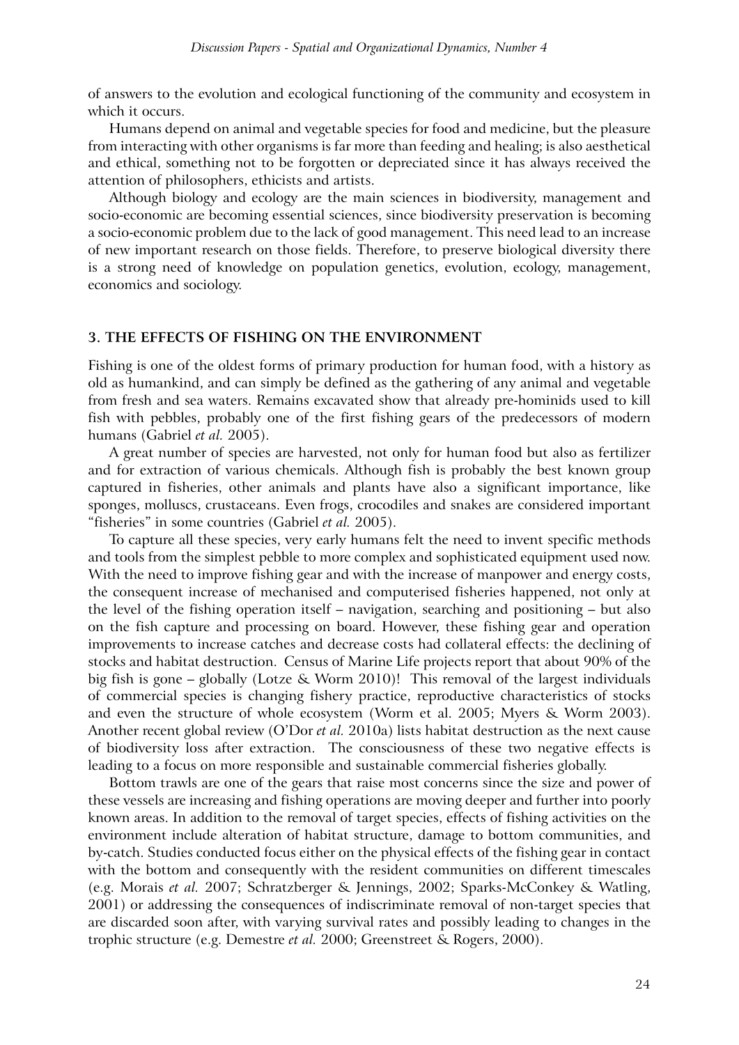of answers to the evolution and ecological functioning of the community and ecosystem in which it occurs.

Humans depend on animal and vegetable species for food and medicine, but the pleasure from interacting with other organisms is far more than feeding and healing; is also aesthetical and ethical, something not to be forgotten or depreciated since it has always received the attention of philosophers, ethicists and artists.

Although biology and ecology are the main sciences in biodiversity, management and socio-economic are becoming essential sciences, since biodiversity preservation is becoming a socio-economic problem due to the lack of good management. This need lead to an increase of new important research on those fields. Therefore, to preserve biological diversity there is a strong need of knowledge on population genetics, evolution, ecology, management, economics and sociology.

#### **3. the effects of Fishing on the environment**

Fishing is one of the oldest forms of primary production for human food, with a history as old as humankind, and can simply be defined as the gathering of any animal and vegetable from fresh and sea waters. Remains excavated show that already pre-hominids used to kill fish with pebbles, probably one of the first fishing gears of the predecessors of modern humans (Gabriel *et al.* 2005).

A great number of species are harvested, not only for human food but also as fertilizer and for extraction of various chemicals. Although fish is probably the best known group captured in fisheries, other animals and plants have also a significant importance, like sponges, molluscs, crustaceans. Even frogs, crocodiles and snakes are considered important "fisheries" in some countries (Gabriel *et al.* 2005).

To capture all these species, very early humans felt the need to invent specific methods and tools from the simplest pebble to more complex and sophisticated equipment used now. With the need to improve fishing gear and with the increase of manpower and energy costs, the consequent increase of mechanised and computerised fisheries happened, not only at the level of the fishing operation itself – navigation, searching and positioning – but also on the fish capture and processing on board. However, these fishing gear and operation improvements to increase catches and decrease costs had collateral effects: the declining of stocks and habitat destruction. Census of Marine Life projects report that about 90% of the big fish is gone – globally (Lotze & Worm 2010)! This removal of the largest individuals of commercial species is changing fishery practice, reproductive characteristics of stocks and even the structure of whole ecosystem (Worm et al. 2005; Myers & Worm 2003). Another recent global review (O'Dor *et al.* 2010a) lists habitat destruction as the next cause of biodiversity loss after extraction. The consciousness of these two negative effects is leading to a focus on more responsible and sustainable commercial fisheries globally.

Bottom trawls are one of the gears that raise most concerns since the size and power of these vessels are increasing and fishing operations are moving deeper and further into poorly known areas. In addition to the removal of target species, effects of fishing activities on the environment include alteration of habitat structure, damage to bottom communities, and by-catch. Studies conducted focus either on the physical effects of the fishing gear in contact with the bottom and consequently with the resident communities on different timescales (e.g. Morais *et al.* 2007; Schratzberger & Jennings, 2002; Sparks-McConkey & Watling, 2001) or addressing the consequences of indiscriminate removal of non-target species that are discarded soon after, with varying survival rates and possibly leading to changes in the trophic structure (e.g. Demestre *et al.* 2000; Greenstreet & Rogers, 2000).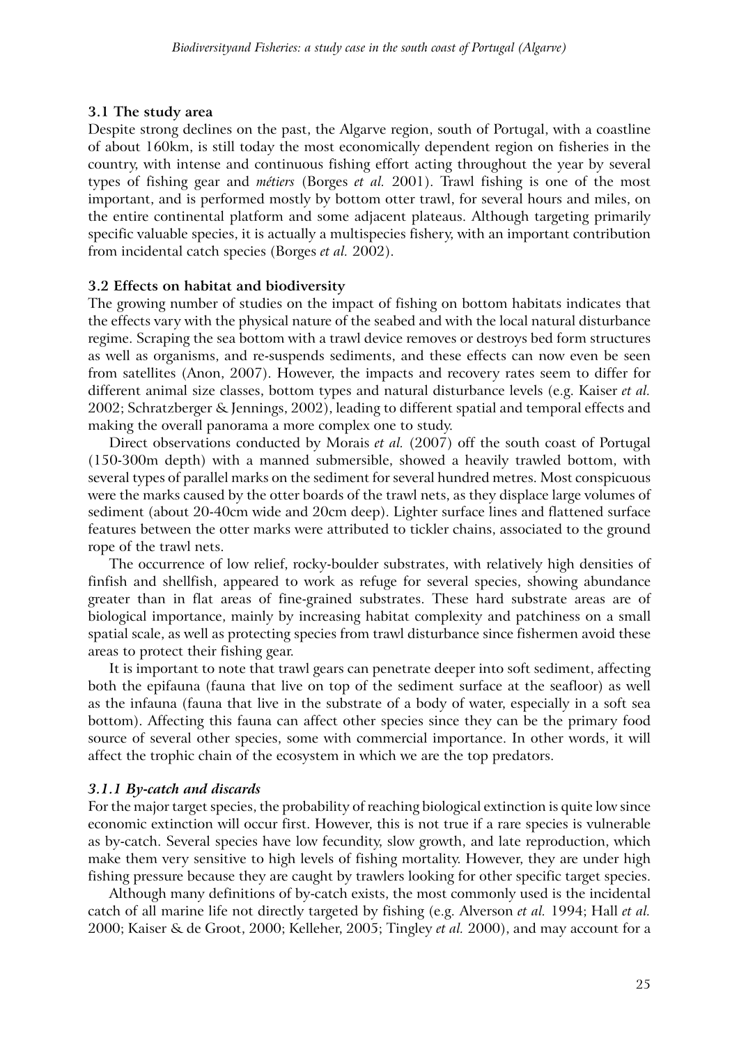#### **3.1 The study area**

Despite strong declines on the past, the Algarve region, south of Portugal, with a coastline of about 160km, is still today the most economically dependent region on fisheries in the country, with intense and continuous fishing effort acting throughout the year by several types of fishing gear and *métiers* (Borges *et al.* 2001). Trawl fishing is one of the most important, and is performed mostly by bottom otter trawl, for several hours and miles, on the entire continental platform and some adjacent plateaus. Although targeting primarily specific valuable species, it is actually a multispecies fishery, with an important contribution from incidental catch species (Borges *et al.* 2002).

#### **3.2 Effects on habitat and biodiversity**

The growing number of studies on the impact of fishing on bottom habitats indicates that the effects vary with the physical nature of the seabed and with the local natural disturbance regime. Scraping the sea bottom with a trawl device removes or destroys bed form structures as well as organisms, and re-suspends sediments, and these effects can now even be seen from satellites (Anon, 2007). However, the impacts and recovery rates seem to differ for different animal size classes, bottom types and natural disturbance levels (e.g. Kaiser *et al.* 2002; Schratzberger & Jennings, 2002), leading to different spatial and temporal effects and making the overall panorama a more complex one to study.

Direct observations conducted by Morais *et al.* (2007) off the south coast of Portugal (150-300m depth) with a manned submersible, showed a heavily trawled bottom, with several types of parallel marks on the sediment for several hundred metres. Most conspicuous were the marks caused by the otter boards of the trawl nets, as they displace large volumes of sediment (about 20-40cm wide and 20cm deep). Lighter surface lines and flattened surface features between the otter marks were attributed to tickler chains, associated to the ground rope of the trawl nets.

The occurrence of low relief, rocky-boulder substrates, with relatively high densities of finfish and shellfish, appeared to work as refuge for several species, showing abundance greater than in flat areas of fine-grained substrates. These hard substrate areas are of biological importance, mainly by increasing habitat complexity and patchiness on a small spatial scale, as well as protecting species from trawl disturbance since fishermen avoid these areas to protect their fishing gear.

It is important to note that trawl gears can penetrate deeper into soft sediment, affecting both the epifauna (fauna that live on top of the sediment surface at the seafloor) as well as the infauna (fauna that live in the substrate of a body of water, especially in a soft sea bottom). Affecting this fauna can affect other species since they can be the primary food source of several other species, some with commercial importance. In other words, it will affect the trophic chain of the ecosystem in which we are the top predators.

#### *3.1.1 By-catch and discards*

For the major target species, the probability of reaching biological extinction is quite low since economic extinction will occur first. However, this is not true if a rare species is vulnerable as by-catch. Several species have low fecundity, slow growth, and late reproduction, which make them very sensitive to high levels of fishing mortality. However, they are under high fishing pressure because they are caught by trawlers looking for other specific target species.

Although many definitions of by-catch exists, the most commonly used is the incidental catch of all marine life not directly targeted by fishing (e.g. Alverson *et al.* 1994; Hall *et al.* 2000; Kaiser & de Groot, 2000; Kelleher, 2005; Tingley *et al.* 2000), and may account for a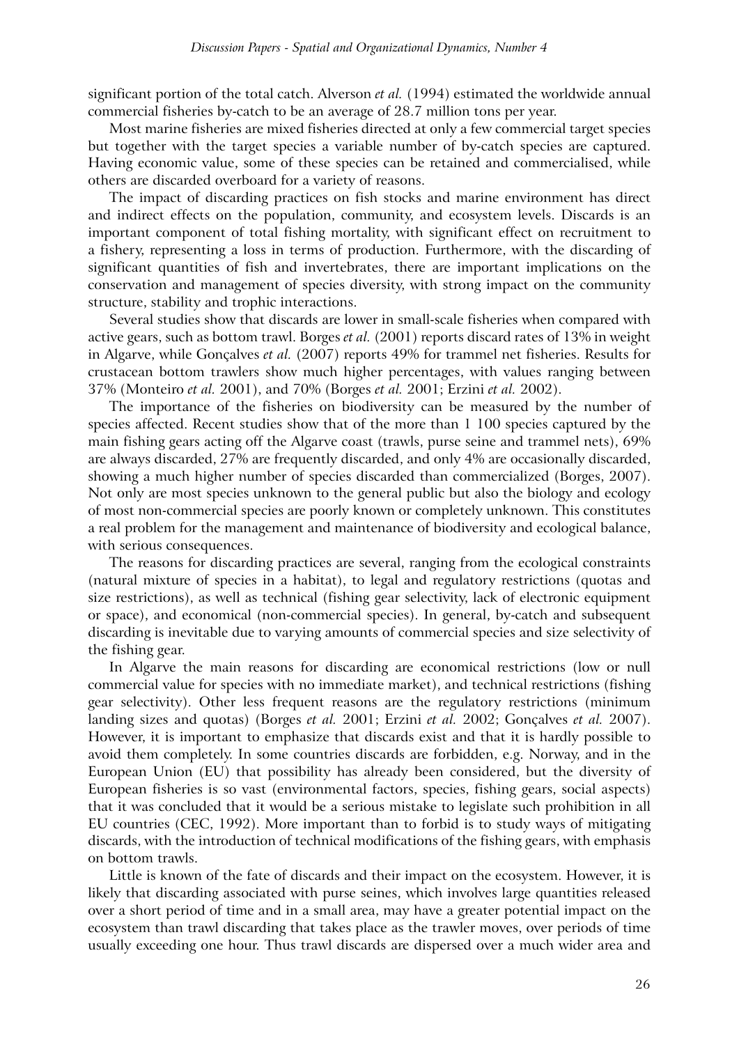significant portion of the total catch. Alverson *et al.* (1994) estimated the worldwide annual commercial fisheries by-catch to be an average of 28.7 million tons per year.

Most marine fisheries are mixed fisheries directed at only a few commercial target species but together with the target species a variable number of by-catch species are captured. Having economic value, some of these species can be retained and commercialised, while others are discarded overboard for a variety of reasons.

The impact of discarding practices on fish stocks and marine environment has direct and indirect effects on the population, community, and ecosystem levels. Discards is an important component of total fishing mortality, with significant effect on recruitment to a fishery, representing a loss in terms of production. Furthermore, with the discarding of significant quantities of fish and invertebrates, there are important implications on the conservation and management of species diversity, with strong impact on the community structure, stability and trophic interactions.

Several studies show that discards are lower in small-scale fisheries when compared with active gears, such as bottom trawl. Borges *et al.* (2001) reports discard rates of 13% in weight in Algarve, while Gonçalves *et al.* (2007) reports 49% for trammel net fisheries. Results for crustacean bottom trawlers show much higher percentages, with values ranging between 37% (Monteiro *et al.* 2001), and 70% (Borges *et al.* 2001; Erzini *et al.* 2002).

The importance of the fisheries on biodiversity can be measured by the number of species affected. Recent studies show that of the more than 1 100 species captured by the main fishing gears acting off the Algarve coast (trawls, purse seine and trammel nets), 69% are always discarded, 27% are frequently discarded, and only 4% are occasionally discarded, showing a much higher number of species discarded than commercialized (Borges, 2007). Not only are most species unknown to the general public but also the biology and ecology of most non-commercial species are poorly known or completely unknown. This constitutes a real problem for the management and maintenance of biodiversity and ecological balance, with serious consequences.

The reasons for discarding practices are several, ranging from the ecological constraints (natural mixture of species in a habitat), to legal and regulatory restrictions (quotas and size restrictions), as well as technical (fishing gear selectivity, lack of electronic equipment or space), and economical (non-commercial species). In general, by-catch and subsequent discarding is inevitable due to varying amounts of commercial species and size selectivity of the fishing gear.

In Algarve the main reasons for discarding are economical restrictions (low or null commercial value for species with no immediate market), and technical restrictions (fishing gear selectivity). Other less frequent reasons are the regulatory restrictions (minimum landing sizes and quotas) (Borges *et al.* 2001; Erzini *et al.* 2002; Gonçalves *et al.* 2007). However, it is important to emphasize that discards exist and that it is hardly possible to avoid them completely. In some countries discards are forbidden, e.g. Norway, and in the European Union (EU) that possibility has already been considered, but the diversity of European fisheries is so vast (environmental factors, species, fishing gears, social aspects) that it was concluded that it would be a serious mistake to legislate such prohibition in all EU countries (CEC, 1992). More important than to forbid is to study ways of mitigating discards, with the introduction of technical modifications of the fishing gears, with emphasis on bottom trawls.

Little is known of the fate of discards and their impact on the ecosystem. However, it is likely that discarding associated with purse seines, which involves large quantities released over a short period of time and in a small area, may have a greater potential impact on the ecosystem than trawl discarding that takes place as the trawler moves, over periods of time usually exceeding one hour. Thus trawl discards are dispersed over a much wider area and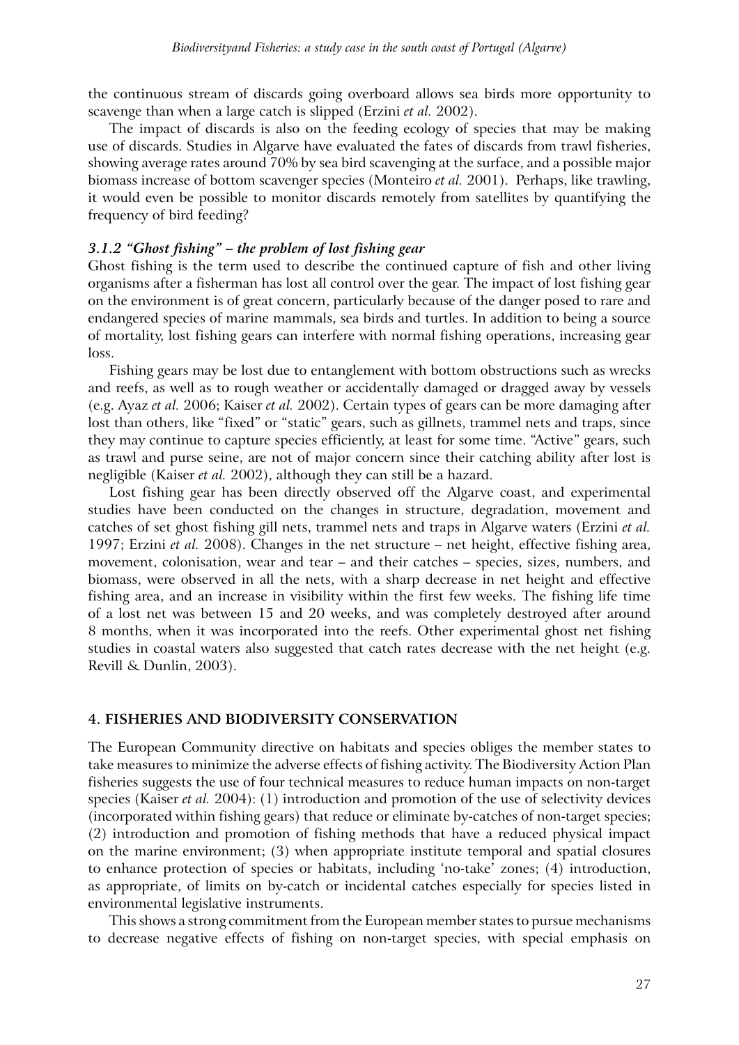the continuous stream of discards going overboard allows sea birds more opportunity to scavenge than when a large catch is slipped (Erzini *et al.* 2002).

The impact of discards is also on the feeding ecology of species that may be making use of discards. Studies in Algarve have evaluated the fates of discards from trawl fisheries, showing average rates around 70% by sea bird scavenging at the surface, and a possible major biomass increase of bottom scavenger species (Monteiro *et al.* 2001). Perhaps, like trawling, it would even be possible to monitor discards remotely from satellites by quantifying the frequency of bird feeding?

#### *3.1.2 "Ghost fishing" – the problem of lost fishing gear*

Ghost fishing is the term used to describe the continued capture of fish and other living organisms after a fisherman has lost all control over the gear. The impact of lost fishing gear on the environment is of great concern, particularly because of the danger posed to rare and endangered species of marine mammals, sea birds and turtles. In addition to being a source of mortality, lost fishing gears can interfere with normal fishing operations, increasing gear loss.

Fishing gears may be lost due to entanglement with bottom obstructions such as wrecks and reefs, as well as to rough weather or accidentally damaged or dragged away by vessels (e.g. Ayaz *et al.* 2006; Kaiser *et al.* 2002). Certain types of gears can be more damaging after lost than others, like "fixed" or "static" gears, such as gillnets, trammel nets and traps, since they may continue to capture species efficiently, at least for some time. "Active" gears, such as trawl and purse seine, are not of major concern since their catching ability after lost is negligible (Kaiser *et al.* 2002), although they can still be a hazard.

Lost fishing gear has been directly observed off the Algarve coast, and experimental studies have been conducted on the changes in structure, degradation, movement and catches of set ghost fishing gill nets, trammel nets and traps in Algarve waters (Erzini *et al.* 1997; Erzini *et al.* 2008). Changes in the net structure – net height, effective fishing area, movement, colonisation, wear and tear – and their catches – species, sizes, numbers, and biomass, were observed in all the nets, with a sharp decrease in net height and effective fishing area, and an increase in visibility within the first few weeks. The fishing life time of a lost net was between 15 and 20 weeks, and was completely destroyed after around 8 months, when it was incorporated into the reefs. Other experimental ghost net fishing studies in coastal waters also suggested that catch rates decrease with the net height (e.g. Revill & Dunlin, 2003).

#### **4. Fisheries and Biodiversity Conservation**

The European Community directive on habitats and species obliges the member states to take measures to minimize the adverse effects of fishing activity. The Biodiversity Action Plan fisheries suggests the use of four technical measures to reduce human impacts on non-target species (Kaiser *et al.* 2004): (1) introduction and promotion of the use of selectivity devices (incorporated within fishing gears) that reduce or eliminate by-catches of non-target species; (2) introduction and promotion of fishing methods that have a reduced physical impact on the marine environment; (3) when appropriate institute temporal and spatial closures to enhance protection of species or habitats, including 'no-take' zones; (4) introduction, as appropriate, of limits on by-catch or incidental catches especially for species listed in environmental legislative instruments.

This shows a strong commitment from the European member states to pursue mechanisms to decrease negative effects of fishing on non-target species, with special emphasis on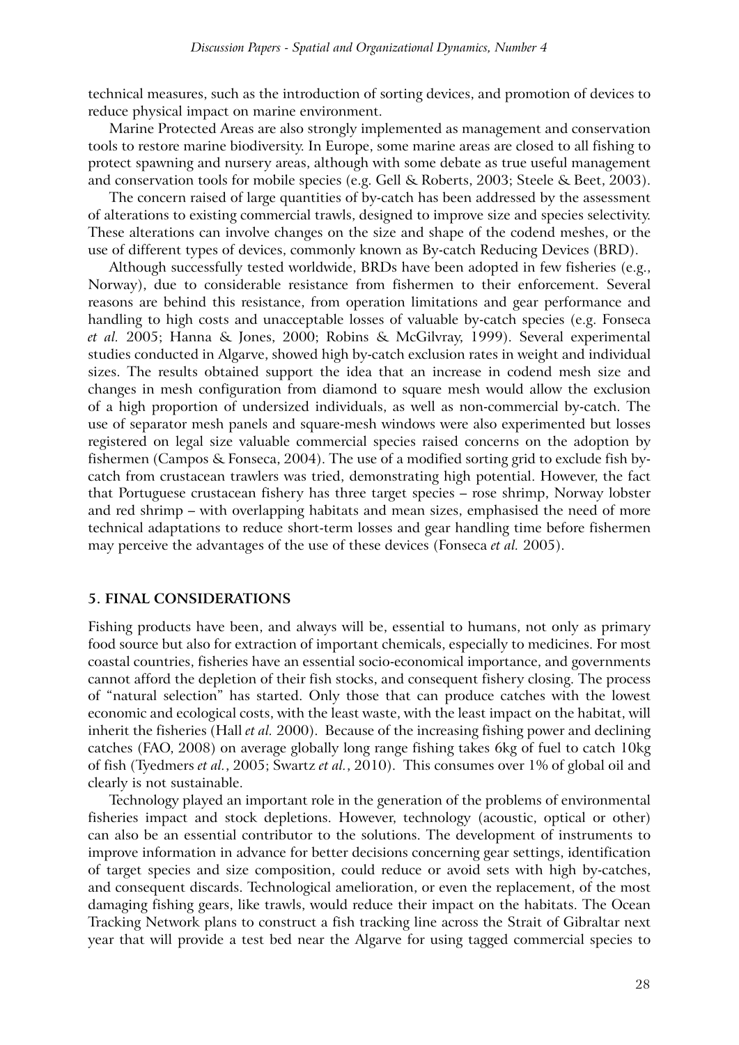technical measures, such as the introduction of sorting devices, and promotion of devices to reduce physical impact on marine environment.

Marine Protected Areas are also strongly implemented as management and conservation tools to restore marine biodiversity. In Europe, some marine areas are closed to all fishing to protect spawning and nursery areas, although with some debate as true useful management and conservation tools for mobile species (e.g. Gell & Roberts, 2003; Steele & Beet, 2003).

The concern raised of large quantities of by-catch has been addressed by the assessment of alterations to existing commercial trawls, designed to improve size and species selectivity. These alterations can involve changes on the size and shape of the codend meshes, or the use of different types of devices, commonly known as By-catch Reducing Devices (BRD).

Although successfully tested worldwide, BRDs have been adopted in few fisheries (e.g., Norway), due to considerable resistance from fishermen to their enforcement. Several reasons are behind this resistance, from operation limitations and gear performance and handling to high costs and unacceptable losses of valuable by-catch species (e.g. Fonseca *et al.* 2005; Hanna & Jones, 2000; Robins & McGilvray, 1999). Several experimental studies conducted in Algarve, showed high by-catch exclusion rates in weight and individual sizes. The results obtained support the idea that an increase in codend mesh size and changes in mesh configuration from diamond to square mesh would allow the exclusion of a high proportion of undersized individuals, as well as non-commercial by-catch. The use of separator mesh panels and square-mesh windows were also experimented but losses registered on legal size valuable commercial species raised concerns on the adoption by fishermen (Campos & Fonseca, 2004). The use of a modified sorting grid to exclude fish bycatch from crustacean trawlers was tried, demonstrating high potential. However, the fact that Portuguese crustacean fishery has three target species – rose shrimp, Norway lobster and red shrimp – with overlapping habitats and mean sizes, emphasised the need of more technical adaptations to reduce short-term losses and gear handling time before fishermen may perceive the advantages of the use of these devices (Fonseca *et al.* 2005).

#### **5. final Considerations**

Fishing products have been, and always will be, essential to humans, not only as primary food source but also for extraction of important chemicals, especially to medicines. For most coastal countries, fisheries have an essential socio-economical importance, and governments cannot afford the depletion of their fish stocks, and consequent fishery closing. The process of "natural selection" has started. Only those that can produce catches with the lowest economic and ecological costs, with the least waste, with the least impact on the habitat, will inherit the fisheries (Hall *et al.* 2000). Because of the increasing fishing power and declining catches (FAO, 2008) on average globally long range fishing takes 6kg of fuel to catch 10kg of fish (Tyedmers *et al.*, 2005; Swartz *et al.*, 2010). This consumes over 1% of global oil and clearly is not sustainable.

Technology played an important role in the generation of the problems of environmental fisheries impact and stock depletions. However, technology (acoustic, optical or other) can also be an essential contributor to the solutions. The development of instruments to improve information in advance for better decisions concerning gear settings, identification of target species and size composition, could reduce or avoid sets with high by-catches, and consequent discards. Technological amelioration, or even the replacement, of the most damaging fishing gears, like trawls, would reduce their impact on the habitats. The Ocean Tracking Network plans to construct a fish tracking line across the Strait of Gibraltar next year that will provide a test bed near the Algarve for using tagged commercial species to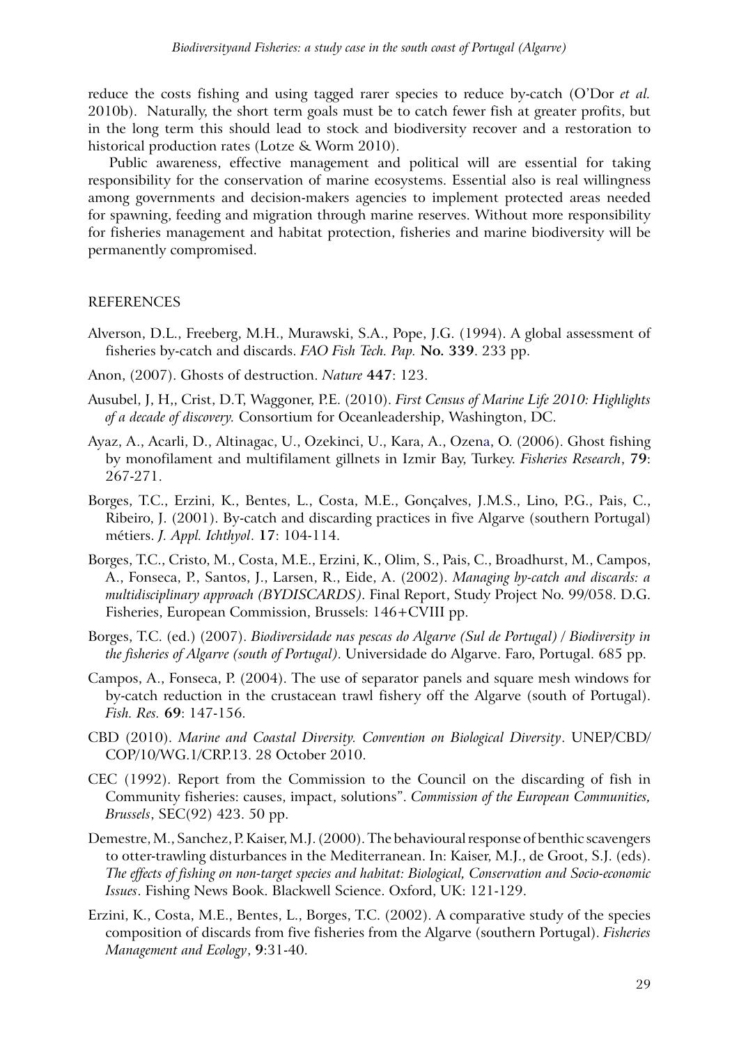reduce the costs fishing and using tagged rarer species to reduce by-catch (O'Dor *et al.* 2010b). Naturally, the short term goals must be to catch fewer fish at greater profits, but in the long term this should lead to stock and biodiversity recover and a restoration to historical production rates (Lotze & Worm 2010).

Public awareness, effective management and political will are essential for taking responsibility for the conservation of marine ecosystems. Essential also is real willingness among governments and decision-makers agencies to implement protected areas needed for spawning, feeding and migration through marine reserves. Without more responsibility for fisheries management and habitat protection, fisheries and marine biodiversity will be permanently compromised.

#### REFERENCES

- Alverson, D.L., Freeberg, M.H., Murawski, S.A., Pope, J.G. (1994). A global assessment of fisheries by-catch and discards. *FAO Fish Tech. Pap.* **No. 339**. 233 pp.
- Anon, (2007). Ghosts of destruction. *Nature* **447**: 123.
- Ausubel, J, H,, Crist, D.T, Waggoner, P.E. (2010). *First Census of Marine Life 2010: Highlights of a decade of discovery.* Consortium for Oceanleadership, Washington, DC.
- Ayaz, A., Acarli, D., Altinagac, U., Ozekinci, U., Kara, A., Ozena, O. (2006). Ghost fishing by monofilament and multifilament gillnets in Izmir Bay, Turkey. *Fisheries Research*, **79**: 267-271.
- Borges, T.C., Erzini, K., Bentes, L., Costa, M.E., Gonçalves, J.M.S., Lino, P.G., Pais, C., Ribeiro, J. (2001). By-catch and discarding practices in five Algarve (southern Portugal) métiers. *J. Appl. Ichthyol*. **17**: 104-114.
- Borges, T.C., Cristo, M., Costa, M.E., Erzini, K., Olim, S., Pais, C., Broadhurst, M., Campos, A., Fonseca, P., Santos, J., Larsen, R., Eide, A. (2002). *Managing by-catch and discards: a multidisciplinary approach (BYDISCARDS)*. Final Report, Study Project No. 99/058. D.G. Fisheries, European Commission, Brussels: 146+CVIII pp.
- Borges, T.C. (ed.) (2007). *Biodiversidade nas pescas do Algarve (Sul de Portugal) / Biodiversity in the fisheries of Algarve (south of Portugal)*. Universidade do Algarve. Faro, Portugal. 685 pp.
- Campos, A., Fonseca, P. (2004). The use of separator panels and square mesh windows for by-catch reduction in the crustacean trawl fishery off the Algarve (south of Portugal). *Fish. Res.* **69**: 147-156.
- CBD (2010). *Marine and Coastal Diversity. Convention on Biological Diversity*. UNEP/CBD/ COP/10/WG.1/CRP.13. 28 October 2010.
- CEC (1992). Report from the Commission to the Council on the discarding of fish in Community fisheries: causes, impact, solutions". *Commission of the European Communities, Brussels*, SEC(92) 423. 50 pp.
- Demestre, M., Sanchez, P. Kaiser, M.J. (2000). The behavioural response of benthic scavengers to otter-trawling disturbances in the Mediterranean. In: Kaiser, M.J., de Groot, S.J. (eds). *The effects of fishing on non-target species and habitat: Biological, Conservation and Socio-economic Issues*. Fishing News Book. Blackwell Science. Oxford, UK: 121-129.
- Erzini, K., Costa, M.E., Bentes, L., Borges, T.C. (2002). A comparative study of the species composition of discards from five fisheries from the Algarve (southern Portugal). *Fisheries Management and Ecology*, **9**:31-40.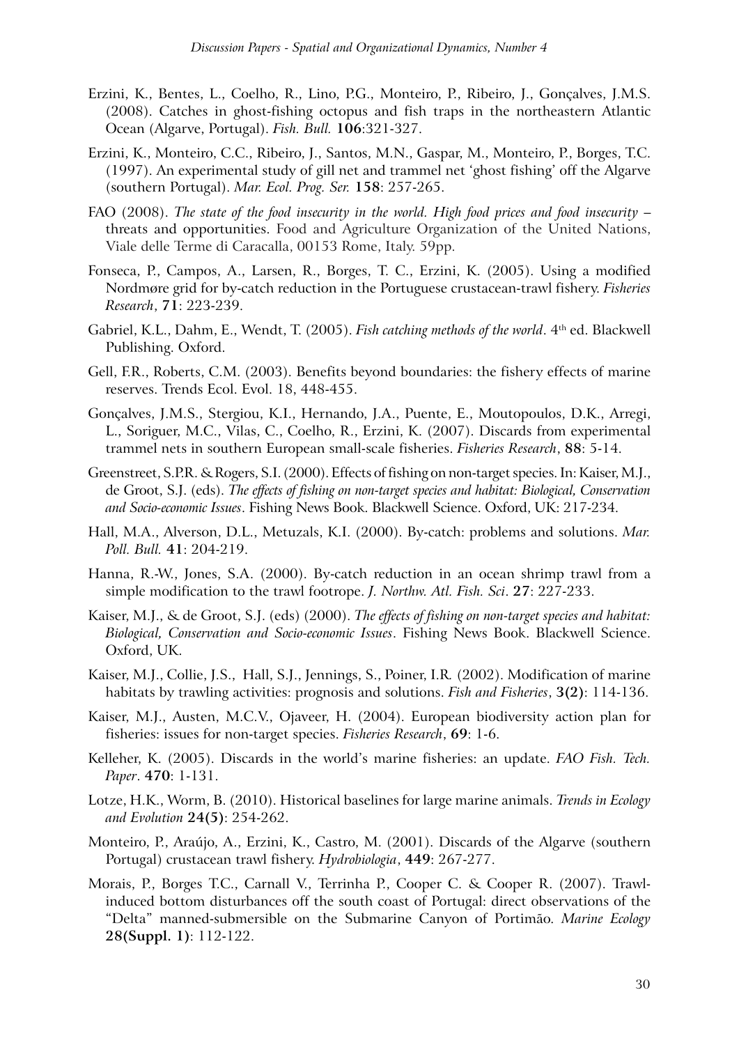- Erzini, K., Bentes, L., Coelho, R., Lino, P.G., Monteiro, P., Ribeiro, J., Gonçalves, J.M.S. (2008). Catches in ghost-fishing octopus and fish traps in the northeastern Atlantic Ocean (Algarve, Portugal). *Fish. Bull.* **106**:321-327.
- Erzini, K., Monteiro, C.C., Ribeiro, J., Santos, M.N., Gaspar, M., Monteiro, P., Borges, T.C. (1997). An experimental study of gill net and trammel net 'ghost fishing' off the Algarve (southern Portugal). *Mar. Ecol. Prog. Ser.* **158**: 257-265.
- FAO (2008). *The state of the food insecurity in the world. High food prices and food insecurity* threats and opportunities. Food and Agriculture Organization of the United Nations, Viale delle Terme di Caracalla, 00153 Rome, Italy. 59pp.
- Fonseca, P., Campos, A., Larsen, R., Borges, T. C., Erzini, K. (2005). Using a modified Nordmøre grid for by-catch reduction in the Portuguese crustacean-trawl fishery. *Fisheries Research*, **71**: 223-239.
- Gabriel, K.L., Dahm, E., Wendt, T. (2005). *Fish catching methods of the world*. 4<sup>th</sup> ed. Blackwell Publishing. Oxford.
- Gell, F.R., Roberts, C.M. (2003). Benefits beyond boundaries: the fishery effects of marine reserves. Trends Ecol. Evol. 18, 448-455.
- Gonçalves, J.M.S., Stergiou, K.I., Hernando, J.A., Puente, E., Moutopoulos, D.K., Arregi, L., Soriguer, M.C., Vilas, C., Coelho, R., Erzini, K. (2007). Discards from experimental trammel nets in southern European small-scale fisheries. *Fisheries Research*, **88**: 5-14.
- Greenstreet, S.P.R. & Rogers, S.I. (2000). Effects of fishing on non-target species. In: Kaiser, M.J., de Groot, S.J. (eds). *The effects of fishing on non-target species and habitat: Biological, Conservation and Socio-economic Issues*. Fishing News Book. Blackwell Science. Oxford, UK: 217-234.
- Hall, M.A., Alverson, D.L., Metuzals, K.I. (2000). By-catch: problems and solutions. *Mar. Poll. Bull.* **41**: 204-219.
- Hanna, R.-W., Jones, S.A. (2000). By-catch reduction in an ocean shrimp trawl from a simple modification to the trawl footrope. *J. Northw. Atl. Fish. Sci*. **27**: 227-233.
- Kaiser, M.J., & de Groot, S.J. (eds) (2000). *The effects of fishing on non-target species and habitat: Biological, Conservation and Socio-economic Issues*. Fishing News Book. Blackwell Science. Oxford, UK.
- Kaiser, M.J., Collie, J.S., Hall, S.J., Jennings, S., Poiner, I.R*.* (2002). Modification of marine habitats by trawling activities: prognosis and solutions. *Fish and Fisheries*, **3(2)**: 114-136.
- Kaiser, M.J., Austen, M.C.V., Ojaveer, H. (2004). European biodiversity action plan for fisheries: issues for non-target species. *Fisheries Research*, **69**: 1-6.
- Kelleher, K. (2005). Discards in the world's marine fisheries: an update. *FAO Fish. Tech. Paper*. **470**: 1-131.
- Lotze, H.K., Worm, B. (2010). Historical baselines for large marine animals. *Trends in Ecology and Evolution* **24(5)**: 254-262.
- Monteiro, P., Araújo, A., Erzini, K., Castro, M. (2001). Discards of the Algarve (southern Portugal) crustacean trawl fishery. *Hydrobiologia*, **449**: 267-277.
- Morais, P., Borges T.C., Carnall V., Terrinha P., Cooper C. & Cooper R. (2007). Trawlinduced bottom disturbances off the south coast of Portugal: direct observations of the "Delta" manned-submersible on the Submarine Canyon of Portimão. *Marine Ecology* **28(Suppl. 1)**: 112-122.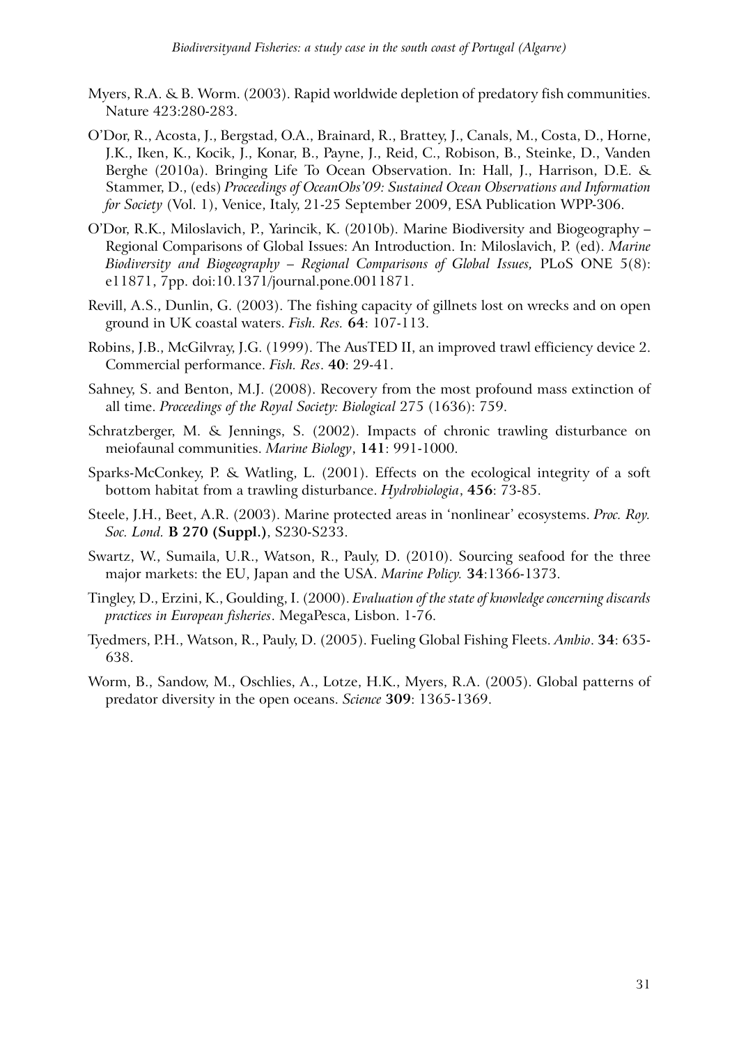- Myers, R.A. & B. Worm. (2003). Rapid worldwide depletion of predatory fish communities. Nature 423:280-283.
- O'Dor, R., Acosta, J., Bergstad, O.A., Brainard, R., Brattey, J., Canals, M., Costa, D., Horne, J.K., Iken, K., Kocik, J., Konar, B., Payne, J., Reid, C., Robison, B., Steinke, D., Vanden Berghe (2010a). Bringing Life To Ocean Observation. In: Hall, J., Harrison, D.E. & Stammer, D., (eds) *Proceedings of OceanObs'09: Sustained Ocean Observations and Information for Society* (Vol. 1), Venice, Italy, 21-25 September 2009, ESA Publication WPP-306.
- O'Dor, R.K., Miloslavich, P., Yarincik, K. (2010b). Marine Biodiversity and Biogeography Regional Comparisons of Global Issues: An Introduction. In: Miloslavich, P. (ed). *Marine Biodiversity and Biogeography – Regional Comparisons of Global Issues,* PLoS ONE 5(8): e11871, 7pp. doi:10.1371/journal.pone.0011871.
- Revill, A.S., Dunlin, G. (2003). The fishing capacity of gillnets lost on wrecks and on open ground in UK coastal waters. *Fish. Res.* **64**: 107-113.
- Robins, J.B., McGilvray, J.G. (1999). The AusTED II, an improved trawl efficiency device 2. Commercial performance. *Fish. Res*. **40**: 29-41.
- Sahney, S. and Benton, M.J. (2008). Recovery from the most profound mass extinction of all time. *Proceedings of the Royal Society: Biological* 275 (1636): 759.
- Schratzberger, M. & Jennings, S. (2002). Impacts of chronic trawling disturbance on meiofaunal communities. *Marine Biology*, **141**: 991-1000.
- Sparks-McConkey, P. & Watling, L. (2001). Effects on the ecological integrity of a soft bottom habitat from a trawling disturbance. *Hydrobiologia*, **456**: 73-85.
- Steele, J.H., Beet, A.R. (2003). Marine protected areas in 'nonlinear' ecosystems. *Proc. Roy. Soc. Lond.* **B 270 (Suppl.)**, S230-S233.
- Swartz, W., Sumaila, U.R., Watson, R., Pauly, D. (2010). Sourcing seafood for the three major markets: the EU, Japan and the USA. *Marine Policy.* **34**:1366-1373.
- Tingley, D., Erzini, K., Goulding, I. (2000). *Evaluation of the state of knowledge concerning discards practices in European fisheries*. MegaPesca, Lisbon. 1-76.
- Tyedmers, P.H., Watson, R., Pauly, D. (2005). Fueling Global Fishing Fleets. *Ambio*. **34**: 635- 638.
- Worm, B., Sandow, M., Oschlies, A., Lotze, H.K., Myers, R.A. (2005). Global patterns of predator diversity in the open oceans. *Science* **309**: 1365-1369.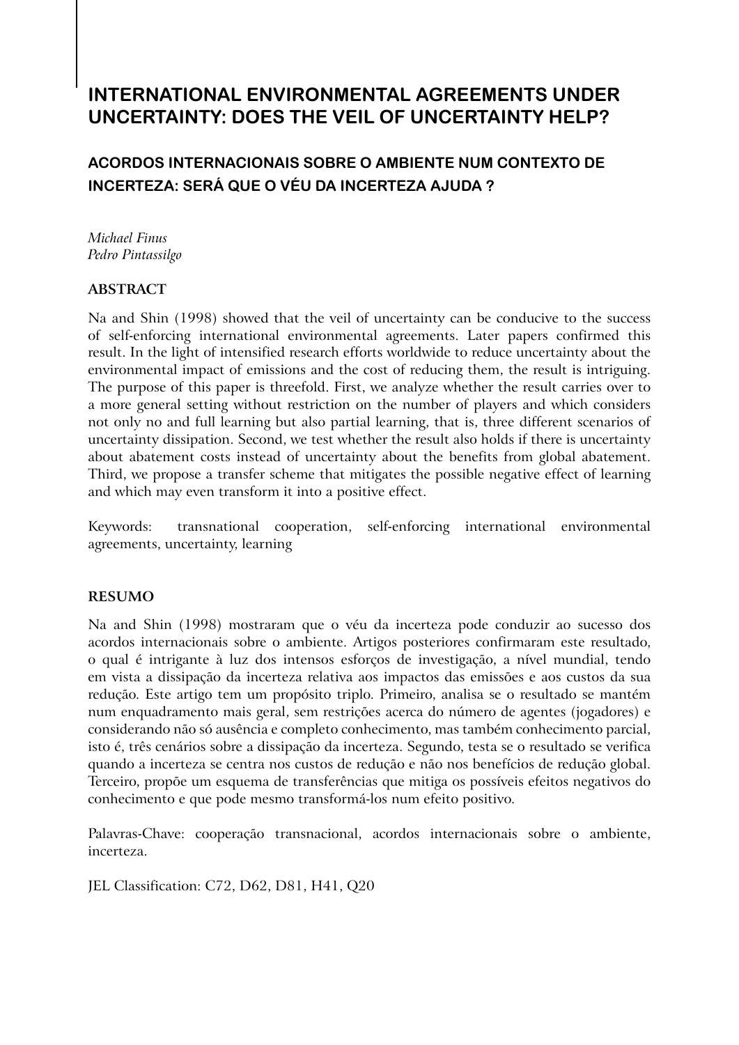## **International Environmental Agreements under Uncertainty: Does the Veil of Uncertainty Help?**

## **Acordos Internacionais sobre o Ambiente num Contexto de Incerteza: Será que o Véu da Incerteza Ajuda ?**

*Michael Finus Pedro Pintassilgo*

#### **Abstract**

Na and Shin (1998) showed that the veil of uncertainty can be conducive to the success of self-enforcing international environmental agreements. Later papers confirmed this result. In the light of intensified research efforts worldwide to reduce uncertainty about the environmental impact of emissions and the cost of reducing them, the result is intriguing. The purpose of this paper is threefold. First, we analyze whether the result carries over to a more general setting without restriction on the number of players and which considers not only no and full learning but also partial learning, that is, three different scenarios of uncertainty dissipation. Second, we test whether the result also holds if there is uncertainty about abatement costs instead of uncertainty about the benefits from global abatement. Third, we propose a transfer scheme that mitigates the possible negative effect of learning and which may even transform it into a positive effect.

Keywords: transnational cooperation, self-enforcing international environmental agreements, uncertainty, learning

#### **Resumo**

Na and Shin (1998) mostraram que o véu da incerteza pode conduzir ao sucesso dos acordos internacionais sobre o ambiente. Artigos posteriores confirmaram este resultado, o qual é intrigante à luz dos intensos esforços de investigação, a nível mundial, tendo em vista a dissipação da incerteza relativa aos impactos das emissões e aos custos da sua redução. Este artigo tem um propósito triplo. Primeiro, analisa se o resultado se mantém num enquadramento mais geral, sem restrições acerca do número de agentes (jogadores) e considerando não só ausência e completo conhecimento, mas também conhecimento parcial, isto é, três cenários sobre a dissipação da incerteza. Segundo, testa se o resultado se verifica quando a incerteza se centra nos custos de redução e não nos benefícios de redução global. Terceiro, propõe um esquema de transferências que mitiga os possíveis efeitos negativos do conhecimento e que pode mesmo transformá-los num efeito positivo.

Palavras-Chave: cooperação transnacional, acordos internacionais sobre o ambiente, incerteza.

JEL Classification: C72, D62, D81, H41, Q20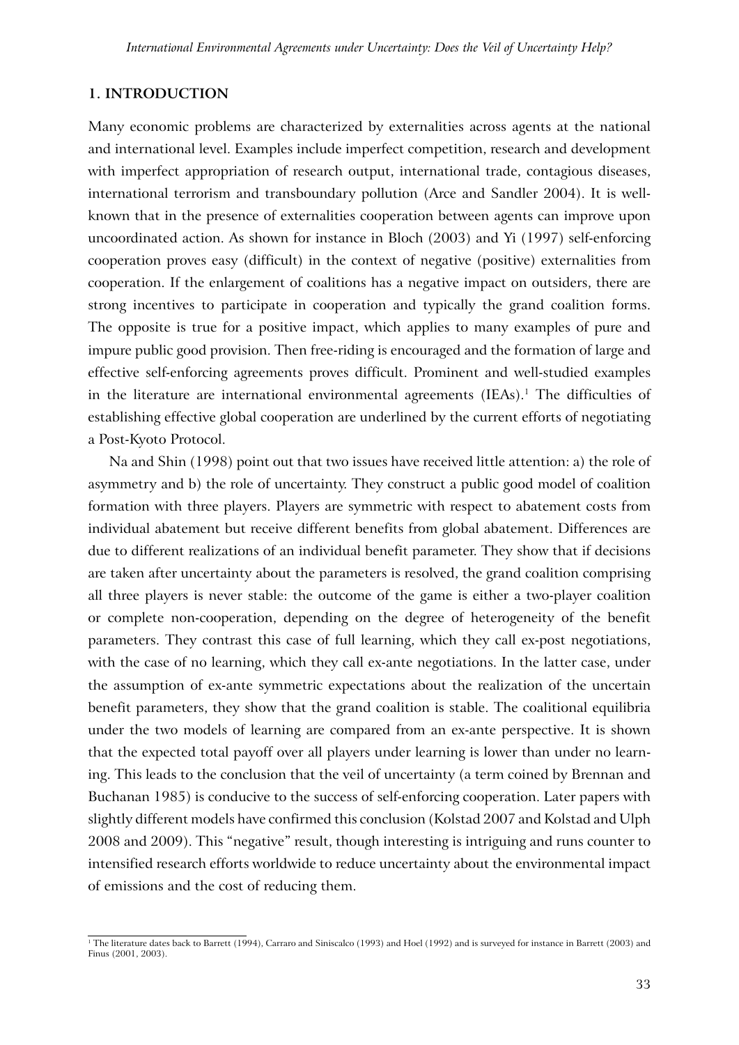#### **1. Introduction**

Many economic problems are characterized by externalities across agents at the national and international level. Examples include imperfect competition, research and development with imperfect appropriation of research output, international trade, contagious diseases, international terrorism and transboundary pollution (Arce and Sandler 2004). It is wellknown that in the presence of externalities cooperation between agents can improve upon uncoordinated action. As shown for instance in Bloch (2003) and Yi (1997) self-enforcing cooperation proves easy (difficult) in the context of negative (positive) externalities from cooperation. If the enlargement of coalitions has a negative impact on outsiders, there are strong incentives to participate in cooperation and typically the grand coalition forms. The opposite is true for a positive impact, which applies to many examples of pure and impure public good provision. Then free-riding is encouraged and the formation of large and effective self-enforcing agreements proves difficult. Prominent and well-studied examples in the literature are international environmental agreements  $(IEAs).<sup>1</sup>$  The difficulties of establishing effective global cooperation are underlined by the current efforts of negotiating a Post-Kyoto Protocol.

Na and Shin (1998) point out that two issues have received little attention: a) the role of asymmetry and b) the role of uncertainty. They construct a public good model of coalition formation with three players. Players are symmetric with respect to abatement costs from individual abatement but receive different benefits from global abatement. Differences are due to different realizations of an individual benefit parameter. They show that if decisions are taken after uncertainty about the parameters is resolved, the grand coalition comprising all three players is never stable: the outcome of the game is either a two-player coalition or complete non-cooperation, depending on the degree of heterogeneity of the benefit parameters. They contrast this case of full learning, which they call ex-post negotiations, with the case of no learning, which they call ex-ante negotiations. In the latter case, under the assumption of ex-ante symmetric expectations about the realization of the uncertain benefit parameters, they show that the grand coalition is stable. The coalitional equilibria under the two models of learning are compared from an ex-ante perspective. It is shown that the expected total payoff over all players under learning is lower than under no learning. This leads to the conclusion that the veil of uncertainty (a term coined by Brennan and Buchanan 1985) is conducive to the success of self-enforcing cooperation. Later papers with slightly different models have confirmed this conclusion (Kolstad 2007 and Kolstad and Ulph 2008 and 2009). This "negative" result, though interesting is intriguing and runs counter to intensified research efforts worldwide to reduce uncertainty about the environmental impact of emissions and the cost of reducing them.

<sup>&</sup>lt;sup>1</sup> The literature dates back to Barrett (1994), Carraro and Siniscalco (1993) and Hoel (1992) and is surveyed for instance in Barrett (2003) and Finus (2001, 2003).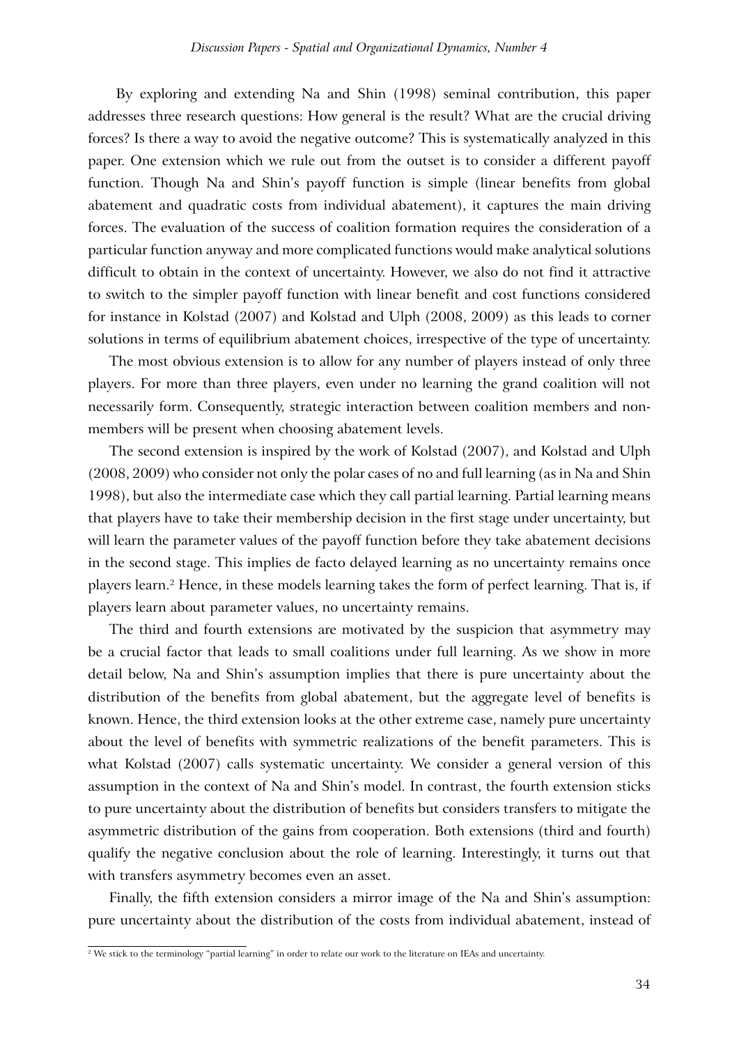By exploring and extending Na and Shin (1998) seminal contribution, this paper addresses three research questions: How general is the result? What are the crucial driving forces? Is there a way to avoid the negative outcome? This is systematically analyzed in this paper. One extension which we rule out from the outset is to consider a different payoff function. Though Na and Shin's payoff function is simple (linear benefits from global abatement and quadratic costs from individual abatement), it captures the main driving forces. The evaluation of the success of coalition formation requires the consideration of a particular function anyway and more complicated functions would make analytical solutions difficult to obtain in the context of uncertainty. However, we also do not find it attractive to switch to the simpler payoff function with linear benefit and cost functions considered for instance in Kolstad (2007) and Kolstad and Ulph (2008, 2009) as this leads to corner solutions in terms of equilibrium abatement choices, irrespective of the type of uncertainty.

The most obvious extension is to allow for any number of players instead of only three players. For more than three players, even under no learning the grand coalition will not necessarily form. Consequently, strategic interaction between coalition members and nonmembers will be present when choosing abatement levels.

The second extension is inspired by the work of Kolstad (2007), and Kolstad and Ulph (2008, 2009) who consider not only the polar cases of no and full learning (as in Na and Shin 1998), but also the intermediate case which they call partial learning. Partial learning means that players have to take their membership decision in the first stage under uncertainty, but will learn the parameter values of the payoff function before they take abatement decisions in the second stage. This implies de facto delayed learning as no uncertainty remains once players learn.2 Hence, in these models learning takes the form of perfect learning. That is, if players learn about parameter values, no uncertainty remains.

The third and fourth extensions are motivated by the suspicion that asymmetry may be a crucial factor that leads to small coalitions under full learning. As we show in more detail below, Na and Shin's assumption implies that there is pure uncertainty about the distribution of the benefits from global abatement, but the aggregate level of benefits is known. Hence, the third extension looks at the other extreme case, namely pure uncertainty about the level of benefits with symmetric realizations of the benefit parameters. This is what Kolstad (2007) calls systematic uncertainty. We consider a general version of this assumption in the context of Na and Shin's model. In contrast, the fourth extension sticks to pure uncertainty about the distribution of benefits but considers transfers to mitigate the asymmetric distribution of the gains from cooperation. Both extensions (third and fourth) qualify the negative conclusion about the role of learning. Interestingly, it turns out that with transfers asymmetry becomes even an asset.

Finally, the fifth extension considers a mirror image of the Na and Shin's assumption: pure uncertainty about the distribution of the costs from individual abatement, instead of

<sup>&</sup>lt;sup>2</sup> We stick to the terminology "partial learning" in order to relate our work to the literature on IEAs and uncertainty.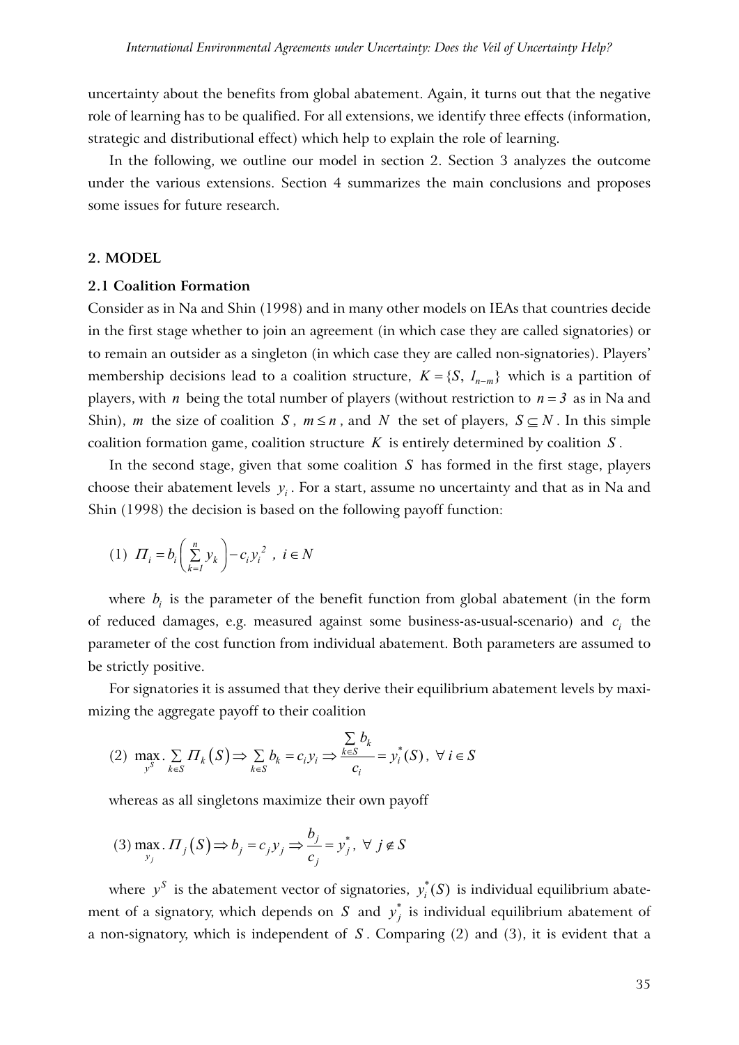uncertainty about the benefits from global abatement. Again, it turns out that the negative role of learning has to be qualified. For all extensions, we identify three effects (information, strategic and distributional effect) which help to explain the role of learning.

In the following, we outline our model in section 2. Section 3 analyzes the outcome under the various extensions. Section 4 summarizes the main conclusions and proposes some issues for future research.

#### **2. Model**

#### **2.1 Coalition Formation**

Consider as in Na and Shin (1998) and in many other models on IEAs that countries decide in the first stage whether to join an agreement (in which case they are called signatories) or to remain an outsider as a singleton (in which case they are called non-signatories). Players' membership decisions lead to a coalition structure,  $K = \{S, I_{n-m}\}\$  which is a partition of players, with *n* being the total number of players (without restriction to  $n = 3$  as in Na and Shin), *m* the size of coalition *S*,  $m \le n$ , and *N* the set of players,  $S \subseteq N$ . In this simple coalition formation game, coalition structure *K* is entirely determined by coalition *S* .

In the second stage, given that some coalition *S* has formed in the first stage, players choose their abatement levels  $y_i$ . For a start, assume no uncertainty and that as in Na and Shin (1998) the decision is based on the following payoff function:

(1) 
$$
\Pi_i = b_i \left( \sum_{k=1}^n y_k \right) - c_i y_i^2
$$
,  $i \in N$ 

where  $b_i$  is the parameter of the benefit function from global abatement (in the form of reduced damages, e.g. measured against some business-as-usual-scenario) and  $c_i$  the parameter of the cost function from individual abatement. Both parameters are assumed to be strictly positive.

For signatories it is assumed that they derive their equilibrium abatement levels by maximizing the aggregate payoff to their coalition

$$
(2) \ \ \max_{y^S} \sum_{k \in S} \Pi_k(S) \Rightarrow \sum_{k \in S} b_k = c_i y_i \Rightarrow \frac{\sum_{k \in S} b_k}{c_i} = y_i^*(S), \ \forall \ i \in S
$$

whereas as all singletons maximize their own payoff

(3) max. 
$$
\Pi_j(S) \Rightarrow b_j = c_j y_j \Rightarrow \frac{b_j}{c_j} = y_j^*, \forall j \notin S
$$

where  $\ y^S$  is the abatement vector of signatories,  $\ y_i^*(S)$  is individual equilibrium abatement of a signatory, which depends on  $S$  and  $y^*_j$  is individual equilibrium abatement of a non-signatory, which is independent of *S* . Comparing (2) and (3), it is evident that a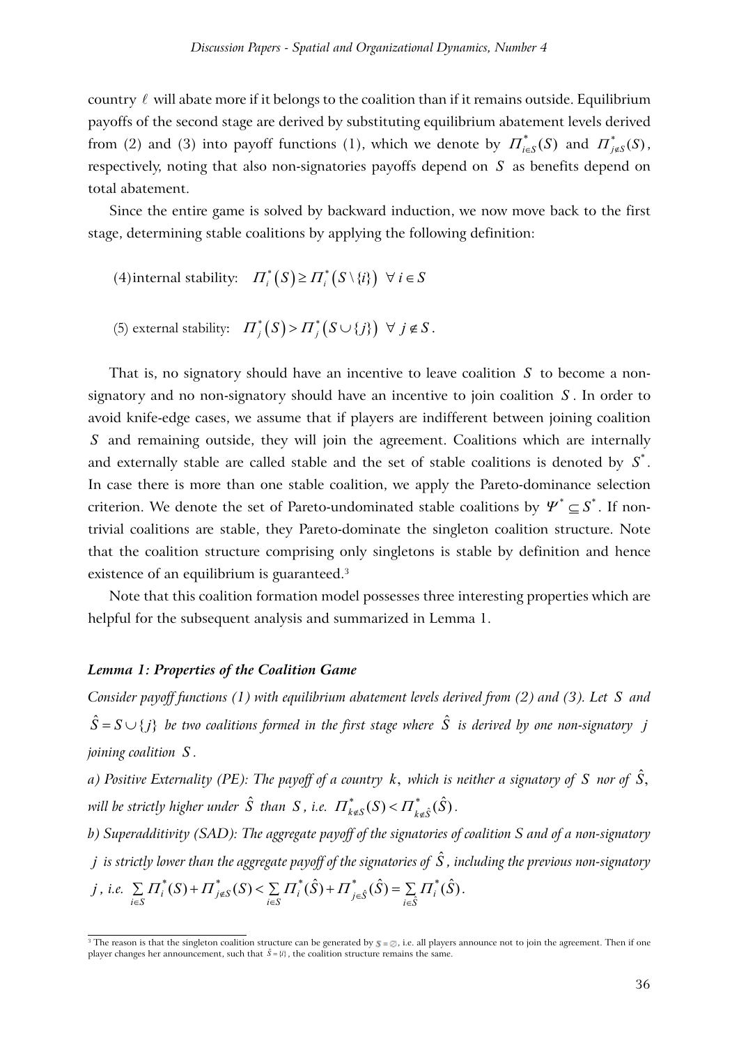country  $\ell$  will abate more if it belongs to the coalition than if it remains outside. Equilibrium payoffs of the second stage are derived by substituting equilibrium abatement levels derived from (2) and (3) into payoff functions (1), which we denote by  $\overline{H}_{i\in S}^*(S)$  and  $\overline{H}_{i\notin S}^*(S)$ , respectively, noting that also non-signatories payoffs depend on *S* as benefits depend on total abatement.

Since the entire game is solved by backward induction, we now move back to the first stage, determining stable coalitions by applying the following definition:

- (4) internal stability:  $\Pi_i^*(S) \ge \Pi_i^*(S \setminus \{i\}) \ \forall \ i \in S$
- (5) external stability:  $\overline{\Pi}_i^*(S) > \overline{\Pi}_i^*(S \cup \{j\}) \ \forall \ j \notin S$ .

That is, no signatory should have an incentive to leave coalition *S* to become a nonsignatory and no non-signatory should have an incentive to join coalition *S* . In order to avoid knife-edge cases, we assume that if players are indifferent between joining coalition *S* and remaining outside, they will join the agreement. Coalitions which are internally and externally stable are called stable and the set of stable coalitions is denoted by  $S^*$ . In case there is more than one stable coalition, we apply the Pareto-dominance selection criterion. We denote the set of Pareto-undominated stable coalitions by  $\Psi^* \subseteq S^*$ . If nontrivial coalitions are stable, they Pareto-dominate the singleton coalition structure. Note that the coalition structure comprising only singletons is stable by definition and hence existence of an equilibrium is guaranteed.<sup>3</sup>

Note that this coalition formation model possesses three interesting properties which are helpful for the subsequent analysis and summarized in Lemma 1.

### *Lemma 1: Properties of the Coalition Game*

*Consider payoff functions (1) with equilibrium abatement levels derived from (2) and (3). Let S and*   $\hat{S} = S \cup \{j\}$  be two coalitions formed in the first stage where  $\hat{S}$  is derived by one non-signatory  $j$ *joining coalition S .* 

*a) Positive Externality (PE): The payoff of a country k*, *which is neither a signatory of S nor of* ˆ *S*, *will be strictly higher under*  $\hat{S}$  *than*  $S$ , *i.e.*  $\prod_{k \notin S}^*(S) < \prod_{k \notin \hat{S}}^*(\hat{S})$ .

*b) Superadditivity (SAD): The aggregate payoff of the signatories of coalition S and of a non-signatory j is strictly lower than the aggregate payoff of the signatories of* ˆ *S , including the previous non-signatory*   $j$ , i.e.  $\sum_{i \in S} \prod_{i}^{*}(S) + \prod_{j \notin S}^{*}(S) < \sum_{i \in S} \prod_{i}^{*}(\hat{S}) + \prod_{j \in \hat{S}}^{*}(\hat{S}) = \sum_{i \in \hat{S}} \prod_{i}^{*}(\hat{S})$ .

<sup>&</sup>lt;sup>3</sup> The reason is that the singleton coalition structure can be generated by  $s = \emptyset$ , i.e. all players announce not to join the agreement. Then if one player changes her announcement, such that  $\tilde{S} = \{i\}$ , the coalition structure remains the same.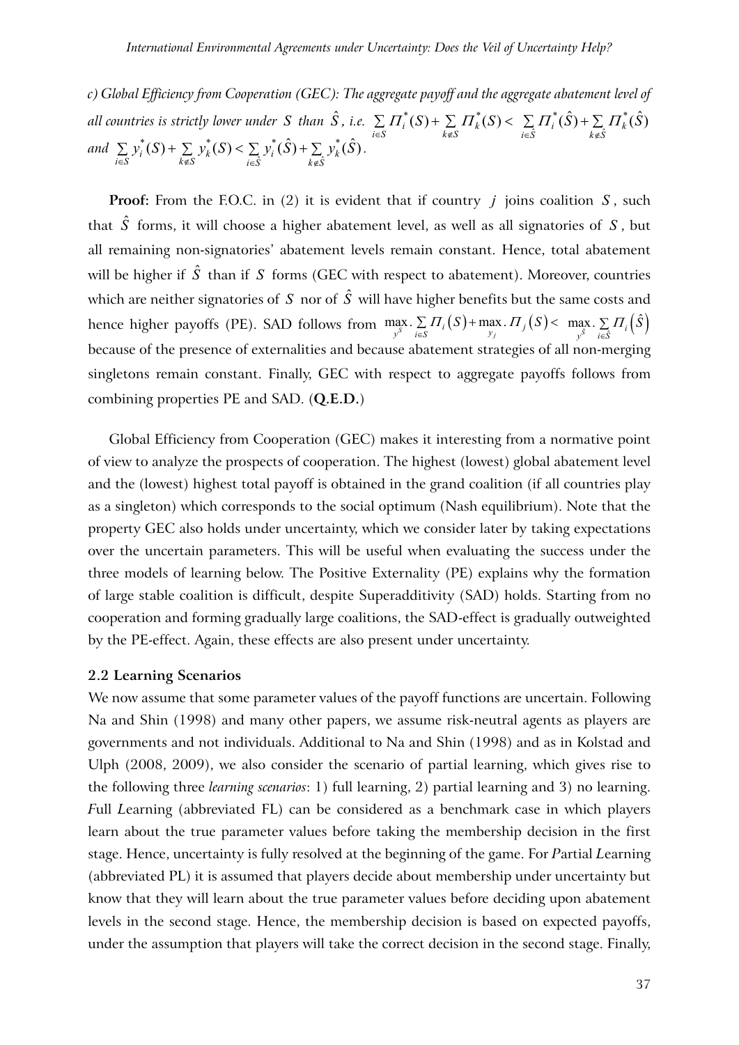*c) Global Efficiency from Cooperation (GEC): The aggregate payoff and the aggregate abatement level of all countries is strictly lower under S than*  $\hat{S}$ , *i.e.*  $\sum_{i \in S} \overline{H}_i^*(S) + \sum_{k \notin S} \overline{H}_k^*(S)$  $\overline{\Pi}_i^*(S)$  +  $\sum \overline{\Pi}_k^*(S)$  $i \in S$   $k \notin$  $\sum_{i \in S} \prod_{i}^{*}(S) + \sum_{k \notin S} \prod_{k}^{*}(S) < \sum_{i \in \hat{S}} \prod_{i}^{*}(\hat{S}) + \sum_{k \notin \hat{S}} \prod_{k}^{*}(\hat{S})$  $\overline{H}_i^*(S)$  +  $\sum \overline{H}_k^*(S)$  $i \in S$  k∉  $\sum \overline{H}_i^*(S) + \sum$ *and*  $\sum_{i \in S} y_i^*(S) + \sum_{k \notin S} y_k^*(S) < \sum_{i \in \hat{S}} y_i^*(\hat{S}) + \sum_{k \notin \hat{S}} y_k^*(\hat{S})$  $y_i^*(S)$  +  $\sum y_k^*(S)$  <  $\sum y_i^*(S)$  +  $\sum y_k^*(S)$ ∈  $S$   $k \notin S$   $i \in \hat{S}$   $k \notin$  $\sum y_i^*(S) + \sum y_k^*(S) < \sum y_i^*(S) + \sum y_k^*(S)$ .

**Proof:** From the F.O.C. in (2) it is evident that if country *j* joins coalition *S* , such that  $\hat{S}$  forms, it will choose a higher abatement level, as well as all signatories of  $S$ , but all remaining non-signatories' abatement levels remain constant. Hence, total abatement will be higher if  $\hat{S}$  than if  $S$  forms (GEC with respect to abatement). Moreover, countries which are neither signatories of  $\,S\,$  nor of  $\,\hat{S}\,$  will have higher benefits but the same costs and hence higher payoffs (PE). SAD follows from  $\max_{y^S} \sum_{i \in S} \Pi_i(S) + \max_{y_j} \Pi_j(S) < \max_{y^S} \sum_{i \in S} \Pi_i(\hat{S})$  $\Pi_i$  S ∑<br>≀∈ because of the presence of externalities and because abatement strategies of all non-merging singletons remain constant. Finally, GEC with respect to aggregate payoffs follows from combining properties PE and SAD. (**Q.E.D.**)

Global Efficiency from Cooperation (GEC) makes it interesting from a normative point of view to analyze the prospects of cooperation. The highest (lowest) global abatement level and the (lowest) highest total payoff is obtained in the grand coalition (if all countries play as a singleton) which corresponds to the social optimum (Nash equilibrium). Note that the property GEC also holds under uncertainty, which we consider later by taking expectations over the uncertain parameters. This will be useful when evaluating the success under the three models of learning below. The Positive Externality (PE) explains why the formation of large stable coalition is difficult, despite Superadditivity (SAD) holds. Starting from no cooperation and forming gradually large coalitions, the SAD-effect is gradually outweighted by the PE-effect. Again, these effects are also present under uncertainty.

### **2.2 Learning Scenarios**

We now assume that some parameter values of the payoff functions are uncertain. Following Na and Shin (1998) and many other papers, we assume risk-neutral agents as players are governments and not individuals. Additional to Na and Shin (1998) and as in Kolstad and Ulph (2008, 2009), we also consider the scenario of partial learning, which gives rise to the following three *learning scenarios*: 1) full learning, 2) partial learning and 3) no learning. *F*ull *L*earning (abbreviated FL) can be considered as a benchmark case in which players learn about the true parameter values before taking the membership decision in the first stage. Hence, uncertainty is fully resolved at the beginning of the game. For *P*artial *L*earning (abbreviated PL) it is assumed that players decide about membership under uncertainty but know that they will learn about the true parameter values before deciding upon abatement levels in the second stage. Hence, the membership decision is based on expected payoffs, under the assumption that players will take the correct decision in the second stage. Finally,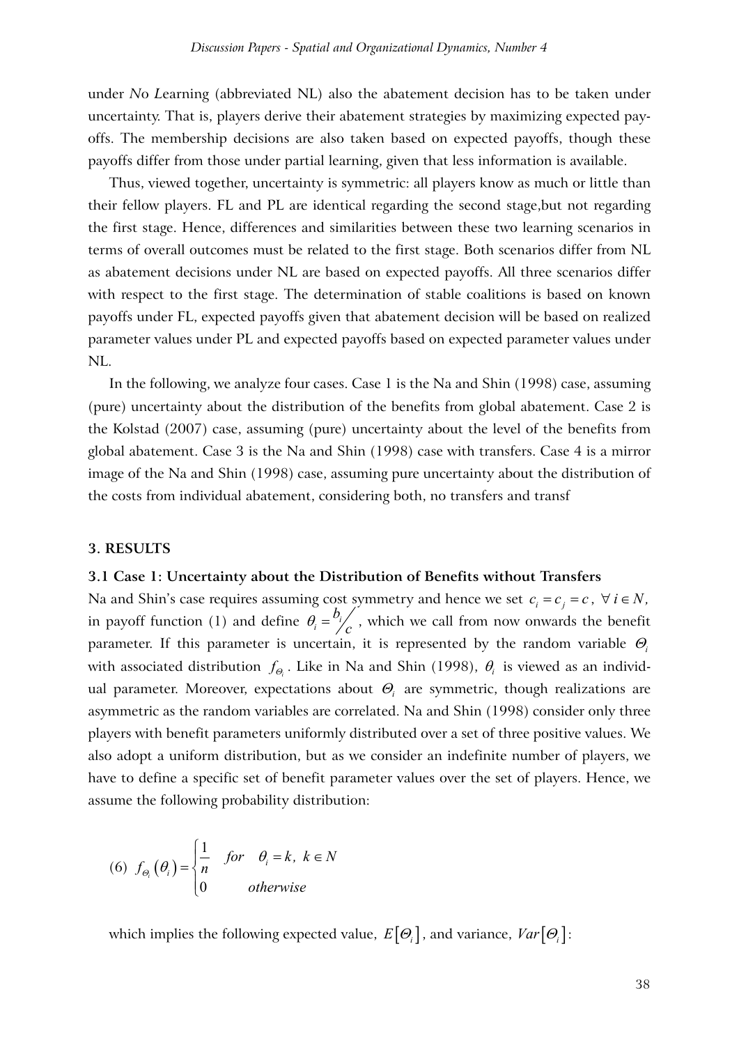under *N*o *L*earning (abbreviated NL) also the abatement decision has to be taken under uncertainty. That is, players derive their abatement strategies by maximizing expected payoffs. The membership decisions are also taken based on expected payoffs, though these payoffs differ from those under partial learning, given that less information is available.

Thus, viewed together, uncertainty is symmetric: all players know as much or little than their fellow players. FL and PL are identical regarding the second stage,but not regarding the first stage. Hence, differences and similarities between these two learning scenarios in terms of overall outcomes must be related to the first stage. Both scenarios differ from NL as abatement decisions under NL are based on expected payoffs. All three scenarios differ with respect to the first stage. The determination of stable coalitions is based on known payoffs under FL, expected payoffs given that abatement decision will be based on realized parameter values under PL and expected payoffs based on expected parameter values under NL.

In the following, we analyze four cases. Case 1 is the Na and Shin (1998) case, assuming (pure) uncertainty about the distribution of the benefits from global abatement. Case 2 is the Kolstad (2007) case, assuming (pure) uncertainty about the level of the benefits from global abatement. Case 3 is the Na and Shin (1998) case with transfers. Case 4 is a mirror image of the Na and Shin (1998) case, assuming pure uncertainty about the distribution of the costs from individual abatement, considering both, no transfers and transf

#### **3. Results**

#### **3.1 Case 1: Uncertainty about the Distribution of Benefits without Transfers**

Na and Shin's case requires assuming cost symmetry and hence we set  $c_i = c_j = c$ ,  $\forall i \in N$ , in payoff function (1) and define  $\theta_i = \frac{\nu_i}{\lambda}$ *b*  $\theta_i = \frac{\theta_i}{c}$ , which we call from now onwards the benefit parameter. If this parameter is uncertain, it is represented by the random variable Θ*<sup>i</sup>* with associated distribution  $f_{\theta_i}$ . Like in Na and Shin (1998),  $\theta_i$  is viewed as an individual parameter. Moreover, expectations about Θ*i* are symmetric, though realizations are asymmetric as the random variables are correlated. Na and Shin (1998) consider only three players with benefit parameters uniformly distributed over a set of three positive values. We also adopt a uniform distribution, but as we consider an indefinite number of players, we have to define a specific set of benefit parameter values over the set of players. Hence, we assume the following probability distribution:

(6) 
$$
f_{\theta_i}(\theta_i) = \begin{cases} \frac{1}{n} & \text{for } \theta_i = k, \ k \in \mathbb{N} \\ 0 & \text{otherwise} \end{cases}
$$

which implies the following expected value,  $E[\Theta_i]$ , and variance,  $Var[\Theta_i]$ :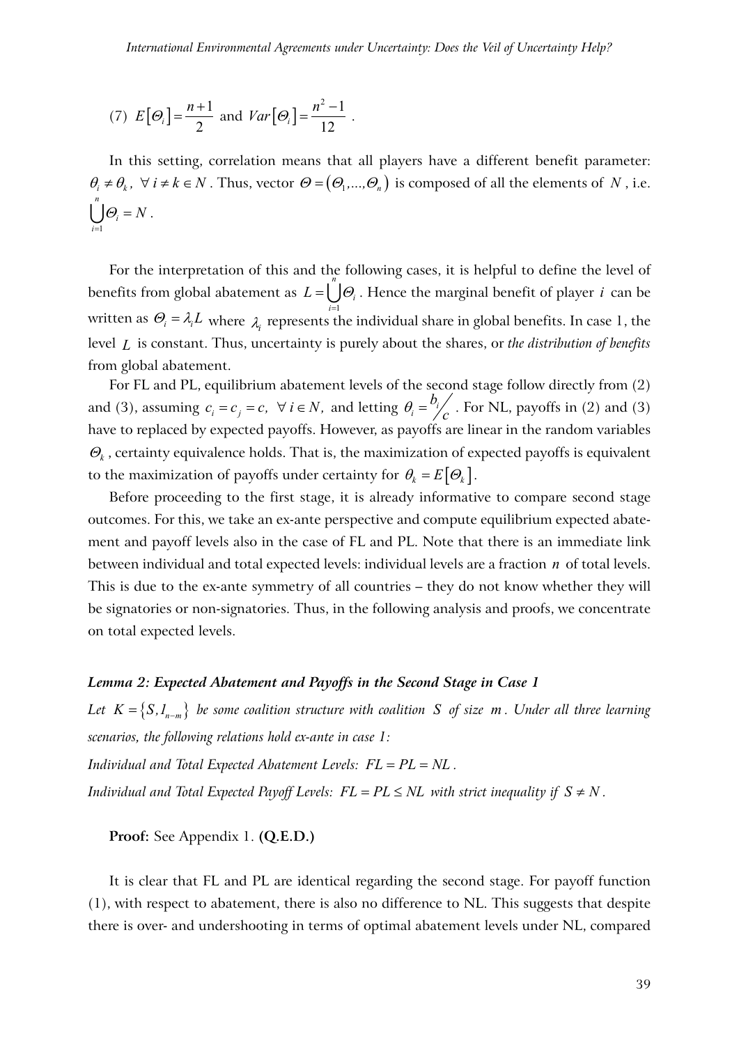(7) 
$$
E[\Theta_i] = \frac{n+1}{2}
$$
 and  $Var[\Theta_i] = \frac{n^2 - 1}{12}$ .

In this setting, correlation means that all players have a different benefit parameter:  $\theta_i \neq \theta_k$ ,  $\forall i \neq k \in N$ . Thus, vector  $\Theta = (\Theta_1, ..., \Theta_n)$  is composed of all the elements of *N*, i.e. 1 *n i i*  $\Theta_i = N$  $\bigcup_{i=1} \Theta_i = N$ .

For the interpretation of this and the following cases, it is helpful to define the level of *n* benefits from global abatement as  $L = \bigcup \mathcal{O}_i$ . Hence the marginal benefit of player *i* can be written as  $\mathcal{O}_i = \lambda_i L$  where  $\lambda_i$  represents the individual share in global benefits. In case 1, the level *L* is constant. Thus, uncertainty is purely about the shares, or *the distribution of benefits* from global abatement.

For FL and PL, equilibrium abatement levels of the second stage follow directly from (2) and (3), assuming  $c_i = c_j = c$ ,  $\forall i \in N$ , and letting  $\theta_i = \frac{b_i}{\lambda}$ *b*  $\theta_i = \frac{\theta_i}{c}$ . For NL, payoffs in (2) and (3) have to replaced by expected payoffs. However, as payoffs are linear in the random variables <sup>Θ</sup>*<sup>k</sup>* , certainty equivalence holds. That is, the maximization of expected payoffs is equivalent to the maximization of payoffs under certainty for  $\theta_k = E[\Theta_k]$ .

Before proceeding to the first stage, it is already informative to compare second stage outcomes. For this, we take an ex-ante perspective and compute equilibrium expected abatement and payoff levels also in the case of FL and PL. Note that there is an immediate link between individual and total expected levels: individual levels are a fraction *n* of total levels. This is due to the ex-ante symmetry of all countries – they do not know whether they will be signatories or non-signatories. Thus, in the following analysis and proofs, we concentrate on total expected levels.

#### *Lemma 2: Expected Abatement and Payoffs in the Second Stage in Case 1*

*Let*  $K = \{S, I_{n-m}\}\$  be some coalition structure with coalition *S* of size *m . Under all three learning scenarios, the following relations hold ex-ante in case 1:*

*Individual and Total Expected Abatement Levels:*  $FL = PL = NL$ .

*Individual and Total Expected Payoff Levels:*  $FL = PL \leq NL$  *with strict inequality if*  $S \neq N$ *.* 

**Proof:** See Appendix 1. **(Q.E.D.)**

It is clear that FL and PL are identical regarding the second stage. For payoff function (1), with respect to abatement, there is also no difference to NL. This suggests that despite there is over- and undershooting in terms of optimal abatement levels under NL, compared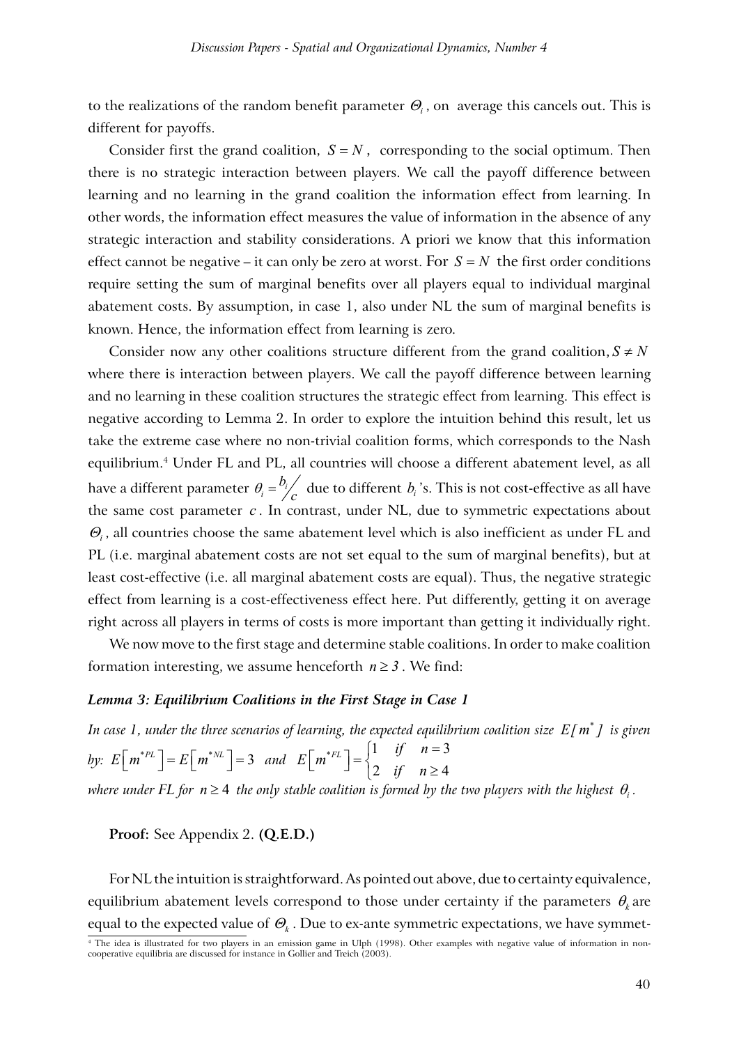to the realizations of the random benefit parameter Θ*<sup>i</sup>* , on average this cancels out. This is different for payoffs.

Consider first the grand coalition,  $S = N$ , corresponding to the social optimum. Then there is no strategic interaction between players. We call the payoff difference between learning and no learning in the grand coalition the information effect from learning. In other words, the information effect measures the value of information in the absence of any strategic interaction and stability considerations. A priori we know that this information effect cannot be negative – it can only be zero at worst. For  $S = N$  the first order conditions require setting the sum of marginal benefits over all players equal to individual marginal abatement costs. By assumption, in case 1, also under NL the sum of marginal benefits is known. Hence, the information effect from learning is zero.

Consider now any other coalitions structure different from the grand coalition,  $S \neq N$ where there is interaction between players. We call the payoff difference between learning and no learning in these coalition structures the strategic effect from learning. This effect is negative according to Lemma 2. In order to explore the intuition behind this result, let us take the extreme case where no non-trivial coalition forms, which corresponds to the Nash equilibrium.4 Under FL and PL, all countries will choose a different abatement level, as all have a different parameter  $\theta_i = \frac{b_i}{\lambda_i}$  $\theta_i = \frac{\theta_i}{c}$  due to different  $b_i$ 's. This is not cost-effective as all have the same cost parameter  $c$ . In contrast, under NL, due to symmetric expectations about <sup>Θ</sup>*<sup>i</sup>* , all countries choose the same abatement level which is also inefficient as under FL and PL (i.e. marginal abatement costs are not set equal to the sum of marginal benefits), but at least cost-effective (i.e. all marginal abatement costs are equal). Thus, the negative strategic effect from learning is a cost-effectiveness effect here. Put differently, getting it on average right across all players in terms of costs is more important than getting it individually right.

We now move to the first stage and determine stable coalitions. In order to make coalition formation interesting, we assume henceforth  $n \geq 3$ . We find:

#### *Lemma 3: Equilibrium Coalitions in the First Stage in Case 1*

*In case 1, under the three scenarios of learning, the expected equilibrium coalition size*  $E[m^*]$  *is given by:*  $E\left[m^{*PL}\right] = E\left[m^{*NL}\right] = 3$  *and*  $E\left[m^{*FL}\right] = \begin{cases} 1 & \text{if } n = 3 \\ 2 & \text{if } n > 4 \end{cases}$ 2 if  $n \geq 4$  $E\left[m^{\ast_{FL}}\right]=\begin{cases}1 & \text{if } n\end{cases}$  $\begin{bmatrix} m^{*FL} \end{bmatrix} = \begin{cases} 1 & if & n = \\ 2 & if & n \geq \end{cases}$ *where under FL for*  $n \geq 4$  *the only stable coalition is formed by the two players with the highest*  $\theta_i$ *.* 

**Proof:** See Appendix 2. **(Q.E.D.)**

For NL the intuition is straightforward. As pointed out above, due to certainty equivalence, equilibrium abatement levels correspond to those under certainty if the parameters  $\theta_k$  are equal to the expected value of  $\mathcal{O}_k$ . Due to ex-ante symmetric expectations, we have symmet-

<sup>&</sup>lt;sup>4</sup> The idea is illustrated for two players in an emission game in Ulph (1998). Other examples with negative value of information in noncooperative equilibria are discussed for instance in Gollier and Treich (2003).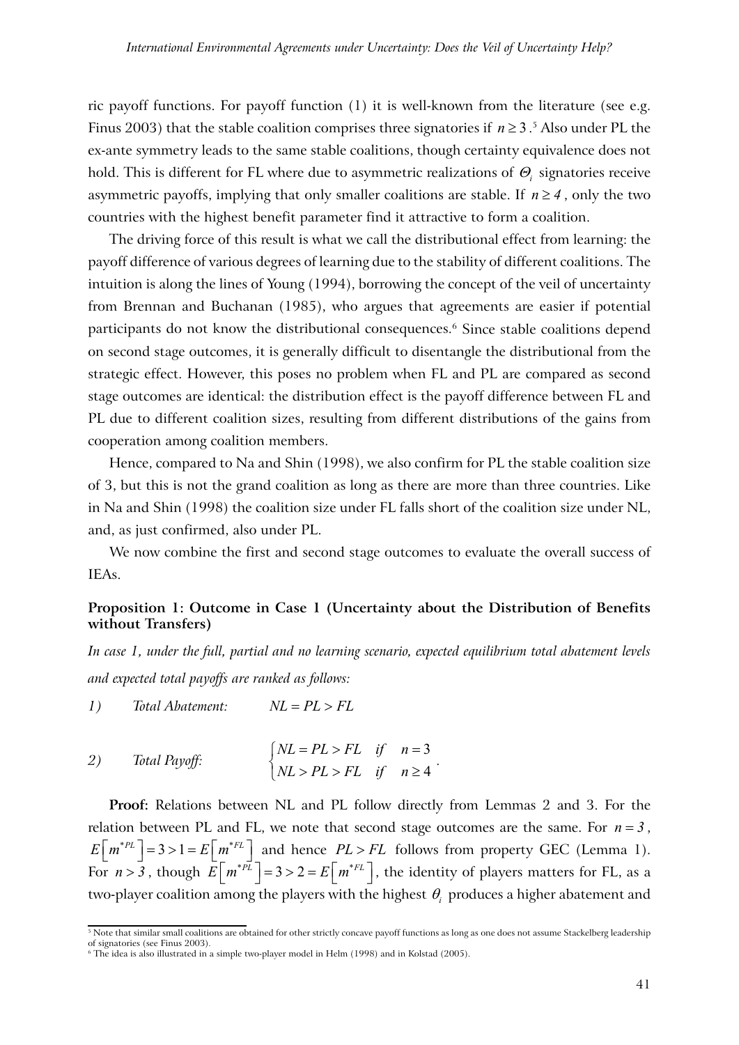ric payoff functions. For payoff function  $(1)$  it is well-known from the literature (see e.g. Finus 2003) that the stable coalition comprises three signatories if  $n \geq 3$ .<sup>5</sup> Also under PL the ex-ante symmetry leads to the same stable coalitions, though certainty equivalence does not hold. This is different for FL where due to asymmetric realizations of Θ*i* signatories receive asymmetric payoffs, implying that only smaller coalitions are stable. If  $n \geq 4$ , only the two countries with the highest benefit parameter find it attractive to form a coalition.

The driving force of this result is what we call the distributional effect from learning: the payoff difference of various degrees of learning due to the stability of different coalitions. The intuition is along the lines of Young (1994), borrowing the concept of the veil of uncertainty from Brennan and Buchanan (1985), who argues that agreements are easier if potential participants do not know the distributional consequences.<sup>6</sup> Since stable coalitions depend on second stage outcomes, it is generally difficult to disentangle the distributional from the strategic effect. However, this poses no problem when FL and PL are compared as second stage outcomes are identical: the distribution effect is the payoff difference between FL and PL due to different coalition sizes, resulting from different distributions of the gains from cooperation among coalition members.

Hence, compared to Na and Shin (1998), we also confirm for PL the stable coalition size of 3, but this is not the grand coalition as long as there are more than three countries. Like in Na and Shin (1998) the coalition size under FL falls short of the coalition size under NL, and, as just confirmed, also under PL.

We now combine the first and second stage outcomes to evaluate the overall success of IEAs.

## **Proposition 1: Outcome in Case 1 (Uncertainty about the Distribution of Benefits without Transfers)**

*In case 1, under the full, partial and no learning scenario, expected equilibrium total abatement levels and expected total payoffs are ranked as follows:*

*1*) *Total Abatement:*  $NL = PL > FL$ 

2) Total Payoff: 
$$
\begin{cases} NL = PL > FL & \text{if } n = 3 \\ NL > PL > FL & \text{if } n \ge 4 \end{cases}.
$$

**Proof:** Relations between NL and PL follow directly from Lemmas 2 and 3. For the relation between PL and FL, we note that second stage outcomes are the same. For  $n = 3$ ,  $E\lceil m^{*PL} \rceil = 3 > 1 = E\lceil m^{*FL} \rceil$  and hence  $PL > FL$  follows from property GEC (Lemma 1). For  $n > 3$ , though  $E\left[m^{*p}\right] = 3 > 2 = E\left[m^{*p}\right]$ , the identity of players matters for FL, as a two-player coalition among the players with the highest θ*i* produces a higher abatement and

<sup>&</sup>lt;sup>5</sup> Note that similar small coalitions are obtained for other strictly concave payoff functions as long as one does not assume Stackelberg leadership of signatories (see Finus 2003).

<sup>&</sup>lt;sup>6</sup> The idea is also illustrated in a simple two-player model in Helm (1998) and in Kolstad (2005).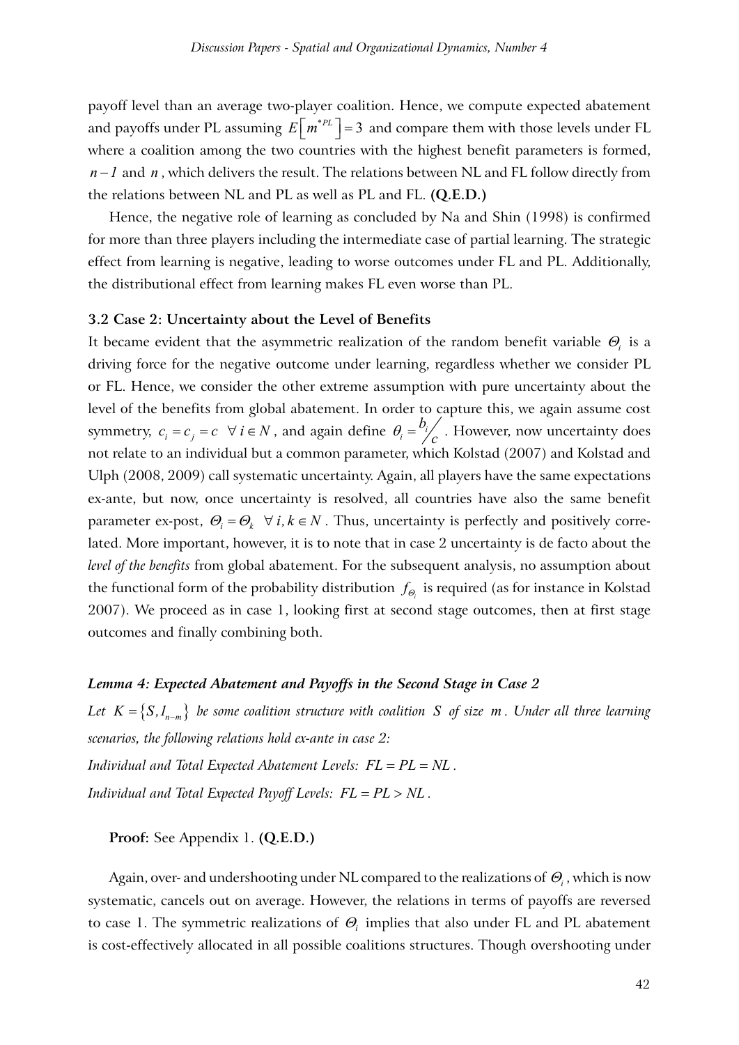payoff level than an average two-player coalition. Hence, we compute expected abatement and payoffs under PL assuming  $E\left[m^{*PL}\right] = 3$  and compare them with those levels under FL where a coalition among the two countries with the highest benefit parameters is formed, *n* − *l* and *n*, which delivers the result. The relations between NL and FL follow directly from the relations between NL and PL as well as PL and FL. **(Q.E.D.)**

Hence, the negative role of learning as concluded by Na and Shin (1998) is confirmed for more than three players including the intermediate case of partial learning. The strategic effect from learning is negative, leading to worse outcomes under FL and PL. Additionally, the distributional effect from learning makes FL even worse than PL.

#### **3.2 Case 2: Uncertainty about the Level of Benefits**

It became evident that the asymmetric realization of the random benefit variable Θ*i* is a driving force for the negative outcome under learning, regardless whether we consider PL or FL. Hence, we consider the other extreme assumption with pure uncertainty about the level of the benefits from global abatement. In order to capture this, we again assume cost symmetry,  $c_i = c_j = c \quad \forall i \in N$ , and again define  $\theta_i = \frac{b_i}{\lambda}$ *b*  $\theta_i = \frac{\theta_i}{c}$ . However, now uncertainty does not relate to an individual but a common parameter, which Kolstad (2007) and Kolstad and Ulph (2008, 2009) call systematic uncertainty. Again, all players have the same expectations ex-ante, but now, once uncertainty is resolved, all countries have also the same benefit parameter ex-post,  $\Theta_i = \Theta_k \quad \forall i, k \in N$ . Thus, uncertainty is perfectly and positively correlated. More important, however, it is to note that in case 2 uncertainty is de facto about the *level of the benefits* from global abatement. For the subsequent analysis, no assumption about the functional form of the probability distribution  $f_{\Theta}$  is required (as for instance in Kolstad 2007). We proceed as in case 1, looking first at second stage outcomes, then at first stage outcomes and finally combining both.

#### *Lemma 4: Expected Abatement and Payoffs in the Second Stage in Case 2*

*Let*  $K = \{S, I_{n-m}\}\$  be some coalition structure with coalition *S* of size *m . Under all three learning scenarios, the following relations hold ex-ante in case 2: Individual and Total Expected Abatement Levels:*  $FL = PL = NL$ . *Individual and Total Expected Payoff Levels:*  $FL = PL > NL$ .

**Proof:** See Appendix 1. **(Q.E.D.)**

Again, over- and undershooting under NL compared to the realizations of Θ*<sup>i</sup>* , which is now systematic, cancels out on average. However, the relations in terms of payoffs are reversed to case 1. The symmetric realizations of Θ*i* implies that also under FL and PL abatement is cost-effectively allocated in all possible coalitions structures. Though overshooting under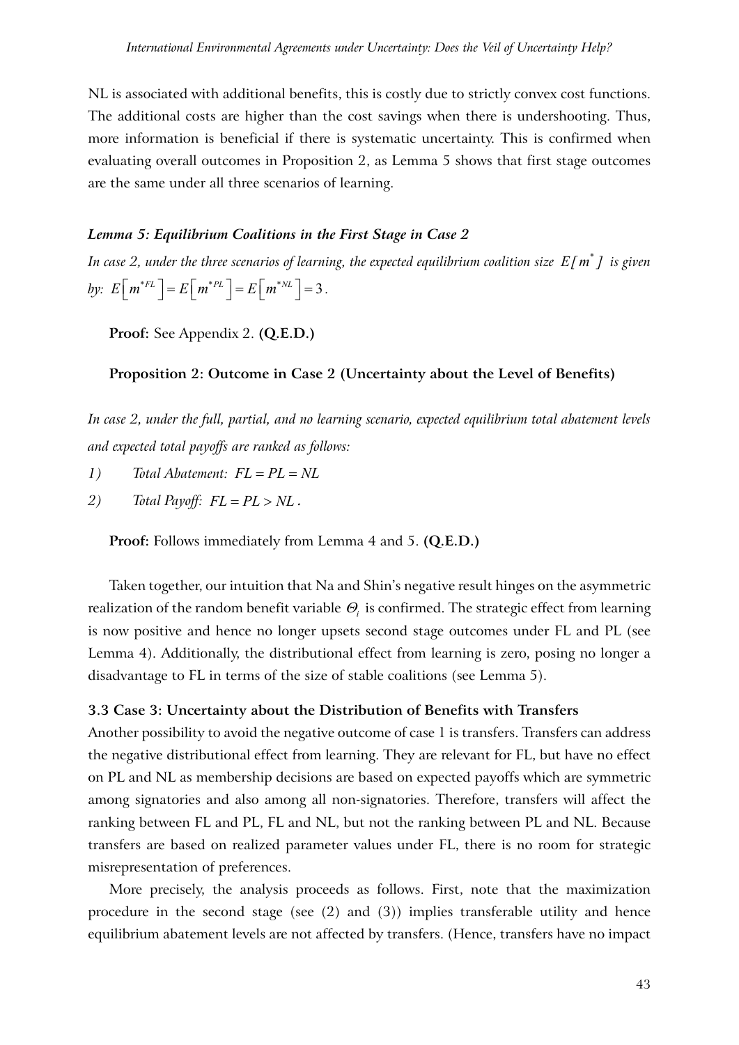NL is associated with additional benefits, this is costly due to strictly convex cost functions. The additional costs are higher than the cost savings when there is undershooting. Thus, more information is beneficial if there is systematic uncertainty. This is confirmed when evaluating overall outcomes in Proposition 2, as Lemma 5 shows that first stage outcomes are the same under all three scenarios of learning.

#### *Lemma 5: Equilibrium Coalitions in the First Stage in Case 2*

*In case 2, under the three scenarios of learning, the expected equilibrium coalition size*  $E/m^*$  *<i>[* is given *by:*  $E\left[m^{\ast FL}\right] = E\left[m^{\ast PL}\right] = E\left[m^{\ast NL}\right] = 3$ .

**Proof:** See Appendix 2. **(Q.E.D.)**

#### **Proposition 2: Outcome in Case 2 (Uncertainty about the Level of Benefits)**

*In case 2, under the full, partial, and no learning scenario, expected equilibrium total abatement levels and expected total payoffs are ranked as follows:*

- *1*) Total Abatement:  $FL = PL = NL$
- *2*) *Total Payoff:*  $FL = PL > NL$ .

**Proof:** Follows immediately from Lemma 4 and 5. **(Q.E.D.)**

Taken together, our intuition that Na and Shin's negative result hinges on the asymmetric realization of the random benefit variable Θ*i* is confirmed. The strategic effect from learning is now positive and hence no longer upsets second stage outcomes under FL and PL (see Lemma 4). Additionally, the distributional effect from learning is zero, posing no longer a disadvantage to FL in terms of the size of stable coalitions (see Lemma 5).

#### **3.3 Case 3: Uncertainty about the Distribution of Benefits with Transfers**

Another possibility to avoid the negative outcome of case 1 is transfers. Transfers can address the negative distributional effect from learning. They are relevant for FL, but have no effect on PL and NL as membership decisions are based on expected payoffs which are symmetric among signatories and also among all non-signatories. Therefore, transfers will affect the ranking between FL and PL, FL and NL, but not the ranking between PL and NL. Because transfers are based on realized parameter values under FL, there is no room for strategic misrepresentation of preferences.

More precisely, the analysis proceeds as follows. First, note that the maximization procedure in the second stage (see  $(2)$  and  $(3)$ ) implies transferable utility and hence equilibrium abatement levels are not affected by transfers. (Hence, transfers have no impact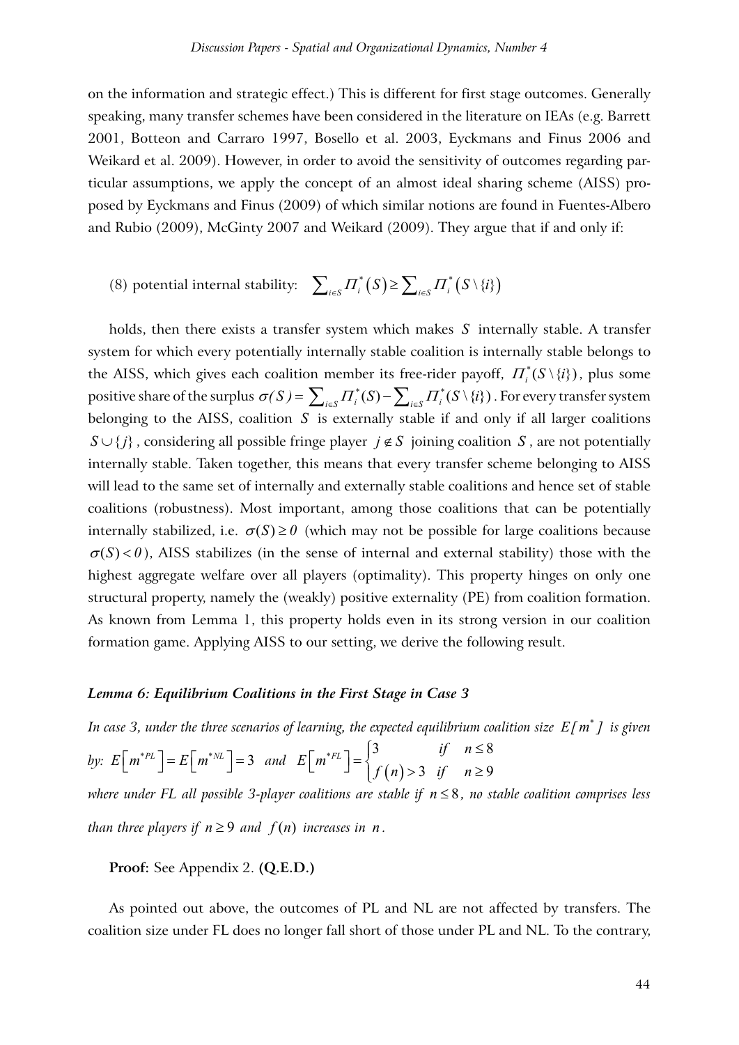on the information and strategic effect.) This is different for first stage outcomes. Generally speaking, many transfer schemes have been considered in the literature on IEAs (e.g. Barrett 2001, Botteon and Carraro 1997, Bosello et al. 2003, Eyckmans and Finus 2006 and Weikard et al. 2009). However, in order to avoid the sensitivity of outcomes regarding particular assumptions, we apply the concept of an almost ideal sharing scheme (AISS) proposed by Eyckmans and Finus (2009) of which similar notions are found in Fuentes-Albero and Rubio (2009), McGinty 2007 and Weikard (2009). They argue that if and only if:

(8) potential internal stability: 
$$
\sum_{i \in S} \prod_{i=1}^{k} (S) \ge \sum_{i \in S} \prod_{i=1}^{k} (S \setminus \{i\})
$$

holds, then there exists a transfer system which makes *S* internally stable. A transfer system for which every potentially internally stable coalition is internally stable belongs to the AISS, which gives each coalition member its free-rider payoff,  $\prod_{i=1}^{n} (S \setminus \{i\})$ , plus some positive share of the surplus  $\sigma(S) = \sum_{i \in S} \prod_{i}^{*}(S) - \sum_{i \in S} \prod_{i}^{*}(S \setminus \{i\})$  . For every transfer system belonging to the AISS, coalition *S* is externally stable if and only if all larger coalitions *S*∪{*i*}, considering all possible fringe player *j* ∉ *S* joining coalition *S*, are not potentially internally stable. Taken together, this means that every transfer scheme belonging to AISS will lead to the same set of internally and externally stable coalitions and hence set of stable coalitions (robustness). Most important, among those coalitions that can be potentially internally stabilized, i.e.  $\sigma(S) \ge 0$  (which may not be possible for large coalitions because  $\sigma(S) < 0$ ), AISS stabilizes (in the sense of internal and external stability) those with the highest aggregate welfare over all players (optimality). This property hinges on only one structural property, namely the (weakly) positive externality (PE) from coalition formation. As known from Lemma 1, this property holds even in its strong version in our coalition formation game. Applying AISS to our setting, we derive the following result.

#### *Lemma 6: Equilibrium Coalitions in the First Stage in Case 3*

*In case 3, under the three scenarios of learning, the expected equilibrium coalition size*  $E/m^*$  *<i>[* is given *by:*  $E\left[m^{\ast PL}\right] = E\left[m^{\ast NL}\right] = 3$  and  $E\left[m^{\ast FL}\right] = \begin{cases} 1/2 \\ f(n) \end{cases}$ 3 if  $n \leq 8$ 3 if  $n \geq 9$  $E\left[m^{*_{FL}}\right]=\begin{cases} 3 & \text{if} \quad n \\ 2 & \text{if} \quad n \end{cases}$  $\begin{bmatrix} m^{*_{FL}} \end{bmatrix} = \begin{cases} 3 & \text{if} & n \leq \\ f(n) > 3 & \text{if} & n \geq 0 \end{cases}$  $\left|f(n) > 3 \text{ if } n \geq 0 \right|$ *where under FL all possible 3-player coalitions are stable if n* ≤ 8 *, no stable coalition comprises less than three players if*  $n \geq 9$  *and*  $f(n)$  *increases in*  $n$ *.* 

**Proof:** See Appendix 2. **(Q.E.D.)**

As pointed out above, the outcomes of PL and NL are not affected by transfers. The coalition size under FL does no longer fall short of those under PL and NL. To the contrary,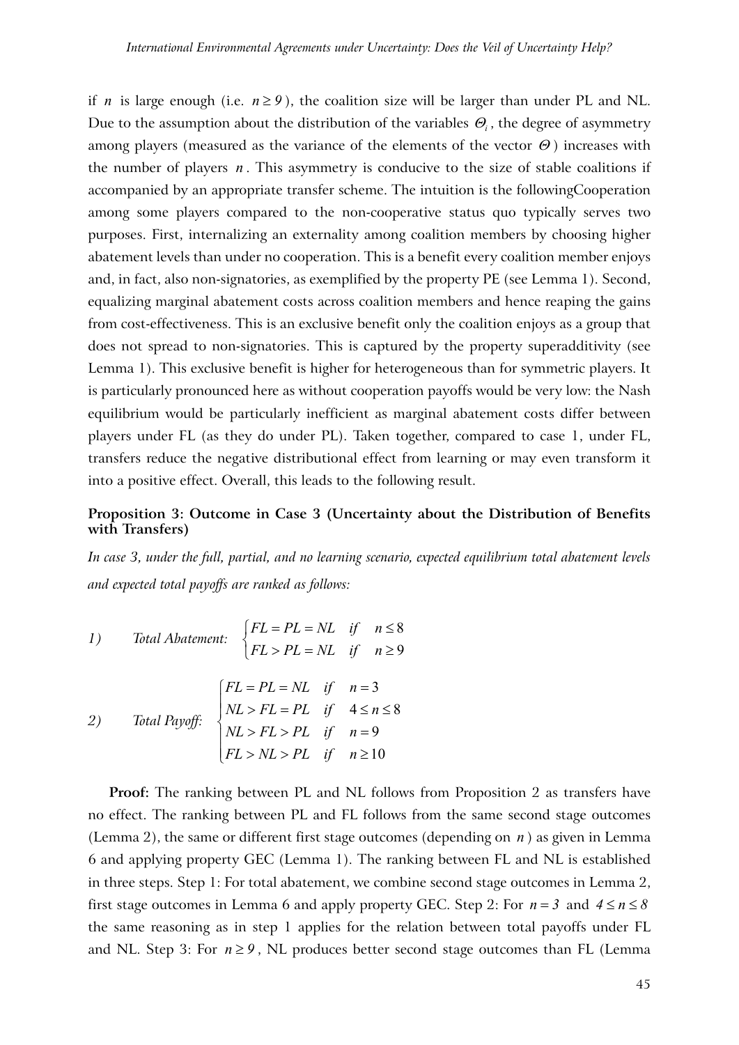if *n* is large enough (i.e.  $n \ge 9$ ), the coalition size will be larger than under PL and NL. Due to the assumption about the distribution of the variables Θ*<sup>i</sup>* , the degree of asymmetry among players (measured as the variance of the elements of the vector  $\Theta$ ) increases with the number of players *n* . This asymmetry is conducive to the size of stable coalitions if accompanied by an appropriate transfer scheme. The intuition is the followingCooperation among some players compared to the non-cooperative status quo typically serves two purposes. First, internalizing an externality among coalition members by choosing higher abatement levels than under no cooperation. This is a benefit every coalition member enjoys and, in fact, also non-signatories, as exemplified by the property PE (see Lemma 1). Second, equalizing marginal abatement costs across coalition members and hence reaping the gains from cost-effectiveness. This is an exclusive benefit only the coalition enjoys as a group that does not spread to non-signatories. This is captured by the property superadditivity (see Lemma 1). This exclusive benefit is higher for heterogeneous than for symmetric players. It is particularly pronounced here as without cooperation payoffs would be very low: the Nash equilibrium would be particularly inefficient as marginal abatement costs differ between players under FL (as they do under PL). Taken together, compared to case 1, under FL, transfers reduce the negative distributional effect from learning or may even transform it into a positive effect. Overall, this leads to the following result.

## **Proposition 3: Outcome in Case 3 (Uncertainty about the Distribution of Benefits with Transfers)**

*In case 3, under the full, partial, and no learning scenario, expected equilibrium total abatement levels and expected total payoffs are ranked as follows:*

*I*) Total Abatement: 
$$
\begin{cases} FL = PL = NL & \text{if } n \leq 8 \\ FL > PL = NL & \text{if } n \geq 9 \end{cases}
$$

2) Total Payoff: 
$$
\begin{cases} FL = PL = NL & \text{if } n = 3 \\ NL > FL = PL & \text{if } 4 \le n \le 8 \\ NL > FL > PL & \text{if } n = 9 \\ FL > NL > PL & \text{if } n \ge 10 \end{cases}
$$

**Proof:** The ranking between PL and NL follows from Proposition 2 as transfers have no effect. The ranking between PL and FL follows from the same second stage outcomes (Lemma 2), the same or different first stage outcomes (depending on *n* ) as given in Lemma 6 and applying property GEC (Lemma 1). The ranking between FL and NL is established in three steps. Step 1: For total abatement, we combine second stage outcomes in Lemma 2, first stage outcomes in Lemma 6 and apply property GEC. Step 2: For  $n = 3$  and  $4 \le n \le 8$ the same reasoning as in step 1 applies for the relation between total payoffs under FL and NL. Step 3: For  $n \ge 9$ , NL produces better second stage outcomes than FL (Lemma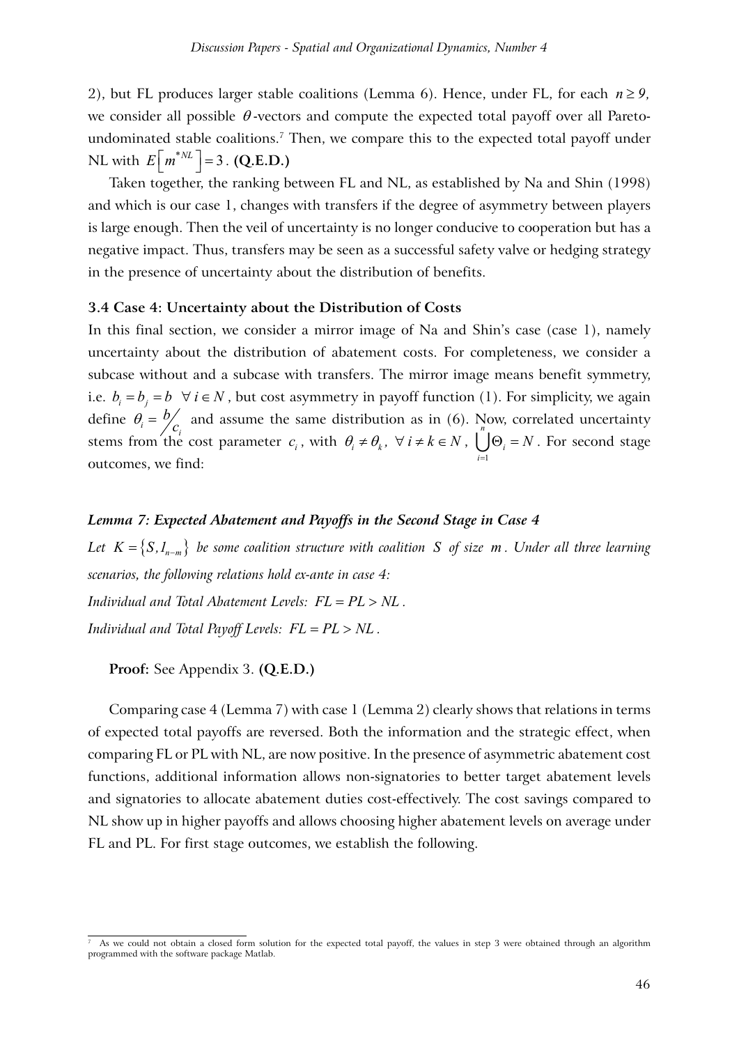2), but FL produces larger stable coalitions (Lemma 6). Hence, under FL, for each  $n \ge 9$ , we consider all possible  $\theta$ -vectors and compute the expected total payoff over all Paretoundominated stable coalitions.<sup>7</sup> Then, we compare this to the expected total payoff under NL with  $E\left[m^{*NL}\right] = 3$ . **(Q.E.D.)** 

Taken together, the ranking between FL and NL, as established by Na and Shin (1998) and which is our case 1, changes with transfers if the degree of asymmetry between players is large enough. Then the veil of uncertainty is no longer conducive to cooperation but has a negative impact. Thus, transfers may be seen as a successful safety valve or hedging strategy in the presence of uncertainty about the distribution of benefits.

### **3.4 Case 4: Uncertainty about the Distribution of Costs**

In this final section, we consider a mirror image of Na and Shin's case (case 1), namely uncertainty about the distribution of abatement costs. For completeness, we consider a subcase without and a subcase with transfers. The mirror image means benefit symmetry, i.e.  $b_i = b_j = b \quad \forall i \in N$ , but cost asymmetry in payoff function (1). For simplicity, we again define  $\theta_i = \frac{b}{c_i}$ *b*  $\theta_i = \frac{b}{c_i}$  and assume the same distribution as in (6). Now, correlated uncertainty stems from the cost parameter  $c_i$ , with  $\theta_i \neq \theta_k$ ,  $\forall i \neq k \in N$ , 1 *n i i N*  $\bigcup_{i=1}^{\infty} \Theta_i = N$ . For second stage outcomes, we find:

### *Lemma 7: Expected Abatement and Payoffs in the Second Stage in Case 4*

*Let*  $K = \{S, I_{n-m}\}\$  be some coalition structure with coalition *S* of size *m . Under all three learning scenarios, the following relations hold ex-ante in case 4: Individual and Total Abatement Levels:*  $FL = PL > NL$ . *Individual and Total Payoff Levels:*  $FL = PL > NL$ .

**Proof:** See Appendix 3. **(Q.E.D.)**

Comparing case 4 (Lemma 7) with case 1 (Lemma 2) clearly shows that relations in terms of expected total payoffs are reversed. Both the information and the strategic effect, when comparing FL or PL with NL, are now positive. In the presence of asymmetric abatement cost functions, additional information allows non-signatories to better target abatement levels and signatories to allocate abatement duties cost-effectively. The cost savings compared to NL show up in higher payoffs and allows choosing higher abatement levels on average under FL and PL. For first stage outcomes, we establish the following.

 $7$  As we could not obtain a closed form solution for the expected total payoff, the values in step 3 were obtained through an algorithm programmed with the software package Matlab.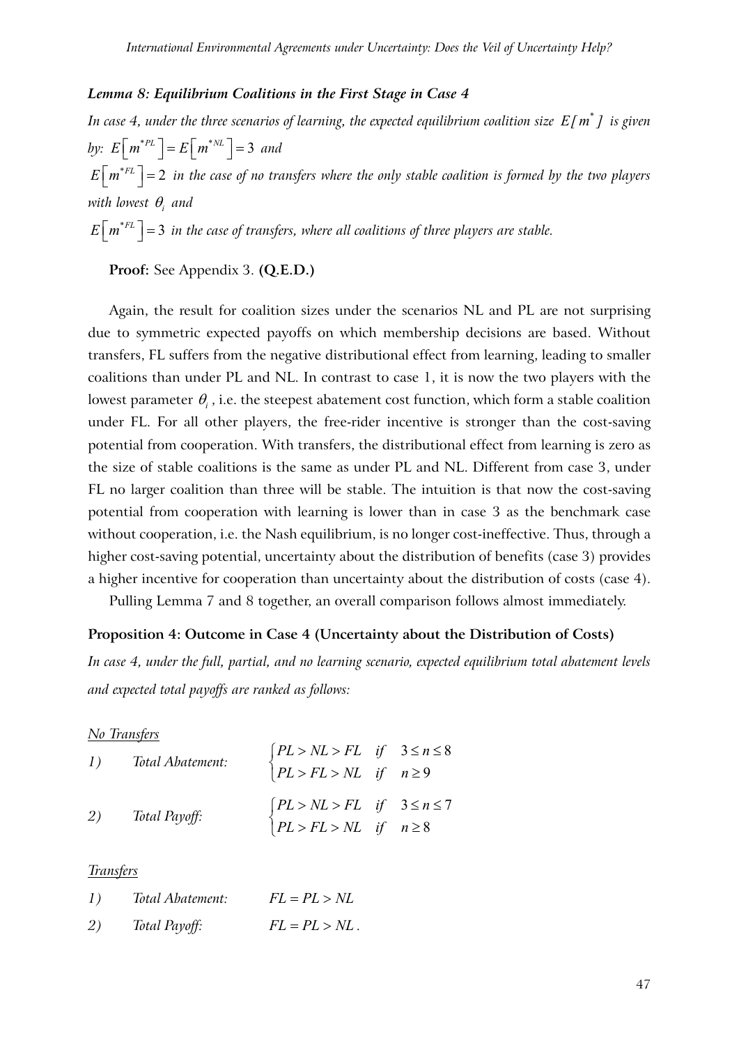### *Lemma 8: Equilibrium Coalitions in the First Stage in Case 4*

In case 4, under the three scenarios of learning, the expected equilibrium coalition size  $E[m^*]$  is given *by:*  $E\left[m^{\ast PL}\right] = E\left[m^{\ast NL}\right] = 3$  and  $E\lceil m^{*FL} \rceil = 2$  *in the case of no transfers where the only stable coalition is formed by the two players with lowest* θ*i and*   $E\left[m^{*FL}\right] = 3$  *in the case of transfers, where all coalitions of three players are stable.* 

**Proof:** See Appendix 3. **(Q.E.D.)**

Again, the result for coalition sizes under the scenarios NL and PL are not surprising due to symmetric expected payoffs on which membership decisions are based. Without transfers, FL suffers from the negative distributional effect from learning, leading to smaller coalitions than under PL and NL. In contrast to case 1, it is now the two players with the lowest parameter  $\theta_i$ , i.e. the steepest abatement cost function, which form a stable coalition under FL. For all other players, the free-rider incentive is stronger than the cost-saving potential from cooperation. With transfers, the distributional effect from learning is zero as the size of stable coalitions is the same as under PL and NL. Different from case 3, under FL no larger coalition than three will be stable. The intuition is that now the cost-saving potential from cooperation with learning is lower than in case 3 as the benchmark case without cooperation, i.e. the Nash equilibrium, is no longer cost-ineffective. Thus, through a higher cost-saving potential, uncertainty about the distribution of benefits (case 3) provides a higher incentive for cooperation than uncertainty about the distribution of costs (case 4).

Pulling Lemma 7 and 8 together, an overall comparison follows almost immediately.

## **Proposition 4: Outcome in Case 4 (Uncertainty about the Distribution of Costs)**

*In case 4, under the full, partial, and no learning scenario, expected equilibrium total abatement levels and expected total payoffs are ranked as follows:*

#### *No Transfers*

| I) | Total Abatement: | $\begin{cases} PL > NL > FL & \text{if } 3 \le n \le 8 \\ PL > FL > NL & \text{if } n \ge 9 \end{cases}$              |  |
|----|------------------|-----------------------------------------------------------------------------------------------------------------------|--|
| 2) | Total Payoff:    | $\begin{cases} PL > NL > FL & \text{if} \quad 3 \leq n \leq 7 \\ PL > FL > NL & \text{if} \quad n \geq 8 \end{cases}$ |  |

#### *Transfers*

| I) | Total Abatement: | $FL = PL > NL$   |
|----|------------------|------------------|
| 2) | Total Payoff:    | $FL = PL > NL$ . |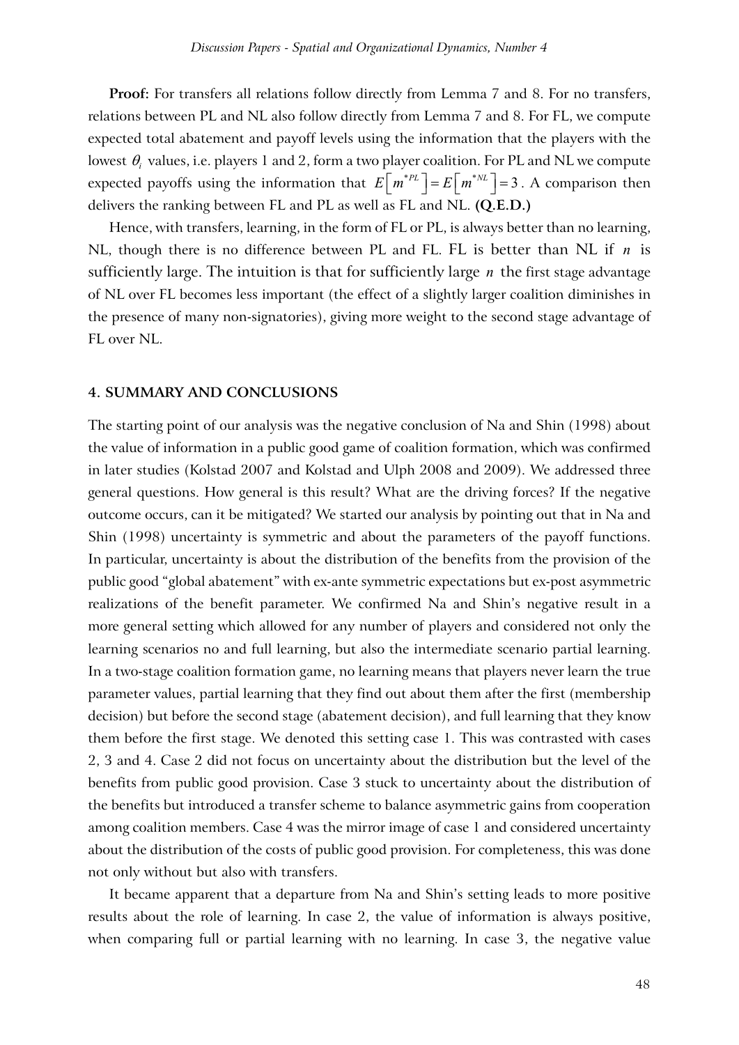**Proof:** For transfers all relations follow directly from Lemma 7 and 8. For no transfers, relations between PL and NL also follow directly from Lemma 7 and 8. For FL, we compute expected total abatement and payoff levels using the information that the players with the lowest θ*i* values, i.e. players 1 and 2, form a two player coalition. For PL and NL we compute expected payoffs using the information that  $E\left[m^{*PL}\right] = E\left[m^{*NL}\right] = 3$ . A comparison then delivers the ranking between FL and PL as well as FL and NL. **(Q.E.D.)**

Hence, with transfers, learning, in the form of FL or PL, is always better than no learning, NL, though there is no difference between PL and FL. FL is better than NL if *n* is sufficiently large. The intuition is that for sufficiently large *n* the first stage advantage of NL over FL becomes less important (the effect of a slightly larger coalition diminishes in the presence of many non-signatories), giving more weight to the second stage advantage of FL over NL.

#### **4. Summary and Conclusions**

The starting point of our analysis was the negative conclusion of Na and Shin (1998) about the value of information in a public good game of coalition formation, which was confirmed in later studies (Kolstad 2007 and Kolstad and Ulph 2008 and 2009). We addressed three general questions. How general is this result? What are the driving forces? If the negative outcome occurs, can it be mitigated? We started our analysis by pointing out that in Na and Shin (1998) uncertainty is symmetric and about the parameters of the payoff functions. In particular, uncertainty is about the distribution of the benefits from the provision of the public good "global abatement" with ex-ante symmetric expectations but ex-post asymmetric realizations of the benefit parameter. We confirmed Na and Shin's negative result in a more general setting which allowed for any number of players and considered not only the learning scenarios no and full learning, but also the intermediate scenario partial learning. In a two-stage coalition formation game, no learning means that players never learn the true parameter values, partial learning that they find out about them after the first (membership decision) but before the second stage (abatement decision), and full learning that they know them before the first stage. We denoted this setting case 1. This was contrasted with cases 2, 3 and 4. Case 2 did not focus on uncertainty about the distribution but the level of the benefits from public good provision. Case 3 stuck to uncertainty about the distribution of the benefits but introduced a transfer scheme to balance asymmetric gains from cooperation among coalition members. Case 4 was the mirror image of case 1 and considered uncertainty about the distribution of the costs of public good provision. For completeness, this was done not only without but also with transfers.

It became apparent that a departure from Na and Shin's setting leads to more positive results about the role of learning. In case 2, the value of information is always positive, when comparing full or partial learning with no learning. In case 3, the negative value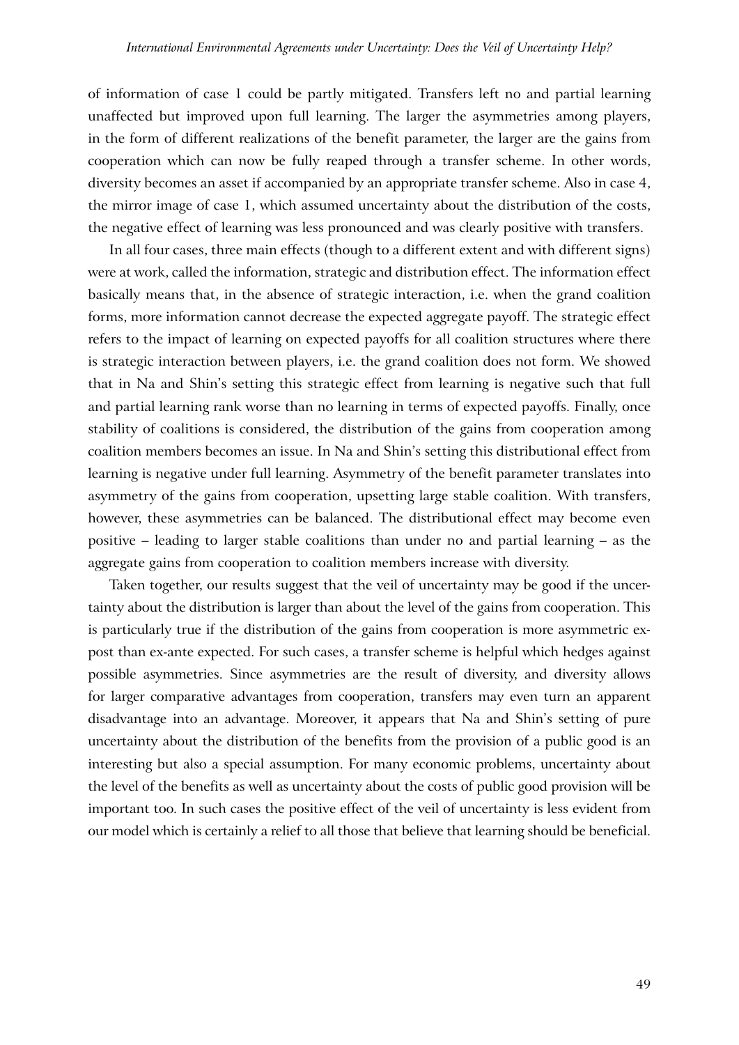of information of case 1 could be partly mitigated. Transfers left no and partial learning unaffected but improved upon full learning. The larger the asymmetries among players, in the form of different realizations of the benefit parameter, the larger are the gains from cooperation which can now be fully reaped through a transfer scheme. In other words, diversity becomes an asset if accompanied by an appropriate transfer scheme. Also in case 4, the mirror image of case 1, which assumed uncertainty about the distribution of the costs, the negative effect of learning was less pronounced and was clearly positive with transfers.

In all four cases, three main effects (though to a different extent and with different signs) were at work, called the information, strategic and distribution effect. The information effect basically means that, in the absence of strategic interaction, i.e. when the grand coalition forms, more information cannot decrease the expected aggregate payoff. The strategic effect refers to the impact of learning on expected payoffs for all coalition structures where there is strategic interaction between players, i.e. the grand coalition does not form. We showed that in Na and Shin's setting this strategic effect from learning is negative such that full and partial learning rank worse than no learning in terms of expected payoffs. Finally, once stability of coalitions is considered, the distribution of the gains from cooperation among coalition members becomes an issue. In Na and Shin's setting this distributional effect from learning is negative under full learning. Asymmetry of the benefit parameter translates into asymmetry of the gains from cooperation, upsetting large stable coalition. With transfers, however, these asymmetries can be balanced. The distributional effect may become even positive – leading to larger stable coalitions than under no and partial learning – as the aggregate gains from cooperation to coalition members increase with diversity.

Taken together, our results suggest that the veil of uncertainty may be good if the uncertainty about the distribution is larger than about the level of the gains from cooperation. This is particularly true if the distribution of the gains from cooperation is more asymmetric expost than ex-ante expected. For such cases, a transfer scheme is helpful which hedges against possible asymmetries. Since asymmetries are the result of diversity, and diversity allows for larger comparative advantages from cooperation, transfers may even turn an apparent disadvantage into an advantage. Moreover, it appears that Na and Shin's setting of pure uncertainty about the distribution of the benefits from the provision of a public good is an interesting but also a special assumption. For many economic problems, uncertainty about the level of the benefits as well as uncertainty about the costs of public good provision will be important too. In such cases the positive effect of the veil of uncertainty is less evident from our model which is certainly a relief to all those that believe that learning should be beneficial.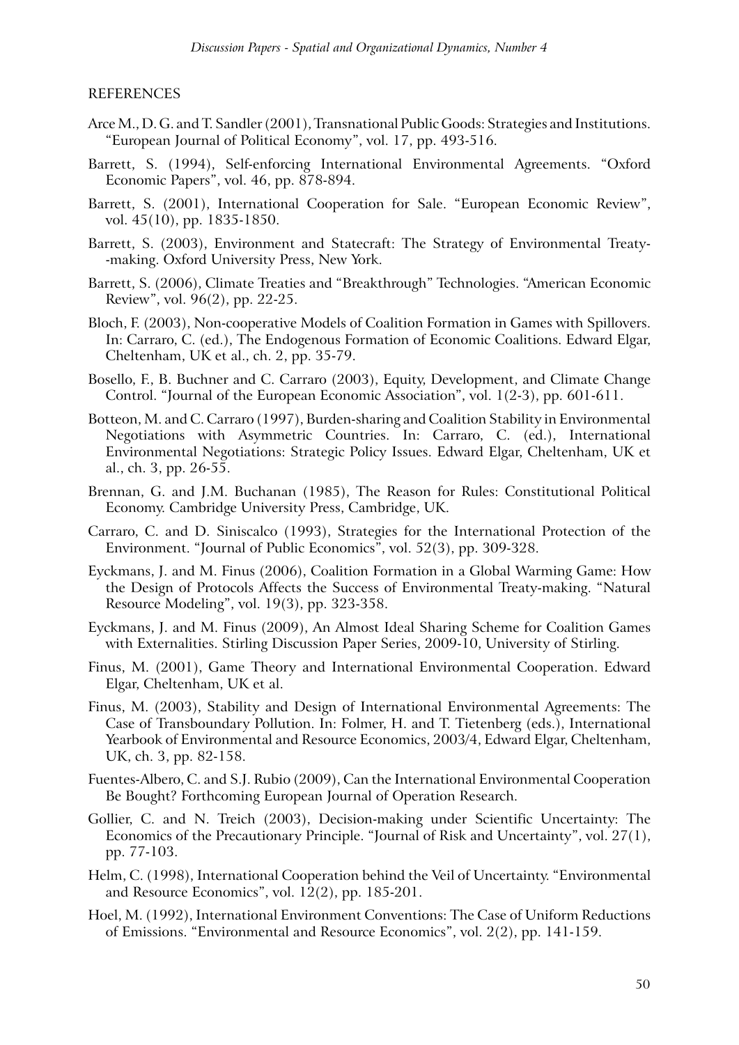#### **REFERENCES**

- Arce M., D. G. and T. Sandler (2001), Transnational Public Goods: Strategies and Institutions. "European Journal of Political Economy", vol. 17, pp. 493-516.
- Barrett, S. (1994), Self-enforcing International Environmental Agreements. "Oxford Economic Papers", vol. 46, pp. 878-894.
- Barrett, S. (2001), International Cooperation for Sale. "European Economic Review", vol. 45(10), pp. 1835-1850.
- Barrett, S. (2003), Environment and Statecraft: The Strategy of Environmental Treaty- -making. Oxford University Press, New York.
- Barrett, S. (2006), Climate Treaties and "Breakthrough" Technologies. "American Economic Review", vol. 96(2), pp. 22-25.
- Bloch, F. (2003), Non-cooperative Models of Coalition Formation in Games with Spillovers. In: Carraro, C. (ed.), The Endogenous Formation of Economic Coalitions. Edward Elgar, Cheltenham, UK et al., ch. 2, pp. 35-79.
- Bosello, F., B. Buchner and C. Carraro (2003), Equity, Development, and Climate Change Control. "Journal of the European Economic Association", vol. 1(2-3), pp. 601-611.
- Botteon, M. and C. Carraro (1997), Burden-sharing and Coalition Stability in Environmental Negotiations with Asymmetric Countries. In: Carraro, C. (ed.), International Environmental Negotiations: Strategic Policy Issues. Edward Elgar, Cheltenham, UK et al., ch. 3, pp. 26-55.
- Brennan, G. and J.M. Buchanan (1985), The Reason for Rules: Constitutional Political Economy. Cambridge University Press, Cambridge, UK.
- Carraro, C. and D. Siniscalco (1993), Strategies for the International Protection of the Environment. "Journal of Public Economics", vol. 52(3), pp. 309-328.
- Eyckmans, J. and M. Finus (2006), Coalition Formation in a Global Warming Game: How the Design of Protocols Affects the Success of Environmental Treaty-making. "Natural Resource Modeling", vol. 19(3), pp. 323-358.
- Eyckmans, J. and M. Finus (2009), An Almost Ideal Sharing Scheme for Coalition Games with Externalities. Stirling Discussion Paper Series, 2009-10, University of Stirling.
- Finus, M. (2001), Game Theory and International Environmental Cooperation. Edward Elgar, Cheltenham, UK et al.
- Finus, M. (2003), Stability and Design of International Environmental Agreements: The Case of Transboundary Pollution. In: Folmer, H. and T. Tietenberg (eds.), International Yearbook of Environmental and Resource Economics, 2003/4, Edward Elgar, Cheltenham, UK, ch. 3, pp. 82-158.
- Fuentes-Albero, C. and S.J. Rubio (2009), Can the International Environmental Cooperation Be Bought? Forthcoming European Journal of Operation Research.
- Gollier, C. and N. Treich (2003), Decision-making under Scientific Uncertainty: The Economics of the Precautionary Principle. "Journal of Risk and Uncertainty", vol. 27(1), pp. 77-103.
- Helm, C. (1998), International Cooperation behind the Veil of Uncertainty. "Environmental and Resource Economics", vol. 12(2), pp. 185-201.
- Hoel, M. (1992), International Environment Conventions: The Case of Uniform Reductions of Emissions. "Environmental and Resource Economics", vol. 2(2), pp. 141-159.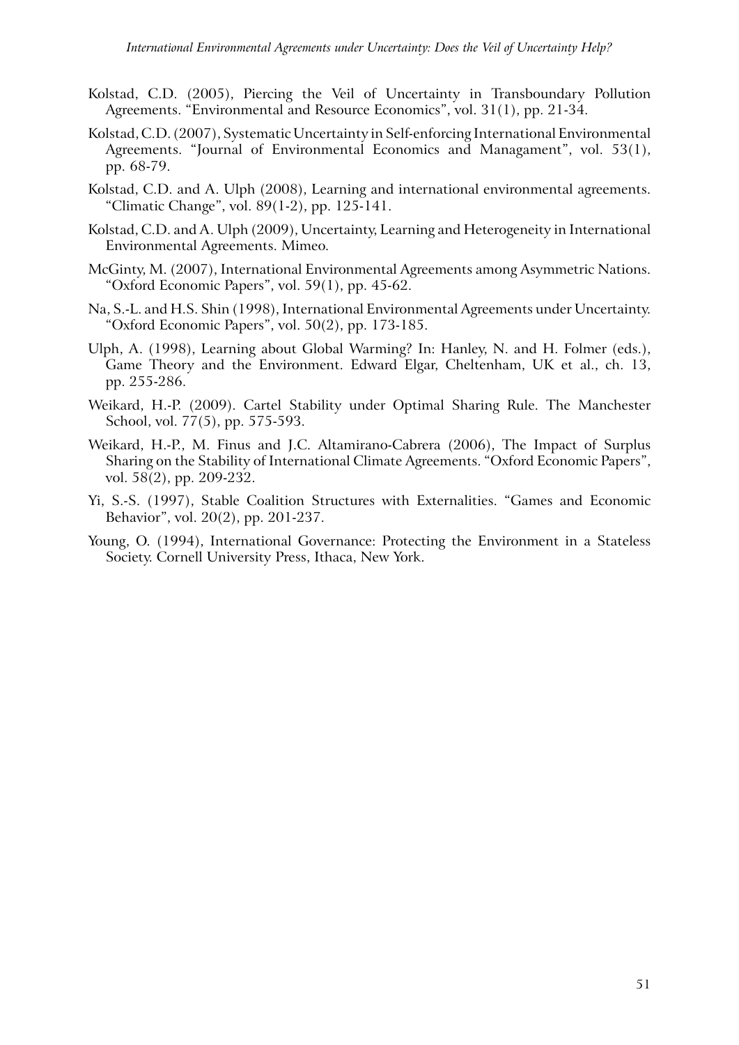- Kolstad, C.D. (2005), Piercing the Veil of Uncertainty in Transboundary Pollution Agreements. "Environmental and Resource Economics", vol. 31(1), pp. 21-34.
- Kolstad, C.D. (2007), Systematic Uncertainty in Self-enforcing International Environmental Agreements. "Journal of Environmental Economics and Managament", vol. 53(1), pp. 68-79.
- Kolstad, C.D. and A. Ulph (2008), Learning and international environmental agreements. "Climatic Change", vol. 89(1-2), pp. 125-141.
- Kolstad, C.D. and A. Ulph (2009), Uncertainty, Learning and Heterogeneity in International Environmental Agreements. Mimeo.
- McGinty, M. (2007), International Environmental Agreements among Asymmetric Nations. "Oxford Economic Papers", vol.  $59(1)$ , pp.  $45-62$ .
- Na, S.-L. and H.S. Shin (1998), International Environmental Agreements under Uncertainty. "Oxford Economic Papers", vol.  $50(2)$ , pp. 173-185.
- Ulph, A. (1998), Learning about Global Warming? In: Hanley, N. and H. Folmer (eds.), Game Theory and the Environment. Edward Elgar, Cheltenham, UK et al., ch. 13, pp. 255-286.
- Weikard, H.-P. (2009). Cartel Stability under Optimal Sharing Rule. The Manchester School, vol. 77(5), pp. 575-593.
- Weikard, H.-P., M. Finus and J.C. Altamirano-Cabrera (2006), The Impact of Surplus Sharing on the Stability of International Climate Agreements. "Oxford Economic Papers", vol. 58(2), pp. 209-232.
- Yi, S.-S. (1997), Stable Coalition Structures with Externalities. "Games and Economic Behavior", vol. 20(2), pp. 201-237.
- Young, O. (1994), International Governance: Protecting the Environment in a Stateless Society. Cornell University Press, Ithaca, New York.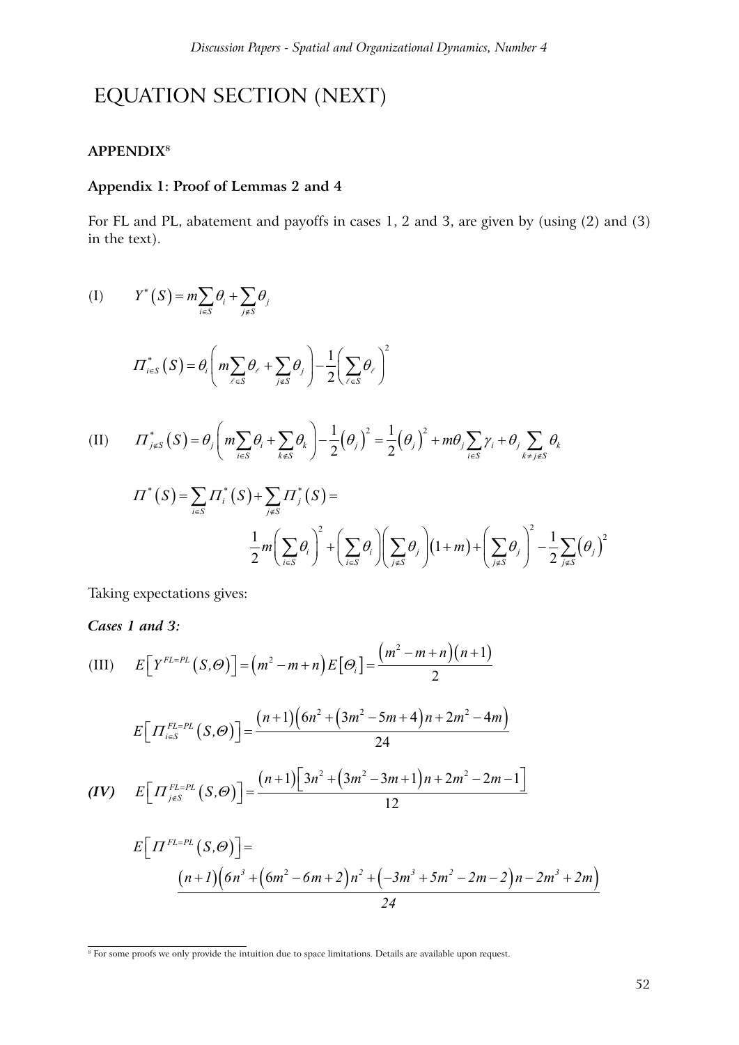# Equation Section (Next)

# **Appendix8**

# **Appendix 1: Proof of Lemmas 2 and 4**

For FL and PL, abatement and payoffs in cases 1, 2 and 3, are given by (using (2) and (3) in the text).

$$
(I) \t Y^*(S) = m \sum_{i \in S} \theta_i + \sum_{j \in S} \theta_j
$$
  
\n
$$
\Pi^*_{i \in S} (S) = \theta_i \left( m \sum_{\ell \in S} \theta_\ell + \sum_{j \in S} \theta_j \right) - \frac{1}{2} \left( \sum_{\ell \in S} \theta_\ell \right)^2
$$
  
\n
$$
(II) \t \Pi^*_{j \in S} (S) = \theta_j \left( m \sum_{i \in S} \theta_i + \sum_{k \in S} \theta_k \right) - \frac{1}{2} (\theta_j)^2 = \frac{1}{2} (\theta_j)^2 + m \theta_j \sum_{i \in S} \gamma_i + \theta_j \sum_{k \neq j \in S} \theta_k
$$
  
\n
$$
\Pi^* (S) = \sum_{i \in S} \Pi^*_{i} (S) + \sum_{j \in S} \Pi^*_{j} (S) = \frac{1}{2} m \left( \sum_{i \in S} \theta_i \right)^2 + \left( \sum_{i \in S} \theta_i \right) \left( \sum_{j \in S} \theta_j \right) (1 + m) + \left( \sum_{j \in S} \theta_j \right)^2 - \frac{1}{2} \sum_{j \in S} (\theta_j)^2
$$

Taking expectations gives:

*Cases 1 and 3:*

(III) 
$$
E\left[Y^{FL=PL}(S,\Theta)\right] = (m^2 - m + n)E\left[\Theta_i\right] = \frac{(m^2 - m + n)(n+1)}{2}
$$

$$
E\left[ \Pi_{i\in S}^{FL=PL} \left( S,\Theta \right) \right] = \frac{(n+1)\left(6n^2 + \left(3m^2 - 5m + 4\right)n + 2m^2 - 4m\right)}{24}
$$

$$
(IV) \qquad E\Big[\, \varPi_{\,j\in S}^{\,FL=PL}\left(S,\varTheta\right)\Big] = \frac{(n+1)\Big[3n^2+\big(3m^2-3m+1\big)n+2m^2-2m-1\Big]}{12}
$$

$$
E\left[ H^{FL=PL} (S, \Theta) \right] =
$$
  
\n
$$
\frac{(n+1)(6n^3 + (6m^2 - 6m + 2)n^2 + (-3m^3 + 5m^2 - 2m - 2)n - 2m^3 + 2m)}{24}
$$

<sup>&</sup>lt;sup>8</sup> For some proofs we only provide the intuition due to space limitations. Details are available upon request.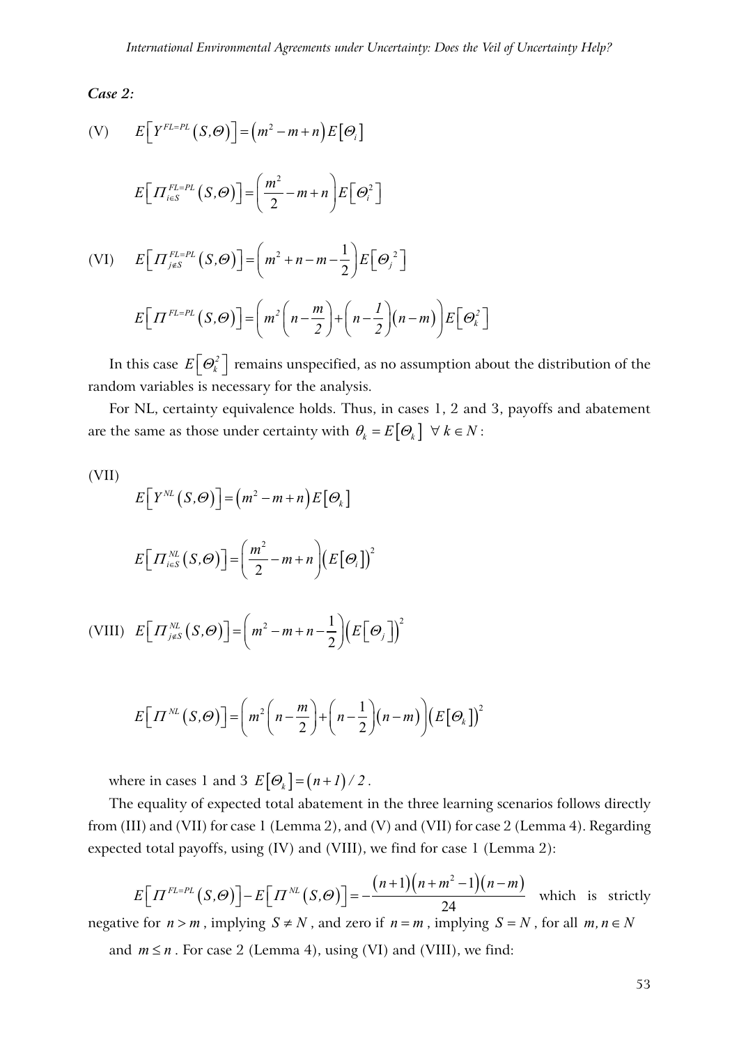*Case 2:*

(V) 
$$
E\left[Y^{FL=PL}(S,\Theta)\right] = \left(m^2 - m + n\right)E\left[\Theta_i\right]
$$

$$
E\left[\Pi_{i\in S}^{FL=PL}(S,\Theta)\right] = \left(\frac{m^2}{2} - m + n\right)E\left[\Theta_i^2\right]
$$
  
(VI) 
$$
E\left[\Pi_{j\in S}^{FL=PL}(S,\Theta)\right] = \left(m^2 + n - m - \frac{1}{2}\right)E\left[\Theta_i^2\right]
$$

$$
E\left[\Pi^{FL=PL}(S,\Theta)\right] = \left(m^2\left(n - \frac{m}{2}\right) + \left(n - \frac{1}{2}\right)(n - m)\right)E\left[\Theta_i^2\right]
$$

In this case  $E\left[\Theta_k^2\right]$  remains unspecified, as no assumption about the distribution of the random variables is necessary for the analysis.

For NL, certainty equivalence holds. Thus, in cases 1, 2 and 3, payoffs and abatement are the same as those under certainty with  $\theta_k = E[\Theta_k] \forall k \in N$ :

(VII)  
\n
$$
E\left[Y^{NL}(S,\Theta)\right] = (m^2 - m + n)E[\Theta_k]
$$
\n
$$
E\left[T_{i\in S}^{NL}(S,\Theta)\right] = \left(\frac{m^2}{2} - m + n\right)\left(E[\Theta_i]\right)^2
$$
\n(VIII)  
\n
$$
E\left[T_{j\in S}^{NL}(S,\Theta)\right] = \left(m^2 - m + n - \frac{1}{2}\right)\left(E[\Theta_j]\right)^2
$$
\n
$$
E\left[T^{NL}(S,\Theta)\right] = \left(m^2\left(n - \frac{m}{2}\right) + \left(n - \frac{1}{2}\right)(n - m)\right)\left(E[\Theta_k]\right)^2
$$

where in cases 1 and 3  $E[\Theta_k] = (n+1)/2$ .

The equality of expected total abatement in the three learning scenarios follows directly from (III) and (VII) for case 1 (Lemma 2), and (V) and (VII) for case 2 (Lemma 4). Regarding expected total payoffs, using (IV) and (VIII), we find for case 1 (Lemma 2):

$$
E\Big[H^{FL=PL}(S,\Theta)\Big]-E\Big[H^{NL}(S,\Theta)\Big]=-\frac{(n+1)(n+m^2-1)(n-m)}{24}
$$
 which is strictly  
we for  $n>m$  implying  $S \neq N$  and zero if  $n=m$  implying  $S = N$  for all  $m, n \in N$ .

negative for  $n > m$ , implying  $S \neq N$ , and zero if  $n = m$ , implying  $S = N$ , for all  $m, n \in N$ 

and  $m \le n$ . For case 2 (Lemma 4), using (VI) and (VIII), we find: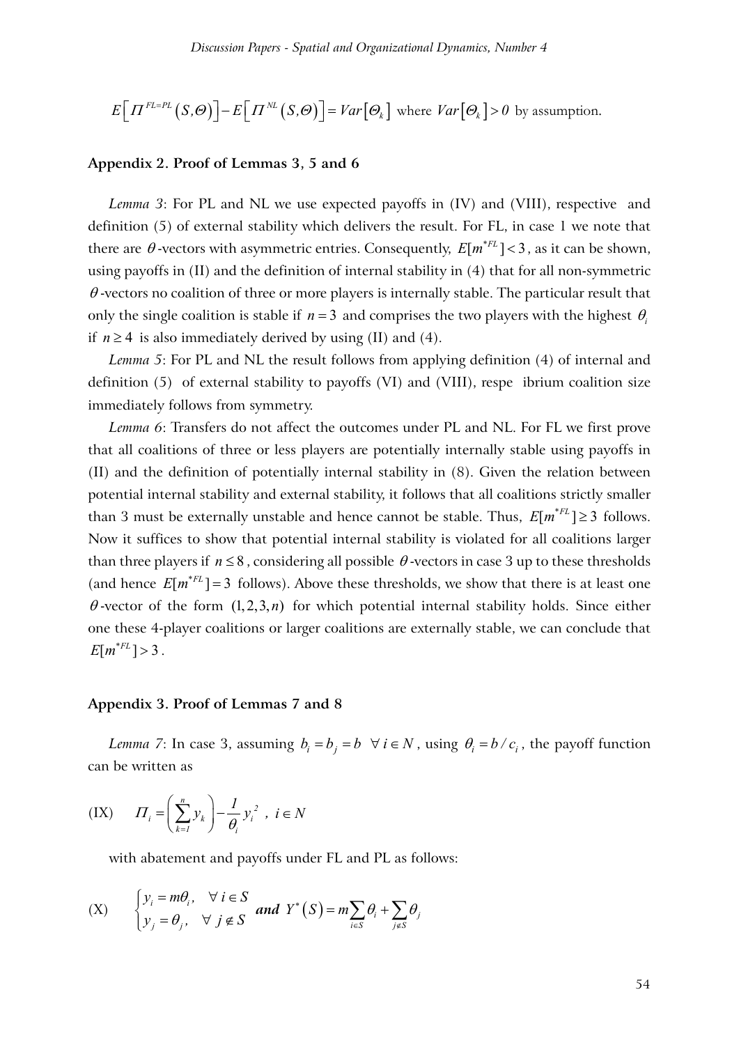$$
E\Big[ \Pi^{FL=PL} \big( S, \Theta \big) \Big] - E \Big[ \Pi^{NL} \big( S, \Theta \big) \Big] = Var \big[ \Theta_k \big]
$$
 where  $Var \big[ \Theta_k \big] > 0$  by assumption.

#### **Appendix 2. Proof of Lemmas 3, 5 and 6**

*Lemma 3*: For PL and NL we use expected payoffs in (IV) and (VIII), respective and definition (5) of external stability which delivers the result. For FL, in case 1 we note that there are  $\theta$ -vectors with asymmetric entries. Consequently,  $E[m^{*FL}]$  < 3, as it can be shown, using payoffs in (II) and the definition of internal stability in (4) that for all non-symmetric  $\theta$ -vectors no coalition of three or more players is internally stable. The particular result that only the single coalition is stable if  $n = 3$  and comprises the two players with the highest  $\theta_i$ if  $n \geq 4$  is also immediately derived by using (II) and (4).

*Lemma 5*: For PL and NL the result follows from applying definition (4) of internal and definition (5) of external stability to payoffs (VI) and (VIII), respe ibrium coalition size immediately follows from symmetry.

*Lemma 6*: Transfers do not affect the outcomes under PL and NL. For FL we first prove that all coalitions of three or less players are potentially internally stable using payoffs in (II) and the definition of potentially internal stability in (8). Given the relation between potential internal stability and external stability, it follows that all coalitions strictly smaller than 3 must be externally unstable and hence cannot be stable. Thus,  $E[m^{*FL}] \geq 3$  follows. Now it suffices to show that potential internal stability is violated for all coalitions larger than three players if  $n \leq 8$ , considering all possible  $\theta$ -vectors in case 3 up to these thresholds (and hence  $E[m^{*FL}] = 3$  follows). Above these thresholds, we show that there is at least one  $\theta$ -vector of the form  $(1, 2, 3, n)$  for which potential internal stability holds. Since either one these 4-player coalitions or larger coalitions are externally stable, we can conclude that  $E[m^{*FL}] > 3$ .

#### **Appendix 3. Proof of Lemmas 7 and 8**

*Lemma 7*: In case 3, assuming  $b_i = b_j = b \quad \forall i \in N$ , using  $\theta_i = b/c_i$ , the payoff function can be written as

(IX) *<sup>n</sup> <sup>2</sup> i k i k 1 i 1 y y* = = − <sup>Π</sup> ∑ <sup>θ</sup> *, i N* <sup>∈</sup>

with abatement and payoffs under FL and PL as follows:

$$
\text{(X)} \qquad \begin{cases} y_i = m\theta_i, & \forall \ i \in S \\ y_j = \theta_j, & \forall \ j \notin S \end{cases} \text{ and } Y^* \left( S \right) = m \sum_{i \in S} \theta_i + \sum_{j \notin S} \theta_j
$$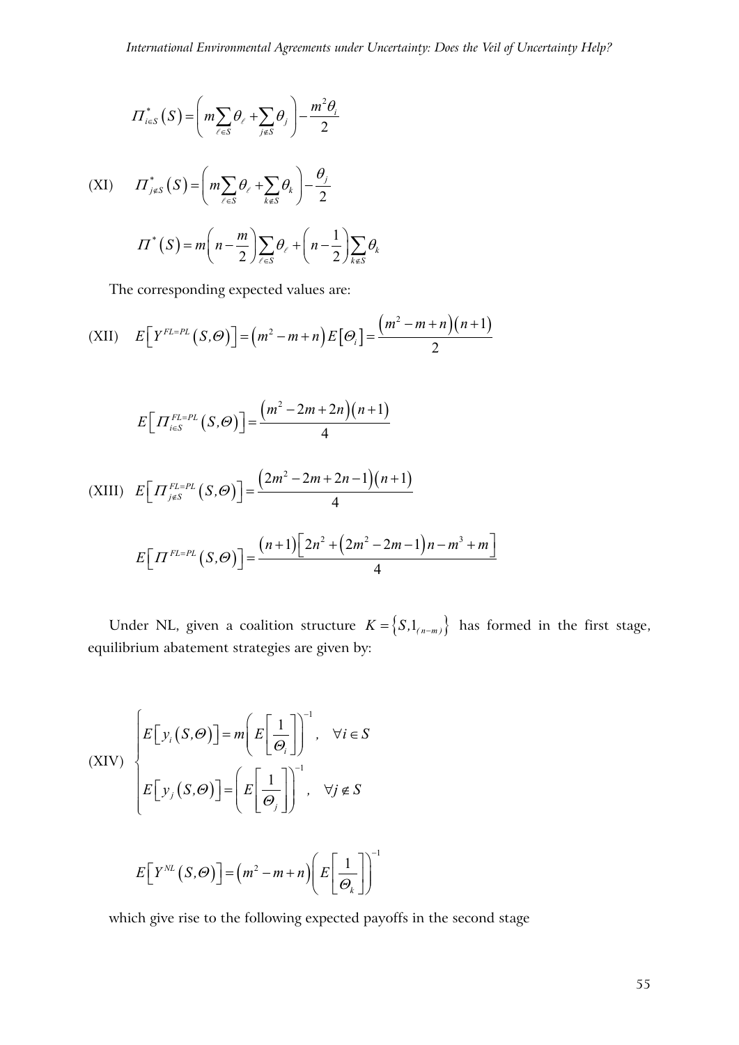$$
\Pi_{i\in S}^{*}(S) = \left(m \sum_{\ell \in S} \theta_{\ell} + \sum_{j \in S} \theta_{j}\right) - \frac{m^{2} \theta_{i}}{2}
$$
\n
$$
(XI) \qquad \Pi_{j \in S}^{*}(S) = \left(m \sum_{\ell \in S} \theta_{\ell} + \sum_{k \in S} \theta_{k}\right) - \frac{\theta_{j}}{2}
$$
\n
$$
\Pi^{*}(S) = m\left(n - \frac{m}{2}\right) \sum_{\ell \in S} \theta_{\ell} + \left(n - \frac{1}{2}\right) \sum_{k \in S} \theta_{k}
$$

The corresponding expected values are:

(XII) 
$$
E\left[Y^{FL=PL}(S,\Theta)\right] = (m^2 - m + n)E\left[\Theta_i\right] = \frac{(m^2 - m + n)(n+1)}{2}
$$

$$
E\left[\Pi_{i\in S}^{FL=PL}\left(S,\Theta\right)\right]=\frac{\left(m^{2}-2m+2n\right)\left(n+1\right)}{4}
$$

(XIII) 
$$
E\Big[T_{j \notin S}^{FL=PL}(S,\Theta)\Big] = \frac{(2m^2 - 2m + 2n - 1)(n+1)}{4}
$$

$$
E\Big[T^{FL=PL}(S,\Theta)\Big] = \frac{(n+1)\Big[2n^2 + \Big(2m^2 - 2m - 1\Big)n - m^3 + m\Big]}{4}
$$

Under NL, given a coalition structure  $K = \{S, 1_{(n-m)}\}$  has formed in the first stage, equilibrium abatement strategies are given by:

$$
(XIV) \begin{cases} E\left[\mathbf{y}_i(S,\Theta)\right] = m\left(E\left[\frac{1}{\Theta_i}\right]\right)^{-1}, & \forall i \in S \\ \begin{aligned} E\left[\mathbf{y}_j(S,\Theta)\right] = \left(E\left[\frac{1}{\Theta_j}\right]\right)^{-1}, & \forall j \notin S \end{aligned} \end{cases}
$$

$$
E\left[Y^{NL}(S,\Theta)\right] = \left(m^2 - m + n\right)\left(E\left[\frac{1}{\Theta_k}\right]\right)^{-1}
$$

which give rise to the following expected payoffs in the second stage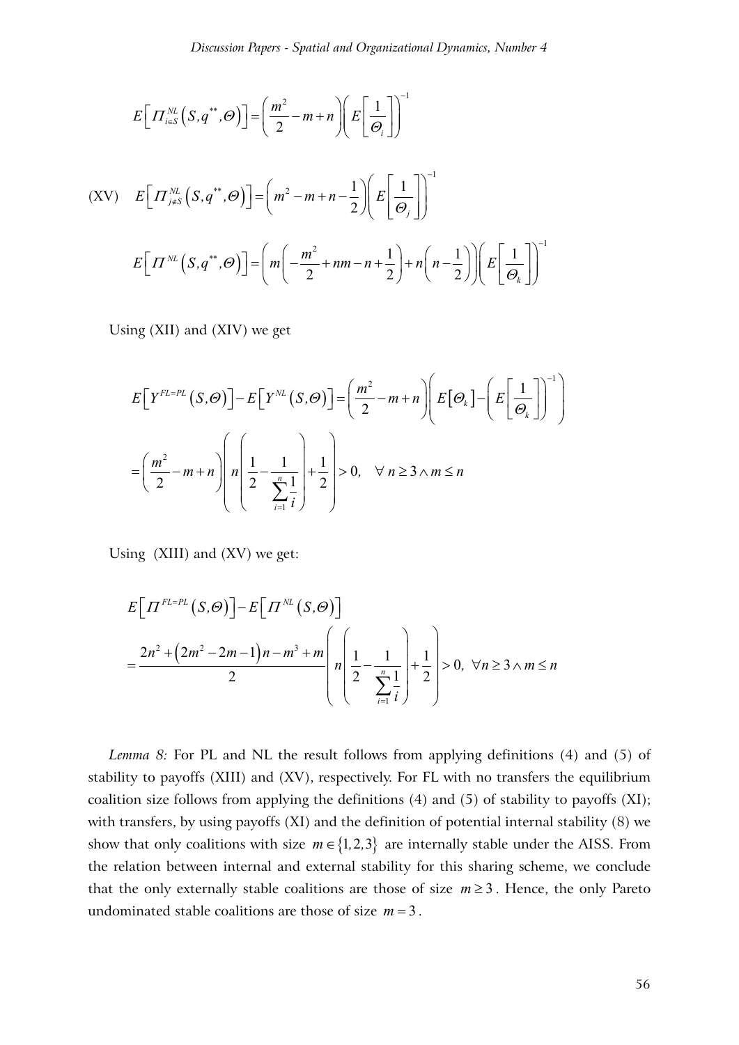$$
E\left[\Pi_{i\in S}^{NL}\left(S,q^{**},\Theta\right)\right] = \left(\frac{m^2}{2} - m + n\right)\left(E\left[\frac{1}{\Theta_i}\right]\right)^{-1}
$$
  
(XV) 
$$
E\left[\Pi_{j\in S}^{NL}\left(S,q^{**},\Theta\right)\right] = \left(m^2 - m + n - \frac{1}{2}\right)\left(E\left[\frac{1}{\Theta_j}\right]\right)^{-1}
$$

$$
E\left[\Pi^{NL}\left(S,q^{**},\Theta\right)\right] = \left(m\left(-\frac{m^2}{2} + nm - n + \frac{1}{2}\right) + n\left(n - \frac{1}{2}\right)\right)\left(E\left[\frac{1}{\Theta_k}\right]\right)^{-1}
$$

Using (XII) and (XIV) we get

$$
E\left[Y^{FL=PL}\left(S,\Theta\right)\right] - E\left[Y^{NL}\left(S,\Theta\right)\right] = \left(\frac{m^2}{2} - m + n\right)\left(E\left[\Theta_k\right] - \left(E\left[\frac{1}{\Theta_k}\right]\right)^{-1}\right)
$$
\n
$$
= \left(\frac{m^2}{2} - m + n\right)\left(n\left(\frac{1}{2} - \frac{1}{\sum_{i=1}^{n} \frac{1}{i}}\right) + \frac{1}{2}\right) > 0, \quad \forall \ n \ge 3 \land m \le n
$$

Using (XIII) and (XV) we get:

$$
E\left[\Pi^{FL=PL}\left(S,\Theta\right)\right]-E\left[\Pi^{NL}\left(S,\Theta\right)\right]
$$
\n
$$
=\frac{2n^2+\left(2m^2-2m-1\right)n-m^3+m}{2}\left(n\left(\frac{1}{2}-\frac{1}{\sum_{i=1}^{n}\frac{1}{i}}\right)+\frac{1}{2}\right)>0,\ \forall n\geq 3\land m\leq n
$$

*Lemma 8:* For PL and NL the result follows from applying definitions (4) and (5) of stability to payoffs (XIII) and (XV), respectively. For FL with no transfers the equilibrium coalition size follows from applying the definitions (4) and (5) of stability to payoffs (XI); with transfers, by using payoffs (XI) and the definition of potential internal stability (8) we show that only coalitions with size  $m \in \{1, 2, 3\}$  are internally stable under the AISS. From the relation between internal and external stability for this sharing scheme, we conclude that the only externally stable coalitions are those of size  $m \geq 3$ . Hence, the only Pareto undominated stable coalitions are those of size *m* = 3 .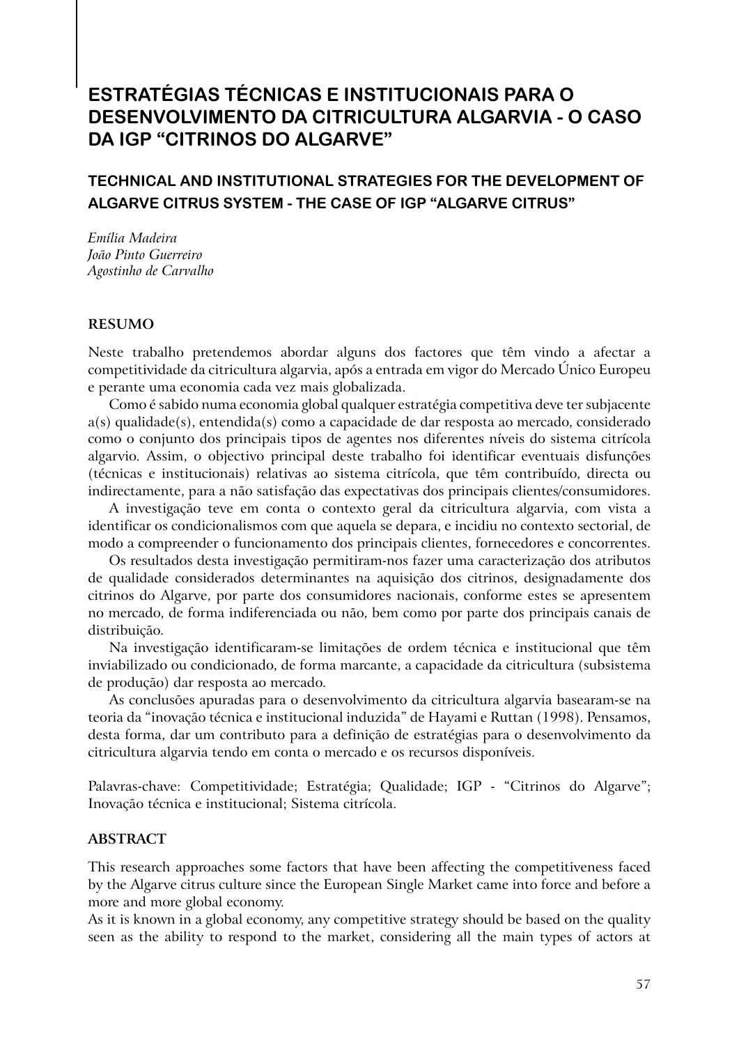# **Estratégias técnicas e institucionais para o desenvolvimento da citricultura algarvia - O Caso da IGP "Citrinos do Algarve"**

# **TECHNICAL AND INSTITUTIONAL STRATEGIES FOR THE DEVELOPMENT OF ALGARVE CITRUS SYSTEM - THE CASE OF IGP "ALGARVE CITRUS"**

*Emília Madeira João Pinto Guerreiro Agostinho de Carvalho*

## **RESUMO**

Neste trabalho pretendemos abordar alguns dos factores que têm vindo a afectar a competitividade da citricultura algarvia, após a entrada em vigor do Mercado Único Europeu e perante uma economia cada vez mais globalizada.

Como é sabido numa economia global qualquer estratégia competitiva deve ter subjacente a(s) qualidade(s), entendida(s) como a capacidade de dar resposta ao mercado, considerado como o conjunto dos principais tipos de agentes nos diferentes níveis do sistema citrícola algarvio. Assim, o objectivo principal deste trabalho foi identificar eventuais disfunções (técnicas e institucionais) relativas ao sistema citrícola, que têm contribuído, directa ou indirectamente, para a não satisfação das expectativas dos principais clientes/consumidores.

A investigação teve em conta o contexto geral da citricultura algarvia, com vista a identificar os condicionalismos com que aquela se depara, e incidiu no contexto sectorial, de modo a compreender o funcionamento dos principais clientes, fornecedores e concorrentes.

Os resultados desta investigação permitiram-nos fazer uma caracterização dos atributos de qualidade considerados determinantes na aquisição dos citrinos, designadamente dos citrinos do Algarve, por parte dos consumidores nacionais, conforme estes se apresentem no mercado, de forma indiferenciada ou não, bem como por parte dos principais canais de distribuição.

Na investigação identificaram-se limitações de ordem técnica e institucional que têm inviabilizado ou condicionado, de forma marcante, a capacidade da citricultura (subsistema de produção) dar resposta ao mercado.

As conclusões apuradas para o desenvolvimento da citricultura algarvia basearam-se na teoria da "inovação técnica e institucional induzida" de Hayami e Ruttan (1998). Pensamos, desta forma, dar um contributo para a definição de estratégias para o desenvolvimento da citricultura algarvia tendo em conta o mercado e os recursos disponíveis.

Palavras-chave: Competitividade; Estratégia; Qualidade; IGP - "Citrinos do Algarve"; Inovação técnica e institucional; Sistema citrícola.

## **Abstract**

This research approaches some factors that have been affecting the competitiveness faced by the Algarve citrus culture since the European Single Market came into force and before a more and more global economy.

As it is known in a global economy, any competitive strategy should be based on the quality seen as the ability to respond to the market, considering all the main types of actors at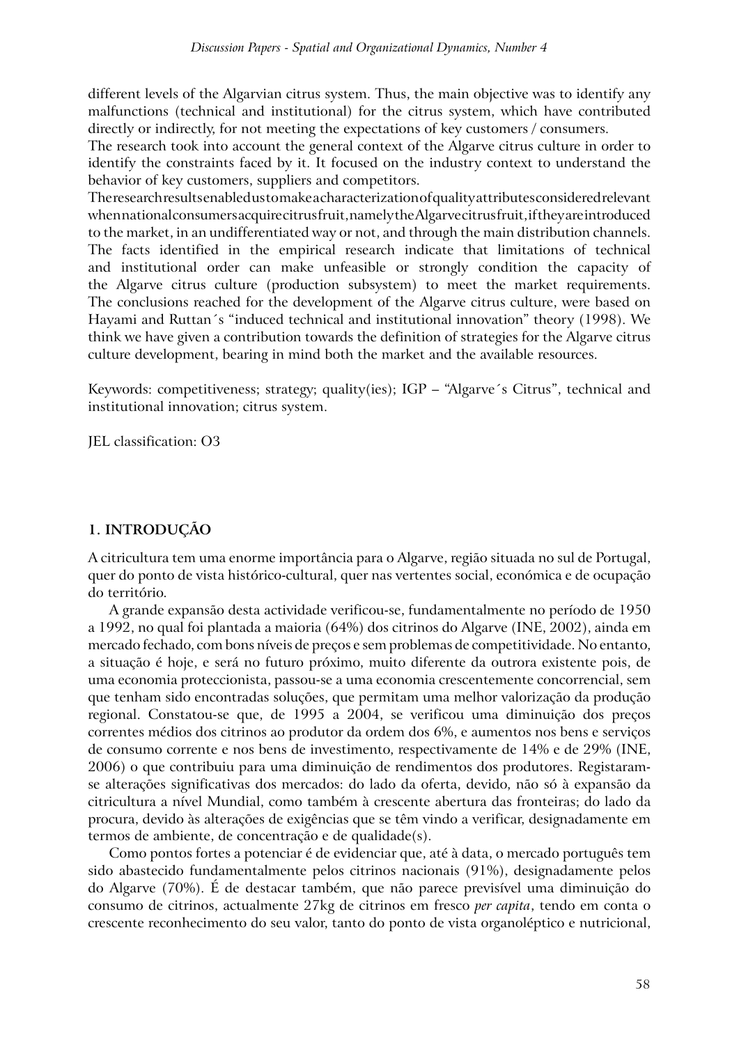different levels of the Algarvian citrus system. Thus, the main objective was to identify any malfunctions (technical and institutional) for the citrus system, which have contributed directly or indirectly, for not meeting the expectations of key customers / consumers.

The research took into account the general context of the Algarve citrus culture in order to identify the constraints faced by it. It focused on the industry context to understand the behavior of key customers, suppliers and competitors.

The research results enabled us to make a characterization of quality attributes considered relevant when national consumers acquire citrus fruit, namely the Algarve citrus fruit, if they are introduced to the market, in an undifferentiated way or not, and through the main distribution channels. The facts identified in the empirical research indicate that limitations of technical and institutional order can make unfeasible or strongly condition the capacity of the Algarve citrus culture (production subsystem) to meet the market requirements. The conclusions reached for the development of the Algarve citrus culture, were based on Hayami and Ruttan´s "induced technical and institutional innovation" theory (1998). We think we have given a contribution towards the definition of strategies for the Algarve citrus culture development, bearing in mind both the market and the available resources.

Keywords: competitiveness; strategy; quality(ies); IGP – "Algarve´s Citrus", technical and institutional innovation; citrus system.

JEL classification: O3

# **1. INTRODUÇÃO**

A citricultura tem uma enorme importância para o Algarve, região situada no sul de Portugal, quer do ponto de vista histórico-cultural, quer nas vertentes social, económica e de ocupação do território.

A grande expansão desta actividade verificou-se, fundamentalmente no período de 1950 a 1992, no qual foi plantada a maioria (64%) dos citrinos do Algarve (INE, 2002), ainda em mercado fechado, com bons níveis de preços e sem problemas de competitividade. No entanto, a situação é hoje, e será no futuro próximo, muito diferente da outrora existente pois, de uma economia proteccionista, passou-se a uma economia crescentemente concorrencial, sem que tenham sido encontradas soluções, que permitam uma melhor valorização da produção regional. Constatou-se que, de 1995 a 2004, se verificou uma diminuição dos preços correntes médios dos citrinos ao produtor da ordem dos 6%, e aumentos nos bens e serviços de consumo corrente e nos bens de investimento, respectivamente de 14% e de 29% (INE, 2006) o que contribuiu para uma diminuição de rendimentos dos produtores. Registaramse alterações significativas dos mercados: do lado da oferta, devido, não só à expansão da citricultura a nível Mundial, como também à crescente abertura das fronteiras; do lado da procura, devido às alterações de exigências que se têm vindo a verificar, designadamente em termos de ambiente, de concentração e de qualidade(s).

Como pontos fortes a potenciar é de evidenciar que, até à data, o mercado português tem sido abastecido fundamentalmente pelos citrinos nacionais (91%), designadamente pelos do Algarve (70%). É de destacar também, que não parece previsível uma diminuição do consumo de citrinos, actualmente 27kg de citrinos em fresco *per capita*, tendo em conta o crescente reconhecimento do seu valor, tanto do ponto de vista organoléptico e nutricional,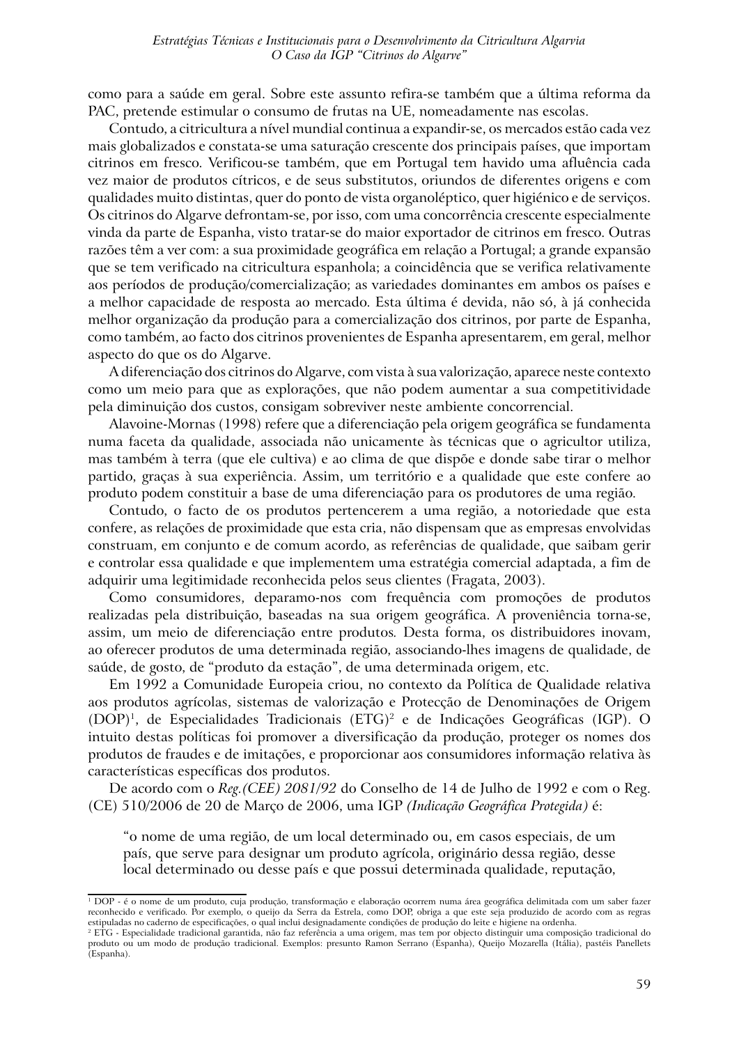como para a saúde em geral. Sobre este assunto refira-se também que a última reforma da PAC, pretende estimular o consumo de frutas na UE, nomeadamente nas escolas.

Contudo, a citricultura a nível mundial continua a expandir-se, os mercados estão cada vez mais globalizados e constata-se uma saturação crescente dos principais países, que importam citrinos em fresco. Verificou-se também, que em Portugal tem havido uma afluência cada vez maior de produtos cítricos, e de seus substitutos, oriundos de diferentes origens e com qualidades muito distintas, quer do ponto de vista organoléptico, quer higiénico e de serviços. Os citrinos do Algarve defrontam-se, por isso, com uma concorrência crescente especialmente vinda da parte de Espanha, visto tratar-se do maior exportador de citrinos em fresco. Outras razões têm a ver com: a sua proximidade geográfica em relação a Portugal; a grande expansão que se tem verificado na citricultura espanhola; a coincidência que se verifica relativamente aos períodos de produção/comercialização; as variedades dominantes em ambos os países e a melhor capacidade de resposta ao mercado. Esta última é devida, não só, à já conhecida melhor organização da produção para a comercialização dos citrinos, por parte de Espanha, como também, ao facto dos citrinos provenientes de Espanha apresentarem, em geral, melhor aspecto do que os do Algarve.

A diferenciação dos citrinos do Algarve, com vista à sua valorização, aparece neste contexto como um meio para que as explorações, que não podem aumentar a sua competitividade pela diminuição dos custos, consigam sobreviver neste ambiente concorrencial.

Alavoine-Mornas (1998) refere que a diferenciação pela origem geográfica se fundamenta numa faceta da qualidade, associada não unicamente às técnicas que o agricultor utiliza, mas também à terra (que ele cultiva) e ao clima de que dispõe e donde sabe tirar o melhor partido, graças à sua experiência. Assim, um território e a qualidade que este confere ao produto podem constituir a base de uma diferenciação para os produtores de uma região.

Contudo, o facto de os produtos pertencerem a uma região, a notoriedade que esta confere, as relações de proximidade que esta cria, não dispensam que as empresas envolvidas construam, em conjunto e de comum acordo, as referências de qualidade, que saibam gerir e controlar essa qualidade e que implementem uma estratégia comercial adaptada, a fim de adquirir uma legitimidade reconhecida pelos seus clientes (Fragata, 2003).

Como consumidores, deparamo-nos com frequência com promoções de produtos realizadas pela distribuição, baseadas na sua origem geográfica. A proveniência torna-se, assim, um meio de diferenciação entre produtos*.* Desta forma, os distribuidores inovam, ao oferecer produtos de uma determinada região, associando-lhes imagens de qualidade, de saúde, de gosto, de "produto da estação", de uma determinada origem, etc.

Em 1992 a Comunidade Europeia criou, no contexto da Política de Qualidade relativa aos produtos agrícolas, sistemas de valorização e Protecção de Denominações de Origem (DOP)1, de Especialidades Tradicionais (ETG)2 e de Indicações Geográficas (IGP). O intuito destas políticas foi promover a diversificação da produção, proteger os nomes dos produtos de fraudes e de imitações, e proporcionar aos consumidores informação relativa às características específicas dos produtos.

De acordo com o *Reg.(CEE) 2081/92* do Conselho de 14 de Julho de 1992 e com o Reg. (CE) 510/2006 de 20 de Março de 2006, uma IGP *(Indicação Geográfica Protegida)* é:

"o nome de uma região, de um local determinado ou, em casos especiais, de um país, que serve para designar um produto agrícola, originário dessa região, desse local determinado ou desse país e que possui determinada qualidade, reputação,

<sup>1</sup> DOP - é o nome de um produto, cuja produção, transformação e elaboração ocorrem numa área geográfica delimitada com um saber fazer reconhecido e verificado. Por exemplo, o queijo da Serra da Estrela, como DOP, obriga a que este seja produzido de acordo com as regras estipuladas no caderno de especificações, o qual inclui designadamente condições de produção do leite e higiene na ordenha.

<sup>2</sup> ETG - Especialidade tradicional garantida, não faz referência a uma origem, mas tem por objecto distinguir uma composição tradicional do produto ou um modo de produção tradicional. Exemplos: presunto Ramon Serrano (Espanha), Queijo Mozarella (Itália), pastéis Panellets (Espanha).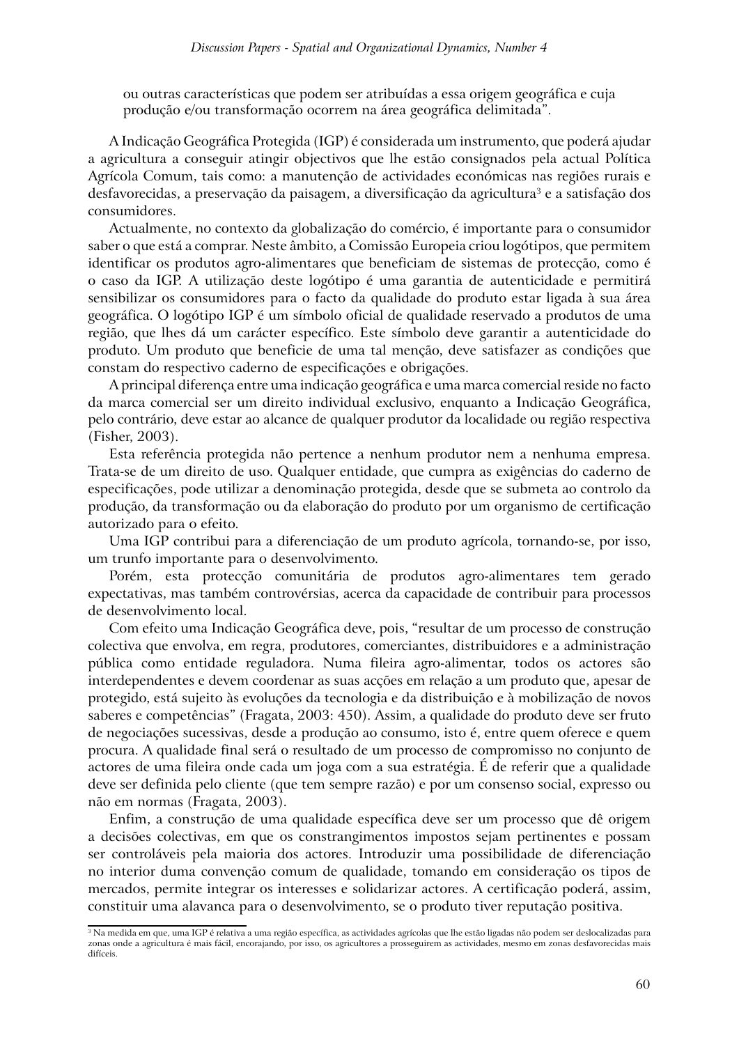ou outras características que podem ser atribuídas a essa origem geográfica e cuja produção e/ou transformação ocorrem na área geográfica delimitada".

A Indicação Geográfica Protegida (IGP) é considerada um instrumento, que poderá ajudar a agricultura a conseguir atingir objectivos que lhe estão consignados pela actual Política Agrícola Comum, tais como: a manutenção de actividades económicas nas regiões rurais e desfavorecidas, a preservação da paisagem, a diversificação da agricultura<sup>3</sup> e a satisfação dos consumidores.

Actualmente, no contexto da globalização do comércio, é importante para o consumidor saber o que está a comprar. Neste âmbito, a Comissão Europeia criou logótipos, que permitem identificar os produtos agro-alimentares que beneficiam de sistemas de protecção, como é o caso da IGP. A utilização deste logótipo é uma garantia de autenticidade e permitirá sensibilizar os consumidores para o facto da qualidade do produto estar ligada à sua área geográfica. O logótipo IGP é um símbolo oficial de qualidade reservado a produtos de uma região, que lhes dá um carácter específico. Este símbolo deve garantir a autenticidade do produto. Um produto que beneficie de uma tal menção, deve satisfazer as condições que constam do respectivo caderno de especificações e obrigações.

A principal diferença entre uma indicação geográfica e uma marca comercial reside no facto da marca comercial ser um direito individual exclusivo, enquanto a Indicação Geográfica, pelo contrário, deve estar ao alcance de qualquer produtor da localidade ou região respectiva (Fisher, 2003).

Esta referência protegida não pertence a nenhum produtor nem a nenhuma empresa. Trata-se de um direito de uso. Qualquer entidade, que cumpra as exigências do caderno de especificações, pode utilizar a denominação protegida, desde que se submeta ao controlo da produção, da transformação ou da elaboração do produto por um organismo de certificação autorizado para o efeito.

Uma IGP contribui para a diferenciação de um produto agrícola, tornando-se, por isso, um trunfo importante para o desenvolvimento.

Porém, esta protecção comunitária de produtos agro-alimentares tem gerado expectativas, mas também controvérsias, acerca da capacidade de contribuir para processos de desenvolvimento local.

Com efeito uma Indicação Geográfica deve, pois, "resultar de um processo de construção colectiva que envolva, em regra, produtores, comerciantes, distribuidores e a administração pública como entidade reguladora. Numa fileira agro-alimentar, todos os actores são interdependentes e devem coordenar as suas acções em relação a um produto que, apesar de protegido, está sujeito às evoluções da tecnologia e da distribuição e à mobilização de novos saberes e competências" (Fragata, 2003: 450). Assim, a qualidade do produto deve ser fruto de negociações sucessivas, desde a produção ao consumo, isto é, entre quem oferece e quem procura. A qualidade final será o resultado de um processo de compromisso no conjunto de actores de uma fileira onde cada um joga com a sua estratégia. É de referir que a qualidade deve ser definida pelo cliente (que tem sempre razão) e por um consenso social, expresso ou não em normas (Fragata, 2003).

Enfim, a construção de uma qualidade específica deve ser um processo que dê origem a decisões colectivas, em que os constrangimentos impostos sejam pertinentes e possam ser controláveis pela maioria dos actores. Introduzir uma possibilidade de diferenciação no interior duma convenção comum de qualidade, tomando em consideração os tipos de mercados, permite integrar os interesses e solidarizar actores. A certificação poderá, assim, constituir uma alavanca para o desenvolvimento, se o produto tiver reputação positiva.

<sup>&</sup>lt;sup>3</sup> Na medida em que, uma IGP é relativa a uma região específica, as actividades agrícolas que lhe estão ligadas não podem ser deslocalizadas para zonas onde a agricultura é mais fácil, encorajando, por isso, os agricultores a prosseguirem as actividades, mesmo em zonas desfavorecidas mais difíceis.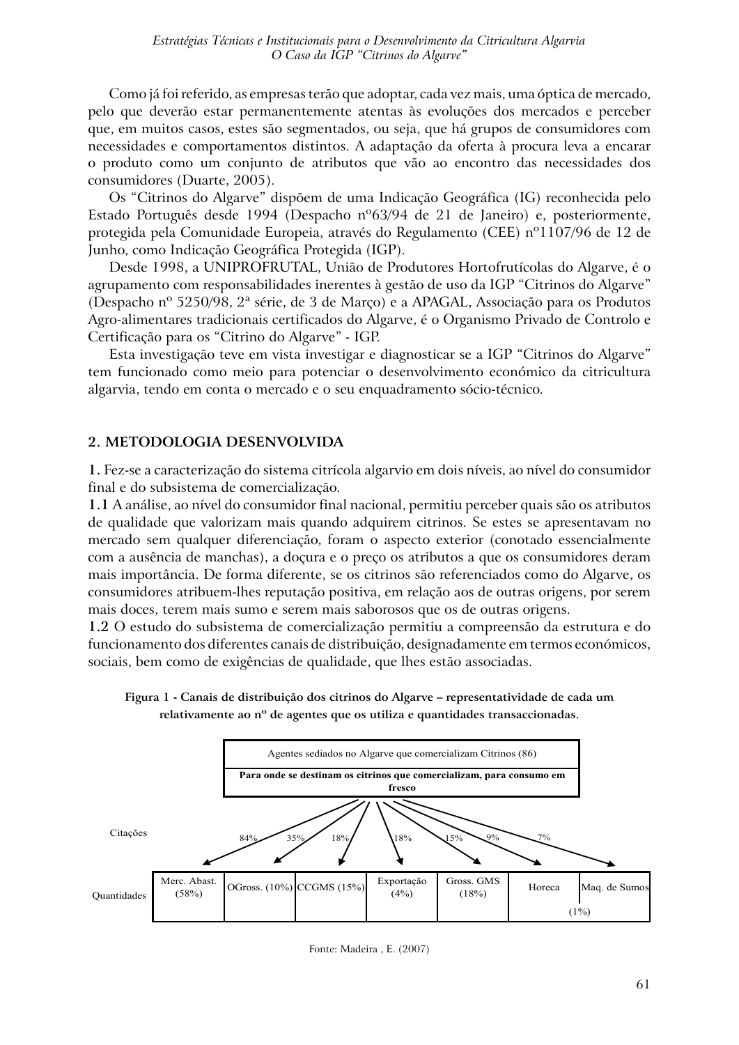Como já foi referido, as empresas terão que adoptar, cada vez mais, uma óptica de mercado, pelo que deverão estar permanentemente atentas às evoluções dos mercados e perceber que, em muitos casos, estes são segmentados, ou seja, que há grupos de consumidores com necessidades e comportamentos distintos. A adaptação da oferta à procura leva a encarar o produto como um conjunto de atributos que vão ao encontro das necessidades dos consumidores (Duarte, 2005).

Os "Citrinos do Algarve" dispõem de uma Indicação Geográfica (IG) reconhecida pelo Estado Português desde 1994 (Despacho nº63/94 de 21 de Janeiro) e, posteriormente, protegida pela Comunidade Europeia, através do Regulamento (CEE) nº1107/96 de 12 de Junho, como Indicação Geográfica Protegida (IGP).

Desde 1998, a UNIPROFRUTAL, União de Produtores Hortofrutícolas do Algarve, é o agrupamento com responsabilidades inerentes à gestão de uso da IGP "Citrinos do Algarve" (Despacho nº 5250/98, 2ª série, de 3 de Março) e a APAGAL, Associação para os Produtos Agro-alimentares tradicionais certificados do Algarve, é o Organismo Privado de Controlo e Certificação para os "Citrino do Algarve" - IGP.

Esta investigação teve em vista investigar e diagnosticar se a IGP "Citrinos do Algarve" tem funcionado como meio para potenciar o desenvolvimento económico da citricultura algarvia, tendo em conta o mercado e o seu enquadramento sócio-técnico.

# **2. Metodologia desenvolvida**

**1.** Fez-se a caracterização do sistema citrícola algarvio em dois níveis, ao nível do consumidor final e do subsistema de comercialização.

**1.1** A análise, ao nível do consumidor final nacional, permitiu perceber quais são os atributos de qualidade que valorizam mais quando adquirem citrinos. Se estes se apresentavam no mercado sem qualquer diferenciação, foram o aspecto exterior (conotado essencialmente com a ausência de manchas), a doçura e o preço os atributos a que os consumidores deram mais importância. De forma diferente, se os citrinos são referenciados como do Algarve, os consumidores atribuem-lhes reputação positiva, em relação aos de outras origens, por serem mais doces, terem mais sumo e serem mais saborosos que os de outras origens.

**1.2** O estudo do subsistema de comercialização permitiu a compreensão da estrutura e do funcionamento dos diferentes canais de distribuição, designadamente em termos económicos, sociais, bem como de exigências de qualidade, que lhes estão associadas.



**Figura 1 - Canais de distribuição dos citrinos do Algarve – representatividade de cada um relativamente ao nº de agentes que os utiliza e quantidades transaccionadas.**

Fonte: Madeira , E. (2007)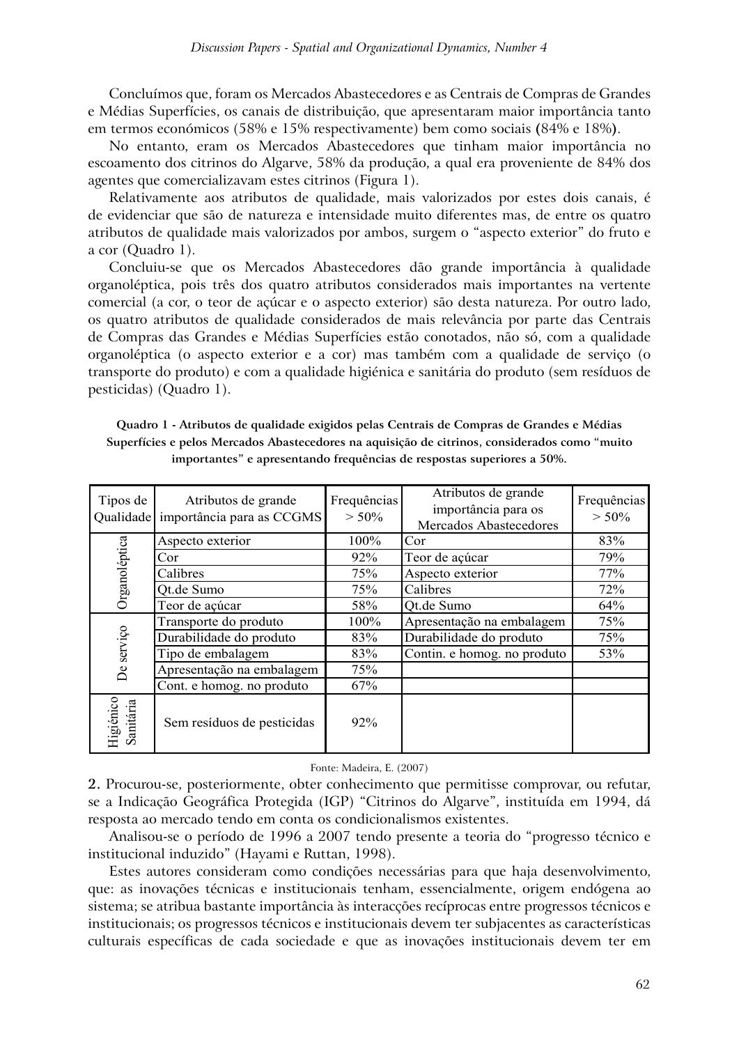Concluímos que, foram os Mercados Abastecedores e as Centrais de Compras de Grandes e Médias Superfícies, os canais de distribuição, que apresentaram maior importância tanto em termos económicos (58% e 15% respectivamente) bem como sociais **(**84% e 18%**)**.

No entanto, eram os Mercados Abastecedores que tinham maior importância no escoamento dos citrinos do Algarve, 58% da produção, a qual era proveniente de 84% dos agentes que comercializavam estes citrinos (Figura 1).

Relativamente aos atributos de qualidade, mais valorizados por estes dois canais, é de evidenciar que são de natureza e intensidade muito diferentes mas, de entre os quatro atributos de qualidade mais valorizados por ambos, surgem o "aspecto exterior" do fruto e a cor (Quadro 1).

Concluiu-se que os Mercados Abastecedores dão grande importância à qualidade organoléptica, pois três dos quatro atributos considerados mais importantes na vertente comercial (a cor, o teor de açúcar e o aspecto exterior) são desta natureza. Por outro lado, os quatro atributos de qualidade considerados de mais relevância por parte das Centrais de Compras das Grandes e Médias Superfícies estão conotados, não só, com a qualidade organoléptica (o aspecto exterior e a cor) mas também com a qualidade de serviço (o transporte do produto) e com a qualidade higiénica e sanitária do produto (sem resíduos de pesticidas) (Quadro 1).

| Quadro 1 - Atributos de qualidade exigidos pelas Centrais de Compras de Grandes e Médias       |
|------------------------------------------------------------------------------------------------|
| Superfícies e pelos Mercados Abastecedores na aquisição de citrinos, considerados como "muito" |
| importantes" e apresentando frequências de respostas superiores a 50%.                         |

| Tipos de<br>Qualidade  | Atributos de grande<br>importância para as CCGMS | Frequências<br>$> 50\%$ | Atributos de grande<br>importância para os<br>Mercados Abastecedores | Frequências<br>$> 50\%$ |
|------------------------|--------------------------------------------------|-------------------------|----------------------------------------------------------------------|-------------------------|
|                        | Aspecto exterior                                 | 100%                    | Cor                                                                  | 83%                     |
| Organoléptica          | Cor                                              | 92%                     | Teor de açúcar                                                       | 79%                     |
|                        | Calibres                                         | 75%                     | Aspecto exterior                                                     | 77%                     |
|                        | Qt.de Sumo                                       | 75%                     | Calibres                                                             | 72%                     |
|                        | Teor de açúcar                                   | 58%                     | Qt.de Sumo                                                           | 64%                     |
|                        | Transporte do produto                            | 100%                    | Apresentação na embalagem                                            | 75%                     |
| De serviço             | Durabilidade do produto                          | 83%                     | Durabilidade do produto                                              | 75%                     |
|                        | Tipo de embalagem                                | 83%                     | Contin. e homog. no produto                                          | 53%                     |
|                        | Apresentação na embalagem                        | 75%                     |                                                                      |                         |
|                        | Cont. e homog. no produto                        | 67%                     |                                                                      |                         |
| Higiénico<br>Sanitária | Sem resíduos de pesticidas                       | 92%                     |                                                                      |                         |

Fonte: Madeira, E. (2007)

**2.** Procurou-se, posteriormente, obter conhecimento que permitisse comprovar, ou refutar, se a Indicação Geográfica Protegida (IGP) "Citrinos do Algarve", instituída em 1994, dá resposta ao mercado tendo em conta os condicionalismos existentes.

Analisou-se o período de 1996 a 2007 tendo presente a teoria do "progresso técnico e institucional induzido" (Hayami e Ruttan, 1998).

Estes autores consideram como condições necessárias para que haja desenvolvimento, que: as inovações técnicas e institucionais tenham, essencialmente, origem endógena ao sistema; se atribua bastante importância às interacções recíprocas entre progressos técnicos e institucionais; os progressos técnicos e institucionais devem ter subjacentes as características culturais específicas de cada sociedade e que as inovações institucionais devem ter em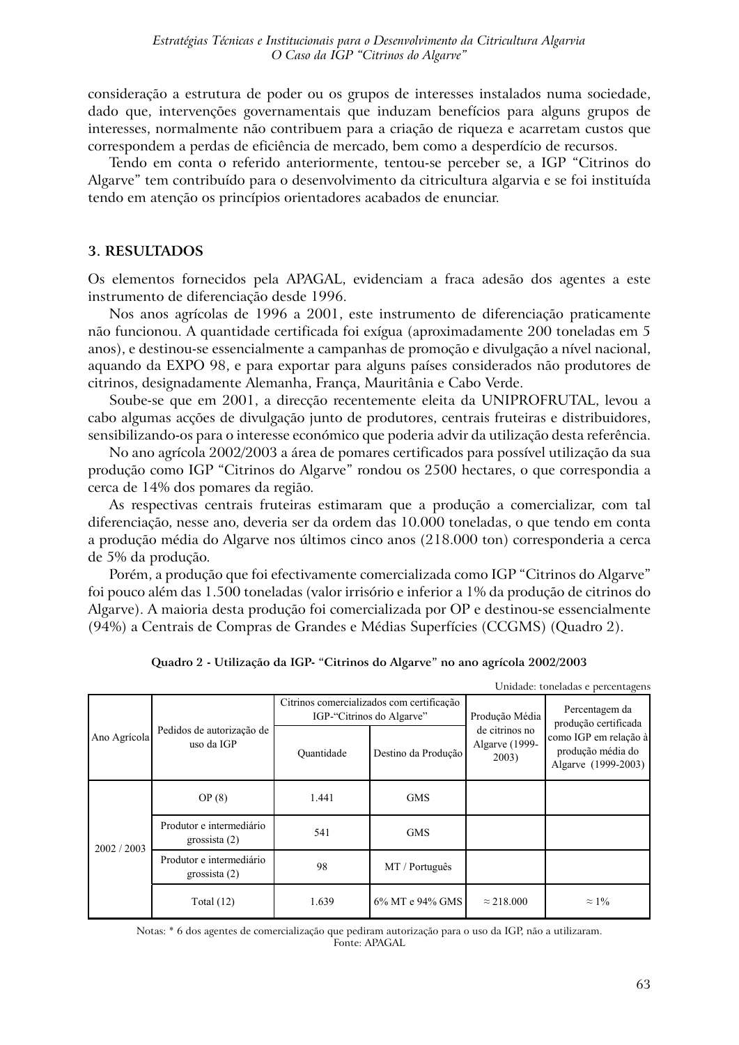consideração a estrutura de poder ou os grupos de interesses instalados numa sociedade, dado que, intervenções governamentais que induzam benefícios para alguns grupos de interesses, normalmente não contribuem para a criação de riqueza e acarretam custos que correspondem a perdas de eficiência de mercado, bem como a desperdício de recursos.

Tendo em conta o referido anteriormente, tentou-se perceber se, a IGP "Citrinos do Algarve" tem contribuído para o desenvolvimento da citricultura algarvia e se foi instituída tendo em atenção os princípios orientadores acabados de enunciar.

## **3. RESULTADOS**

Os elementos fornecidos pela APAGAL, evidenciam a fraca adesão dos agentes a este instrumento de diferenciação desde 1996.

Nos anos agrícolas de 1996 a 2001, este instrumento de diferenciação praticamente não funcionou. A quantidade certificada foi exígua (aproximadamente 200 toneladas em 5 anos), e destinou-se essencialmente a campanhas de promoção e divulgação a nível nacional, aquando da EXPO 98, e para exportar para alguns países considerados não produtores de citrinos, designadamente Alemanha, França, Mauritânia e Cabo Verde.

Soube-se que em 2001, a direcção recentemente eleita da UNIPROFRUTAL, levou a cabo algumas acções de divulgação junto de produtores, centrais fruteiras e distribuidores, sensibilizando-os para o interesse económico que poderia advir da utilização desta referência.

No ano agrícola 2002/2003 a área de pomares certificados para possível utilização da sua produção como IGP "Citrinos do Algarve" rondou os 2500 hectares, o que correspondia a cerca de 14% dos pomares da região.

As respectivas centrais fruteiras estimaram que a produção a comercializar, com tal diferenciação, nesse ano, deveria ser da ordem das 10.000 toneladas, o que tendo em conta a produção média do Algarve nos últimos cinco anos (218.000 ton) corresponderia a cerca de 5% da produção.

Porém, a produção que foi efectivamente comercializada como IGP "Citrinos do Algarve" foi pouco além das 1.500 toneladas (valor irrisório e inferior a 1% da produção de citrinos do Algarve). A maioria desta produção foi comercializada por OP e destinou-se essencialmente (94%) a Centrais de Compras de Grandes e Médias Superfícies (CCGMS) (Quadro 2).

|              |                                             |            |                                                                        |                                           | Unidade: toneladas e percentagens                                                                           |  |
|--------------|---------------------------------------------|------------|------------------------------------------------------------------------|-------------------------------------------|-------------------------------------------------------------------------------------------------------------|--|
|              |                                             |            | Citrinos comercializados com certificação<br>IGP-"Citrinos do Algarve" | Produção Média                            | Percentagem da<br>produção certificada<br>como IGP em relação à<br>produção média do<br>Algarve (1999-2003) |  |
| Ano Agrícola | Pedidos de autorização de<br>uso da IGP     | Ouantidade | Destino da Produção                                                    | de citrinos no<br>Algarve (1999-<br>2003) |                                                                                                             |  |
| 2002/2003    | OP(8)                                       | 1.441      | <b>GMS</b>                                                             |                                           |                                                                                                             |  |
|              | Produtor e intermediário<br>grossista $(2)$ | 541        | <b>GMS</b>                                                             |                                           |                                                                                                             |  |
|              | Produtor e intermediário<br>grossista $(2)$ | 98         | MT / Português                                                         |                                           |                                                                                                             |  |
|              | Total $(12)$                                | 1.639      | 6% MT e 94% GMS                                                        | $\approx$ 218.000                         | $\approx 1\%$                                                                                               |  |

**Quadro 2 - Utilização da IGP- "Citrinos do Algarve" no ano agrícola 2002/2003**

Notas: \* 6 dos agentes de comercialização que pediram autorização para o uso da IGP, não a utilizaram. Fonte: APAGAL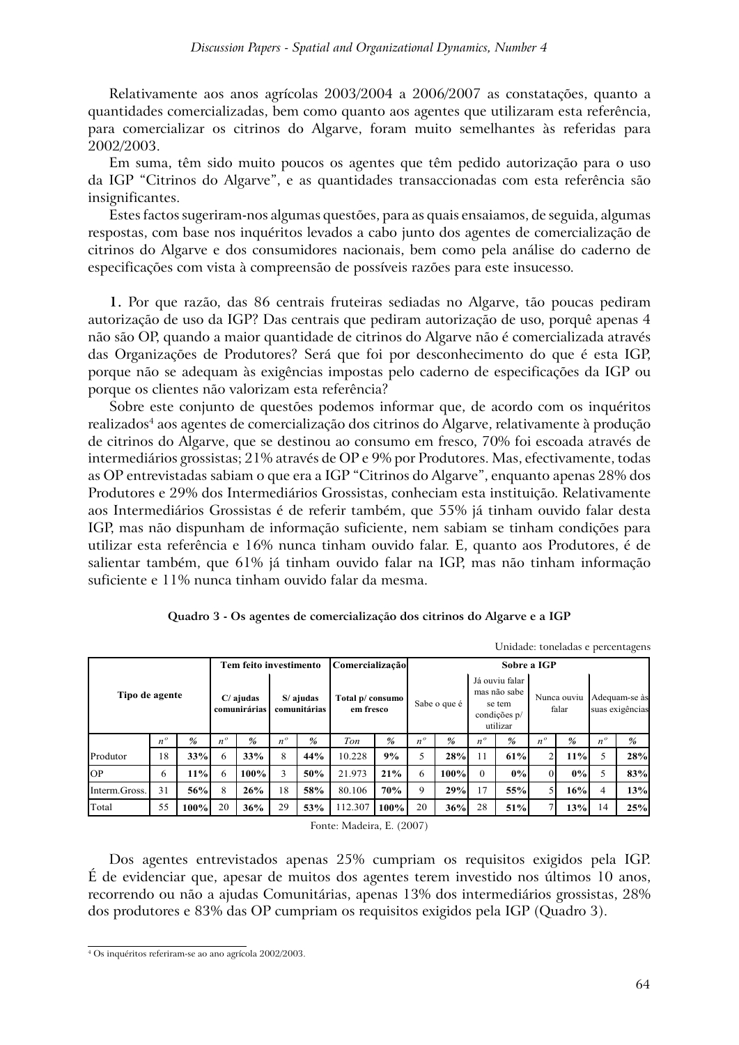Relativamente aos anos agrícolas 2003/2004 a 2006/2007 as constatações, quanto a quantidades comercializadas, bem como quanto aos agentes que utilizaram esta referência, para comercializar os citrinos do Algarve, foram muito semelhantes às referidas para 2002/2003.

Em suma, têm sido muito poucos os agentes que têm pedido autorização para o uso da IGP "Citrinos do Algarve", e as quantidades transaccionadas com esta referência são insignificantes.

Estes factos sugeriram-nos algumas questões, para as quais ensaiamos, de seguida, algumas respostas, com base nos inquéritos levados a cabo junto dos agentes de comercialização de citrinos do Algarve e dos consumidores nacionais, bem como pela análise do caderno de especificações com vista à compreensão de possíveis razões para este insucesso.

**1.** Por que razão, das 86 centrais fruteiras sediadas no Algarve, tão poucas pediram autorização de uso da IGP? Das centrais que pediram autorização de uso, porquê apenas 4 não são OP, quando a maior quantidade de citrinos do Algarve não é comercializada através das Organizações de Produtores? Será que foi por desconhecimento do que é esta IGP, porque não se adequam às exigências impostas pelo caderno de especificações da IGP ou porque os clientes não valorizam esta referência?

Sobre este conjunto de questões podemos informar que, de acordo com os inquéritos realizados<sup>4</sup> aos agentes de comercialização dos citrinos do Algarve, relativamente à produção de citrinos do Algarve, que se destinou ao consumo em fresco, 70% foi escoada através de intermediários grossistas; 21% através de OP e 9% por Produtores. Mas, efectivamente, todas as OP entrevistadas sabiam o que era a IGP "Citrinos do Algarve", enquanto apenas 28% dos Produtores e 29% dos Intermediários Grossistas, conheciam esta instituição. Relativamente aos Intermediários Grossistas é de referir também, que 55% já tinham ouvido falar desta IGP, mas não dispunham de informação suficiente, nem sabiam se tinham condições para utilizar esta referência e 16% nunca tinham ouvido falar. E, quanto aos Produtores, é de salientar também, que 61% já tinham ouvido falar na IGP, mas não tinham informação suficiente e 11% nunca tinham ouvido falar da mesma.

|                |             |      |                             |                                                              |             |              |         |                                                                      |             |                      |          | Unidade: toneladas e percentagens |                |       |             |     |
|----------------|-------------|------|-----------------------------|--------------------------------------------------------------|-------------|--------------|---------|----------------------------------------------------------------------|-------------|----------------------|----------|-----------------------------------|----------------|-------|-------------|-----|
|                |             |      |                             | Tem feito investimento                                       |             |              |         | Comercialização<br>Sobre a IGP                                       |             |                      |          |                                   |                |       |             |     |
| Tipo de agente |             |      | $C/$ ajudas<br>comunirárias | $S/$ ajudas<br>Total p/ consumo<br>comunitárias<br>em fresco |             | Sabe o que é |         | Já ouviu falar<br>mas não sabe<br>se tem<br>condições p/<br>utilizar |             | Nunca ouviu<br>falar |          | Adequam-se às<br>suas exigências  |                |       |             |     |
|                | $n^{\circ}$ | $\%$ | $n^{\circ}$                 | %                                                            | $n^{\circ}$ | %            | Ton     | %                                                                    | $n^{\circ}$ | %                    | $n^o$    | $\%$                              | $n^{\circ}$    | %     | $n^{\circ}$ | %   |
| Produtor       | 18          | 33%  | 6                           | 33%                                                          | 8           | 44%          | 10.228  | 9%                                                                   | 5           | 28%                  | 11       | 61%                               | $\overline{c}$ | 11%   | 5           | 28% |
| OP             | 6           | 11%  | 6                           | 100%                                                         | 3           | 50%          | 21.973  | 21%                                                                  | 6           | 100%                 | $\Omega$ | $0\%$                             | $\Omega$       | $0\%$ | 5           | 83% |
| Interm.Gross.  | 31          | 56%  | 8                           | 26%                                                          | 18          | 58%          | 80.106  | 70%                                                                  | 9           | 29%                  | 17       | 55%                               |                | 16%   | 4           | 13% |
| Total          | 55          | 100% | 20                          | 36%                                                          | 29          | 53%          | 112.307 | 100%                                                                 | 20          | 36%                  | 28       | 51%                               |                | 13%   | 14          | 25% |

|  |  |  | Quadro 3 - Os agentes de comercialização dos citrinos do Algarve e a IGP |  |
|--|--|--|--------------------------------------------------------------------------|--|
|  |  |  |                                                                          |  |

Fonte: Madeira, E. (2007)

Dos agentes entrevistados apenas 25% cumpriam os requisitos exigidos pela IGP. É de evidenciar que, apesar de muitos dos agentes terem investido nos últimos 10 anos, recorrendo ou não a ajudas Comunitárias, apenas 13% dos intermediários grossistas, 28% dos produtores e 83% das OP cumpriam os requisitos exigidos pela IGP (Quadro 3).

<sup>4</sup> Os inquéritos referiram-se ao ano agrícola 2002/2003.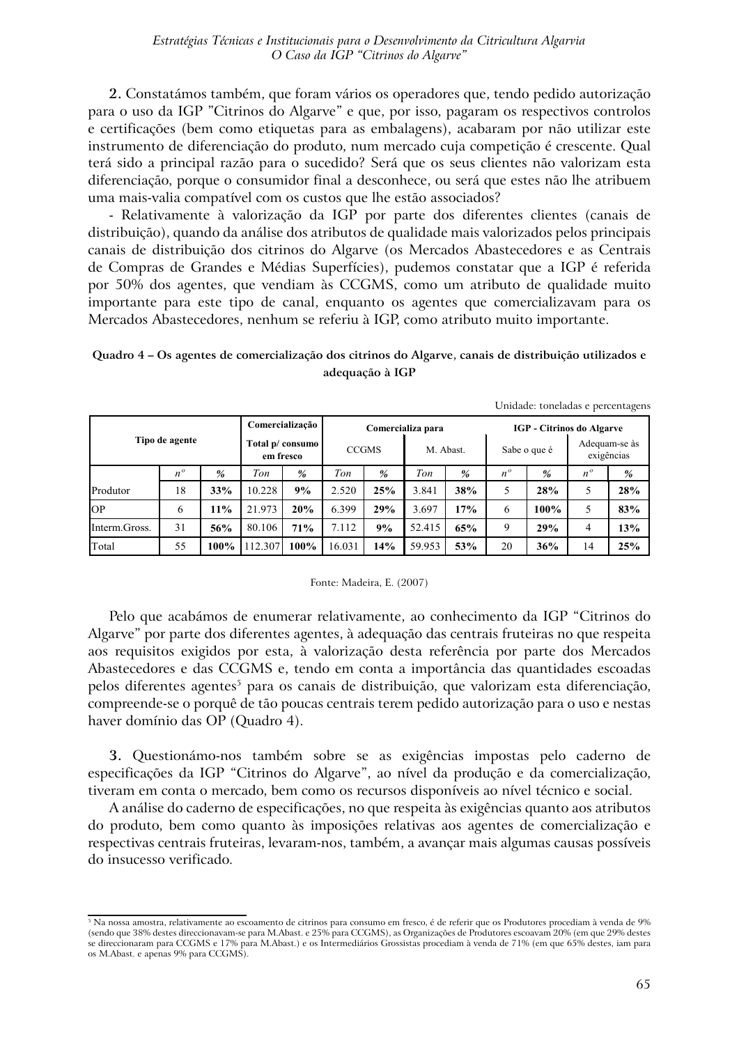**2.** Constatámos também, que foram vários os operadores que, tendo pedido autorização para o uso da IGP "Citrinos do Algarve" e que, por isso, pagaram os respectivos controlos e certificações (bem como etiquetas para as embalagens), acabaram por não utilizar este instrumento de diferenciação do produto, num mercado cuja competição é crescente. Qual terá sido a principal razão para o sucedido? Será que os seus clientes não valorizam esta diferenciação, porque o consumidor final a desconhece, ou será que estes não lhe atribuem uma mais-valia compatível com os custos que lhe estão associados?

- Relativamente à valorização da IGP por parte dos diferentes clientes (canais de distribuição), quando da análise dos atributos de qualidade mais valorizados pelos principais canais de distribuição dos citrinos do Algarve (os Mercados Abastecedores e as Centrais de Compras de Grandes e Médias Superfícies), pudemos constatar que a IGP é referida por 50% dos agentes, que vendiam às CCGMS, como um atributo de qualidade muito importante para este tipo de canal, enquanto os agentes que comercializavam para os Mercados Abastecedores, nenhum se referiu à IGP, como atributo muito importante.

| Quadro 4 – Os agentes de comercialização dos citrinos do Algarve, canais de distribuição utilizados e |  |
|-------------------------------------------------------------------------------------------------------|--|
| adequação à IGP                                                                                       |  |

| Tipo de agente |             |                              | Comercialização | Comercializa para |        |           |        | <b>IGP</b> - Citrinos do Algarve |             |                             |             |     |
|----------------|-------------|------------------------------|-----------------|-------------------|--------|-----------|--------|----------------------------------|-------------|-----------------------------|-------------|-----|
|                |             | Total p/consumo<br>em fresco |                 | <b>CCGMS</b>      |        | M. Abast. |        | Sabe o que é                     |             | Adequam-se às<br>exigências |             |     |
|                | $n^{\circ}$ | %                            | Ton             | %                 | Ton    | $\%$      | Ton    | $\frac{9}{6}$                    | $n^{\circ}$ | %                           | $n^{\circ}$ | %   |
| Produtor       | 18          | 33%                          | 10.228          | 9%                | 2.520  | 25%       | 3.841  | 38%                              |             | 28%                         |             | 28% |
| OP             | 6           | 11%                          | 21.973          | 20%               | 6.399  | 29%       | 3.697  | 17%                              | 6           | 100%                        |             | 83% |
| Interm.Gross.  | 31          | 56%                          | 80.106          | 71%               | 7.112  | 9%        | 52.415 | 65%                              | 9           | 29%                         | 4           | 13% |
| Total          | 55          | 100%                         | 112.307         | 100%              | 16.031 | 14%       | 59.953 | 53%                              | 20          | 36%                         | 14          | 25% |

| Fonte: Madeira, E. (2007) |  |  |
|---------------------------|--|--|
|---------------------------|--|--|

Pelo que acabámos de enumerar relativamente, ao conhecimento da IGP "Citrinos do Algarve" por parte dos diferentes agentes, à adequação das centrais fruteiras no que respeita aos requisitos exigidos por esta, à valorização desta referência por parte dos Mercados Abastecedores e das CCGMS e, tendo em conta a importância das quantidades escoadas pelos diferentes agentes<sup>5</sup> para os canais de distribuição, que valorizam esta diferenciação, compreende-se o porquê de tão poucas centrais terem pedido autorização para o uso e nestas haver domínio das OP (Quadro 4).

**3.** Questionámo-nos também sobre se as exigências impostas pelo caderno de especificações da IGP "Citrinos do Algarve", ao nível da produção e da comercialização, tiveram em conta o mercado, bem como os recursos disponíveis ao nível técnico e social.

A análise do caderno de especificações, no que respeita às exigências quanto aos atributos do produto, bem como quanto às imposições relativas aos agentes de comercialização e respectivas centrais fruteiras, levaram-nos, também, a avançar mais algumas causas possíveis do insucesso verificado.

Unidade: toneladas e percentagens

<sup>&</sup>lt;sup>5</sup> Na nossa amostra, relativamente ao escoamento de citrinos para consumo em fresco, é de referir que os Produtores procediam à venda de 9% (sendo que 38% destes direccionavam-se para M.Abast. e 25% para CCGMS), as Organizações de Produtores escoavam 20% (em que 29% destes se direccionaram para CCGMS e 17% para M.Abast.) e os Intermediários Grossistas procediam à venda de 71% (em que 65% destes, iam para os M.Abast. e apenas 9% para CCGMS).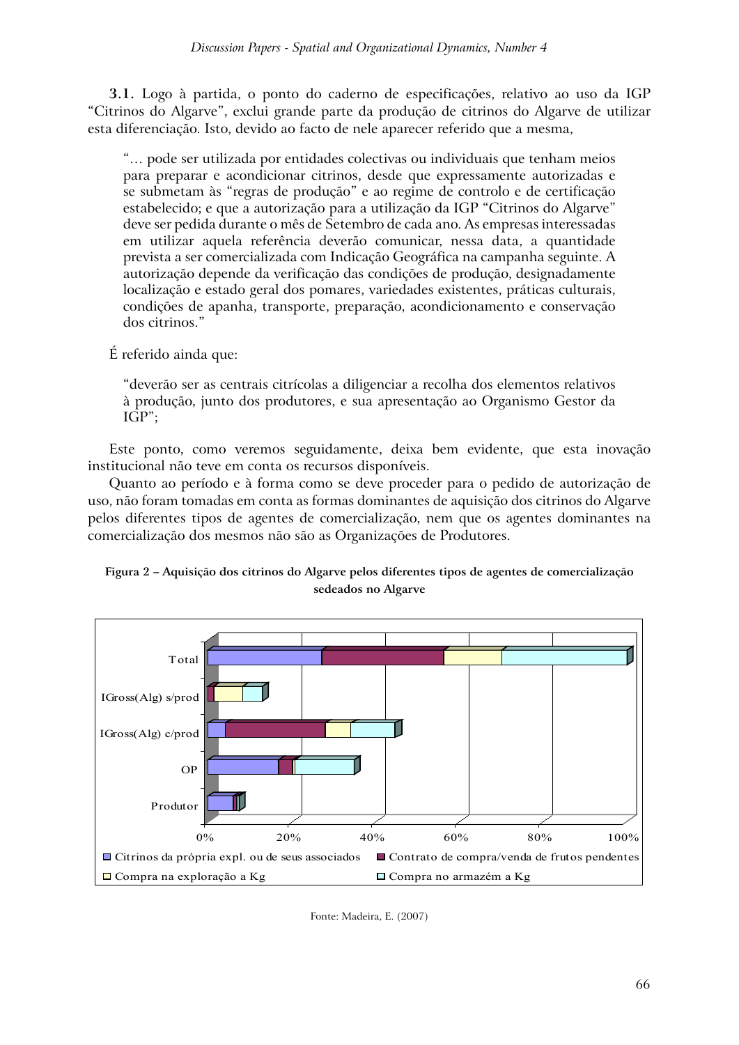**3.1.** Logo à partida, o ponto do caderno de especificações, relativo ao uso da IGP "Citrinos do Algarve", exclui grande parte da produção de citrinos do Algarve de utilizar esta diferenciação. Isto, devido ao facto de nele aparecer referido que a mesma,

"… pode ser utilizada por entidades colectivas ou individuais que tenham meios para preparar e acondicionar citrinos, desde que expressamente autorizadas e se submetam às "regras de produção" e ao regime de controlo e de certificação estabelecido; e que a autorização para a utilização da IGP "Citrinos do Algarve" deve ser pedida durante o mês de Setembro de cada ano. As empresas interessadas em utilizar aquela referência deverão comunicar, nessa data, a quantidade prevista a ser comercializada com Indicação Geográfica na campanha seguinte. A autorização depende da verificação das condições de produção, designadamente localização e estado geral dos pomares, variedades existentes, práticas culturais, condições de apanha, transporte, preparação, acondicionamento e conservação dos citrinos."

É referido ainda que:

"deverão ser as centrais citrícolas a diligenciar a recolha dos elementos relativos à produção, junto dos produtores, e sua apresentação ao Organismo Gestor da IGP";

Este ponto, como veremos seguidamente, deixa bem evidente, que esta inovação institucional não teve em conta os recursos disponíveis.

Quanto ao período e à forma como se deve proceder para o pedido de autorização de uso, não foram tomadas em conta as formas dominantes de aquisição dos citrinos do Algarve pelos diferentes tipos de agentes de comercialização, nem que os agentes dominantes na comercialização dos mesmos não são as Organizações de Produtores.





Fonte: Madeira, E. (2007)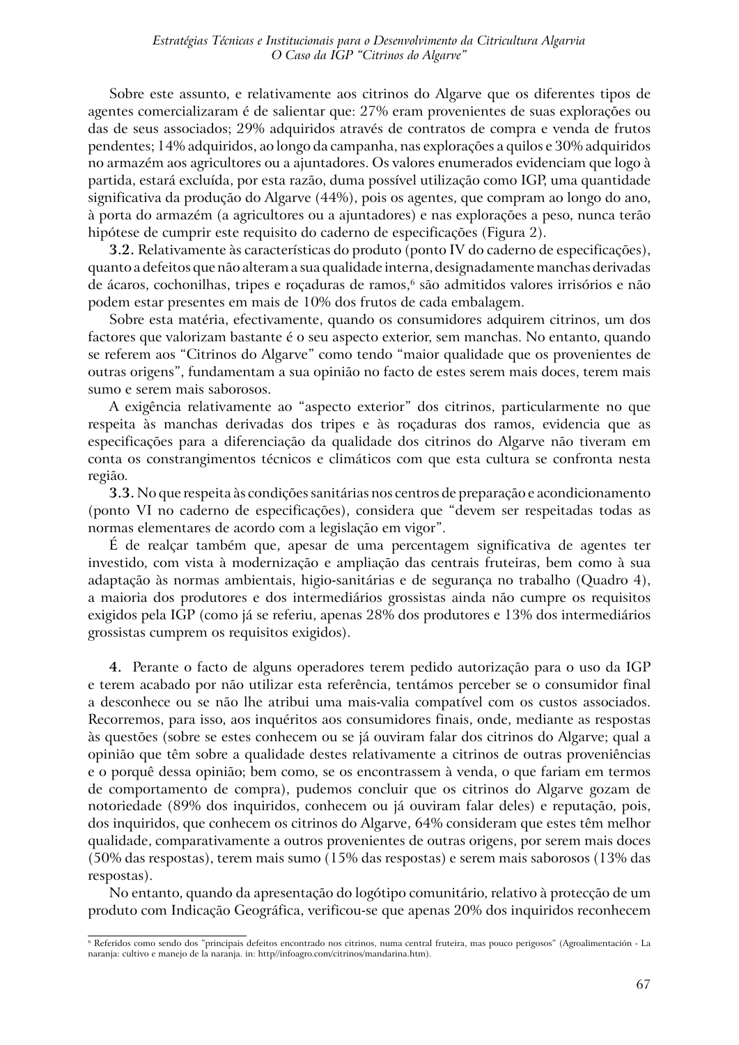Sobre este assunto, e relativamente aos citrinos do Algarve que os diferentes tipos de agentes comercializaram é de salientar que: 27% eram provenientes de suas explorações ou das de seus associados; 29% adquiridos através de contratos de compra e venda de frutos pendentes; 14% adquiridos, ao longo da campanha, nas explorações a quilos e 30% adquiridos no armazém aos agricultores ou a ajuntadores. Os valores enumerados evidenciam que logo à partida, estará excluída, por esta razão, duma possível utilização como IGP, uma quantidade significativa da produção do Algarve (44%), pois os agentes, que compram ao longo do ano, à porta do armazém (a agricultores ou a ajuntadores) e nas explorações a peso, nunca terão hipótese de cumprir este requisito do caderno de especificações (Figura 2).

**3.2.** Relativamente às características do produto (ponto IV do caderno de especificações), quanto a defeitos que não alteram a sua qualidade interna, designadamente manchas derivadas de ácaros, cochonilhas, tripes e roçaduras de ramos,<sup>6</sup> são admitidos valores irrisórios e não podem estar presentes em mais de 10% dos frutos de cada embalagem.

Sobre esta matéria, efectivamente, quando os consumidores adquirem citrinos, um dos factores que valorizam bastante é o seu aspecto exterior, sem manchas. No entanto, quando se referem aos "Citrinos do Algarve" como tendo "maior qualidade que os provenientes de outras origens", fundamentam a sua opinião no facto de estes serem mais doces, terem mais sumo e serem mais saborosos.

A exigência relativamente ao "aspecto exterior" dos citrinos, particularmente no que respeita às manchas derivadas dos tripes e às roçaduras dos ramos, evidencia que as especificações para a diferenciação da qualidade dos citrinos do Algarve não tiveram em conta os constrangimentos técnicos e climáticos com que esta cultura se confronta nesta região.

**3.3.** No que respeita às condições sanitárias nos centros de preparação e acondicionamento (ponto VI no caderno de especificações), considera que "devem ser respeitadas todas as normas elementares de acordo com a legislação em vigor".

É de realçar também que, apesar de uma percentagem significativa de agentes ter investido, com vista à modernização e ampliação das centrais fruteiras, bem como à sua adaptação às normas ambientais, higio-sanitárias e de segurança no trabalho (Quadro 4), a maioria dos produtores e dos intermediários grossistas ainda não cumpre os requisitos exigidos pela IGP (como já se referiu, apenas 28% dos produtores e 13% dos intermediários grossistas cumprem os requisitos exigidos).

**4.** Perante o facto de alguns operadores terem pedido autorização para o uso da IGP e terem acabado por não utilizar esta referência, tentámos perceber se o consumidor final a desconhece ou se não lhe atribui uma mais-valia compatível com os custos associados. Recorremos, para isso, aos inquéritos aos consumidores finais, onde, mediante as respostas às questões (sobre se estes conhecem ou se já ouviram falar dos citrinos do Algarve; qual a opinião que têm sobre a qualidade destes relativamente a citrinos de outras proveniências e o porquê dessa opinião; bem como, se os encontrassem à venda, o que fariam em termos de comportamento de compra), pudemos concluir que os citrinos do Algarve gozam de notoriedade (89% dos inquiridos, conhecem ou já ouviram falar deles) e reputação, pois, dos inquiridos, que conhecem os citrinos do Algarve, 64% consideram que estes têm melhor qualidade, comparativamente a outros provenientes de outras origens, por serem mais doces (50% das respostas), terem mais sumo (15% das respostas) e serem mais saborosos (13% das respostas).

No entanto, quando da apresentação do logótipo comunitário, relativo à protecção de um produto com Indicação Geográfica, verificou-se que apenas 20% dos inquiridos reconhecem

<sup>6</sup> Referidos como sendo dos "principais defeitos encontrado nos citrinos, numa central fruteira, mas pouco perigosos" (Agroalimentación - La naranja: cultivo e manejo de la naranja. in: http//infoagro.com/citrinos/mandarina.htm).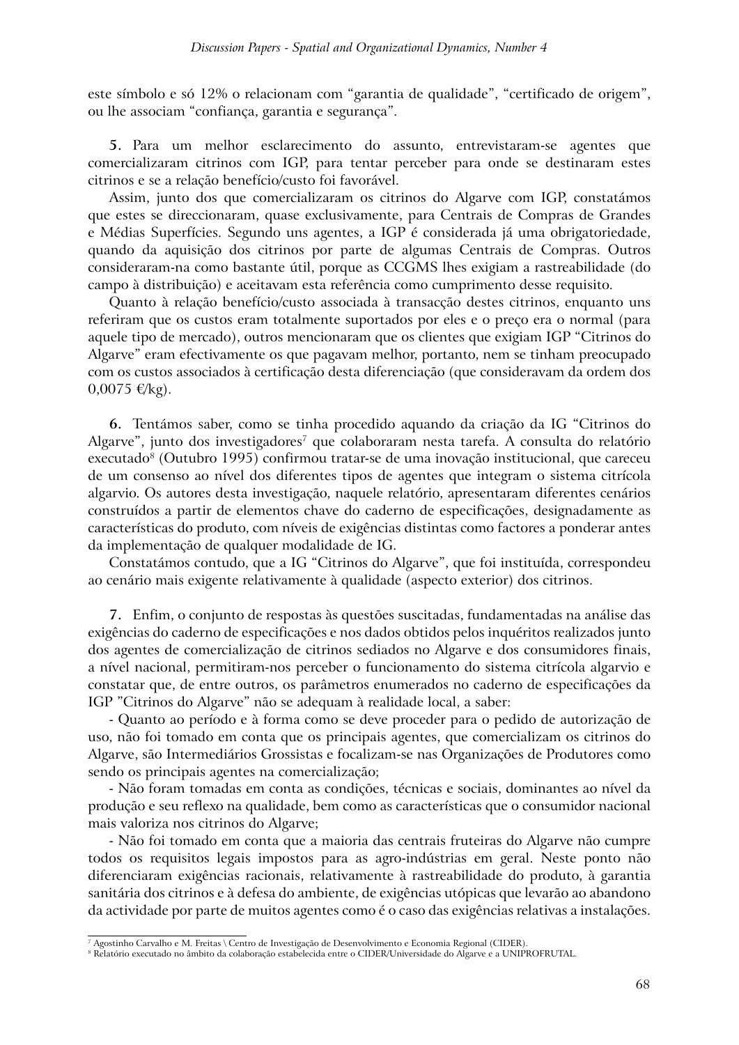este símbolo e só 12% o relacionam com "garantia de qualidade", "certificado de origem", ou lhe associam "confiança, garantia e segurança".

**5.** Para um melhor esclarecimento do assunto, entrevistaram-se agentes que comercializaram citrinos com IGP, para tentar perceber para onde se destinaram estes citrinos e se a relação benefício/custo foi favorável.

Assim, junto dos que comercializaram os citrinos do Algarve com IGP, constatámos que estes se direccionaram, quase exclusivamente, para Centrais de Compras de Grandes e Médias Superfícies. Segundo uns agentes, a IGP é considerada já uma obrigatoriedade, quando da aquisição dos citrinos por parte de algumas Centrais de Compras. Outros consideraram-na como bastante útil, porque as CCGMS lhes exigiam a rastreabilidade (do campo à distribuição) e aceitavam esta referência como cumprimento desse requisito.

Quanto à relação benefício/custo associada à transacção destes citrinos, enquanto uns referiram que os custos eram totalmente suportados por eles e o preço era o normal (para aquele tipo de mercado), outros mencionaram que os clientes que exigiam IGP "Citrinos do Algarve" eram efectivamente os que pagavam melhor, portanto, nem se tinham preocupado com os custos associados à certificação desta diferenciação (que consideravam da ordem dos  $0,0075 \text{ E/kg}$ .

**6.** Tentámos saber, como se tinha procedido aquando da criação da IG "Citrinos do Algarve", junto dos investigadores<sup>7</sup> que colaboraram nesta tarefa. A consulta do relatório executado<sup>8</sup> (Outubro 1995) confirmou tratar-se de uma inovação institucional, que careceu de um consenso ao nível dos diferentes tipos de agentes que integram o sistema citrícola algarvio. Os autores desta investigação, naquele relatório, apresentaram diferentes cenários construídos a partir de elementos chave do caderno de especificações, designadamente as características do produto, com níveis de exigências distintas como factores a ponderar antes da implementação de qualquer modalidade de IG.

Constatámos contudo, que a IG "Citrinos do Algarve", que foi instituída, correspondeu ao cenário mais exigente relativamente à qualidade (aspecto exterior) dos citrinos.

**7.** Enfim, o conjunto de respostas às questões suscitadas, fundamentadas na análise das exigências do caderno de especificações e nos dados obtidos pelos inquéritos realizados junto dos agentes de comercialização de citrinos sediados no Algarve e dos consumidores finais, a nível nacional, permitiram-nos perceber o funcionamento do sistema citrícola algarvio e constatar que, de entre outros, os parâmetros enumerados no caderno de especificações da IGP "Citrinos do Algarve" não se adequam à realidade local, a saber:

- Quanto ao período e à forma como se deve proceder para o pedido de autorização de uso, não foi tomado em conta que os principais agentes, que comercializam os citrinos do Algarve, são Intermediários Grossistas e focalizam-se nas Organizações de Produtores como sendo os principais agentes na comercialização;

- Não foram tomadas em conta as condições, técnicas e sociais, dominantes ao nível da produção e seu reflexo na qualidade, bem como as características que o consumidor nacional mais valoriza nos citrinos do Algarve;

- Não foi tomado em conta que a maioria das centrais fruteiras do Algarve não cumpre todos os requisitos legais impostos para as agro-indústrias em geral. Neste ponto não diferenciaram exigências racionais, relativamente à rastreabilidade do produto, à garantia sanitária dos citrinos e à defesa do ambiente, de exigências utópicas que levarão ao abandono da actividade por parte de muitos agentes como é o caso das exigências relativas a instalações.

<sup>7</sup> Agostinho Carvalho e M. Freitas \ Centro de Investigação de Desenvolvimento e Economia Regional (CIDER).

<sup>8</sup> Relatório executado no âmbito da colaboração estabelecida entre o CIDER/Universidade do Algarve e a UNIPROFRUTAL.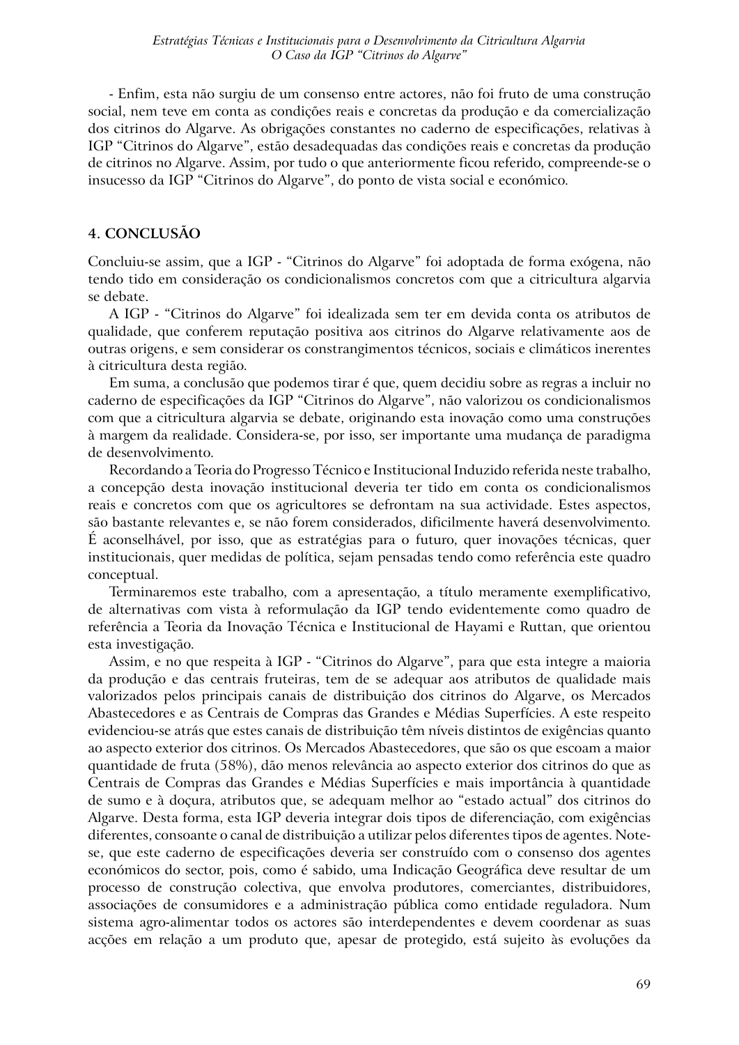- Enfim, esta não surgiu de um consenso entre actores, não foi fruto de uma construção social, nem teve em conta as condições reais e concretas da produção e da comercialização dos citrinos do Algarve. As obrigações constantes no caderno de especificações, relativas à IGP "Citrinos do Algarve", estão desadequadas das condições reais e concretas da produção de citrinos no Algarve. Assim, por tudo o que anteriormente ficou referido, compreende-se o insucesso da IGP "Citrinos do Algarve", do ponto de vista social e económico.

# **4. CONCLUSÃO**

Concluiu-se assim, que a IGP - "Citrinos do Algarve" foi adoptada de forma exógena, não tendo tido em consideração os condicionalismos concretos com que a citricultura algarvia se debate.

A IGP - "Citrinos do Algarve" foi idealizada sem ter em devida conta os atributos de qualidade, que conferem reputação positiva aos citrinos do Algarve relativamente aos de outras origens, e sem considerar os constrangimentos técnicos, sociais e climáticos inerentes à citricultura desta região.

Em suma, a conclusão que podemos tirar é que, quem decidiu sobre as regras a incluir no caderno de especificações da IGP "Citrinos do Algarve", não valorizou os condicionalismos com que a citricultura algarvia se debate, originando esta inovação como uma construções à margem da realidade. Considera-se, por isso, ser importante uma mudança de paradigma de desenvolvimento.

Recordando a Teoria do Progresso Técnico e Institucional Induzido referida neste trabalho, a concepção desta inovação institucional deveria ter tido em conta os condicionalismos reais e concretos com que os agricultores se defrontam na sua actividade. Estes aspectos, são bastante relevantes e, se não forem considerados, dificilmente haverá desenvolvimento. É aconselhável, por isso, que as estratégias para o futuro, quer inovações técnicas, quer institucionais, quer medidas de política, sejam pensadas tendo como referência este quadro conceptual.

Terminaremos este trabalho, com a apresentação, a título meramente exemplificativo, de alternativas com vista à reformulação da IGP tendo evidentemente como quadro de referência a Teoria da Inovação Técnica e Institucional de Hayami e Ruttan, que orientou esta investigação.

Assim, e no que respeita à IGP - "Citrinos do Algarve", para que esta integre a maioria da produção e das centrais fruteiras, tem de se adequar aos atributos de qualidade mais valorizados pelos principais canais de distribuição dos citrinos do Algarve, os Mercados Abastecedores e as Centrais de Compras das Grandes e Médias Superfícies. A este respeito evidenciou-se atrás que estes canais de distribuição têm níveis distintos de exigências quanto ao aspecto exterior dos citrinos. Os Mercados Abastecedores, que são os que escoam a maior quantidade de fruta (58%), dão menos relevância ao aspecto exterior dos citrinos do que as Centrais de Compras das Grandes e Médias Superfícies e mais importância à quantidade de sumo e à doçura, atributos que, se adequam melhor ao "estado actual" dos citrinos do Algarve. Desta forma, esta IGP deveria integrar dois tipos de diferenciação, com exigências diferentes, consoante o canal de distribuição a utilizar pelos diferentes tipos de agentes. Notese, que este caderno de especificações deveria ser construído com o consenso dos agentes económicos do sector, pois, como é sabido, uma Indicação Geográfica deve resultar de um processo de construção colectiva, que envolva produtores, comerciantes, distribuidores, associações de consumidores e a administração pública como entidade reguladora. Num sistema agro-alimentar todos os actores são interdependentes e devem coordenar as suas acções em relação a um produto que, apesar de protegido, está sujeito às evoluções da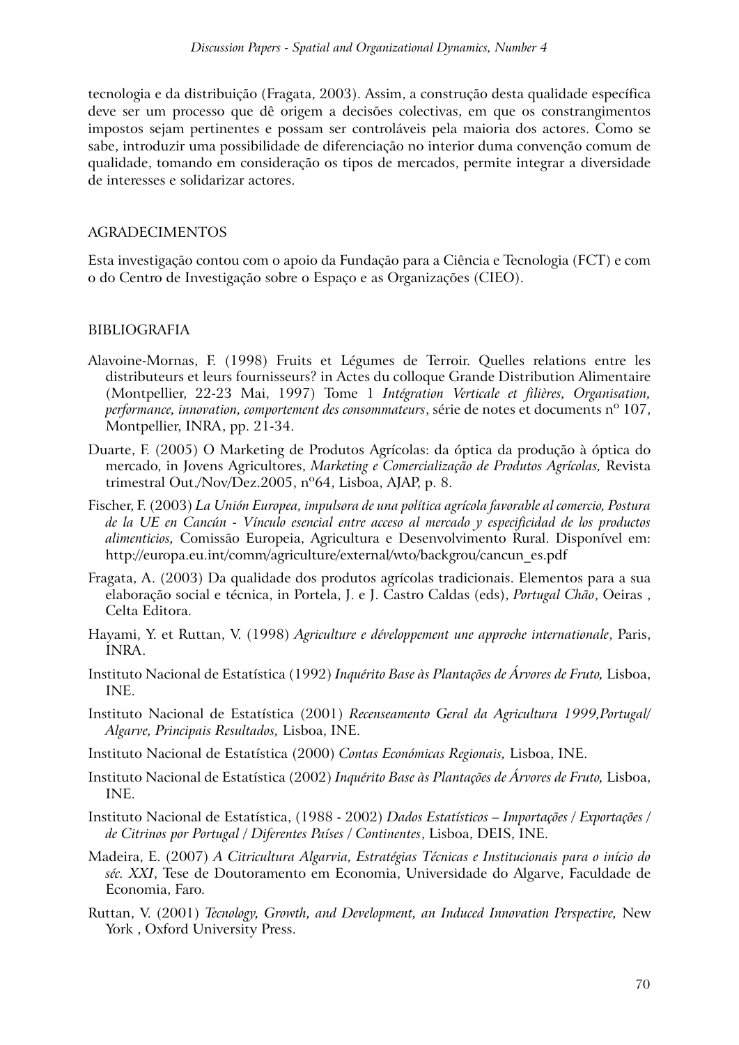tecnologia e da distribuição (Fragata, 2003). Assim, a construção desta qualidade específica deve ser um processo que dê origem a decisões colectivas, em que os constrangimentos impostos sejam pertinentes e possam ser controláveis pela maioria dos actores. Como se sabe, introduzir uma possibilidade de diferenciação no interior duma convenção comum de qualidade, tomando em consideração os tipos de mercados, permite integrar a diversidade de interesses e solidarizar actores.

# AGRADECIMENTOS

Esta investigação contou com o apoio da Fundação para a Ciência e Tecnologia (FCT) e com o do Centro de Investigação sobre o Espaço e as Organizações (CIEO).

# BIBLIOGRAFIA

- Alavoine-Mornas, F. (1998) Fruits et Légumes de Terroir. Quelles relations entre les distributeurs et leurs fournisseurs? in Actes du colloque Grande Distribution Alimentaire (Montpellier, 22-23 Mai, 1997) Tome 1 *Intégration Verticale et filières, Organisation, performance, innovation, comportement des consommateurs*, série de notes et documents nº 107, Montpellier, INRA, pp. 21-34.
- Duarte, F. (2005) O Marketing de Produtos Agrícolas: da óptica da produção à óptica do mercado, in Jovens Agricultores, *Marketing e Comercialização de Produtos Agrícolas,* Revista trimestral Out./Nov/Dez.2005, nº64, Lisboa, AJAP, p. 8.
- Fischer, F. (2003) *La Unión Europea, impulsora de una política agrícola favorable al comercio, Postura de la UE en Cancún - Vínculo esencial entre acceso al mercado y especificidad de los productos alimenticios,* Comissão Europeia, Agricultura e Desenvolvimento Rural. Disponível em: http://europa.eu.int/comm/agriculture/external/wto/backgrou/cancun\_es.pdf
- Fragata, A. (2003) Da qualidade dos produtos agrícolas tradicionais. Elementos para a sua elaboração social e técnica, in Portela, J. e J. Castro Caldas (eds), *Portugal Chão*, Oeiras , Celta Editora.
- Hayami, Y. et Ruttan, V. (1998) *Agriculture e développement une approche internationale*, Paris, INRA.
- Instituto Nacional de Estatística (1992) *Inquérito Base às Plantações de Árvores de Fruto,* Lisboa, INE.
- Instituto Nacional de Estatística (2001) *Recenseamento Geral da Agricultura 1999,Portugal/ Algarve, Principais Resultados,* Lisboa, INE.
- Instituto Nacional de Estatística (2000) *Contas Económicas Regionais,* Lisboa, INE.
- Instituto Nacional de Estatística (2002) *Inquérito Base às Plantações de Árvores de Fruto,* Lisboa, INE.
- Instituto Nacional de Estatística, (1988 2002) *Dados Estatísticos Importações / Exportações / de Citrinos por Portugal / Diferentes Países / Continentes*, Lisboa, DEIS, INE.
- Madeira, E. (2007) *A Citricultura Algarvia, Estratégias Técnicas e Institucionais para o início do séc. XXI*, Tese de Doutoramento em Economia, Universidade do Algarve, Faculdade de Economia, Faro.
- Ruttan, V. (2001) *Tecnology, Growth, and Development, an Induced Innovation Perspective,* New York , Oxford University Press.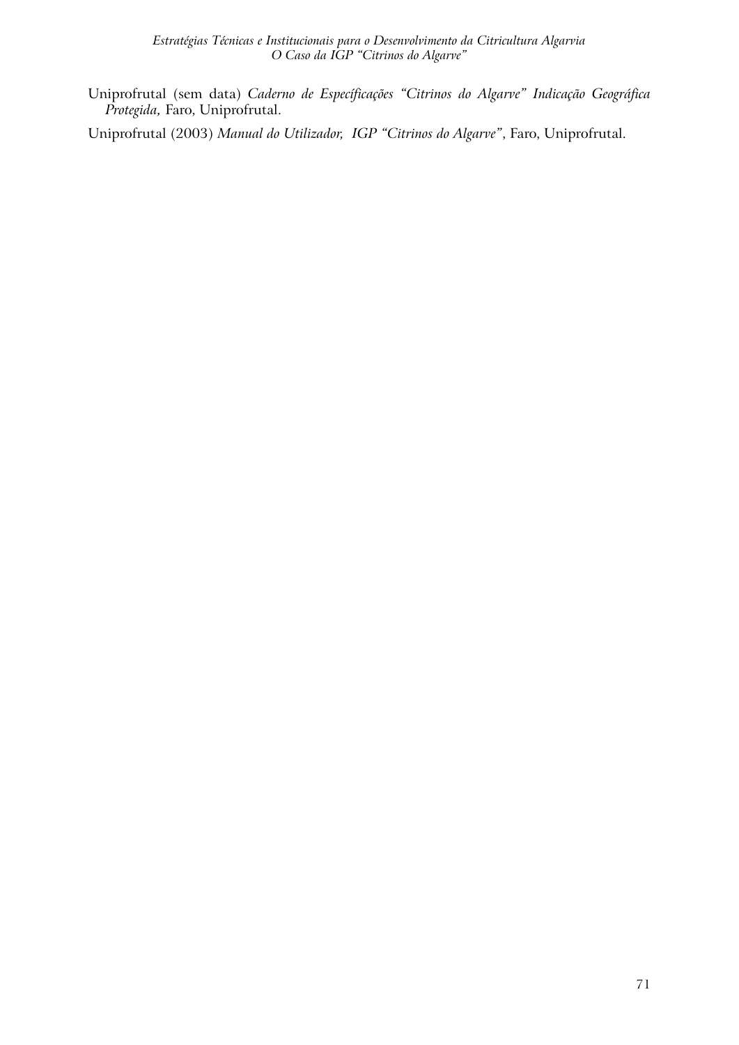Uniprofrutal (sem data) *Caderno de Específicações "Citrinos do Algarve" Indicação Geográfica Protegida,* Faro, Uniprofrutal.

Uniprofrutal (2003) *Manual do Utilizador, IGP "Citrinos do Algarve"*, Faro, Uniprofrutal.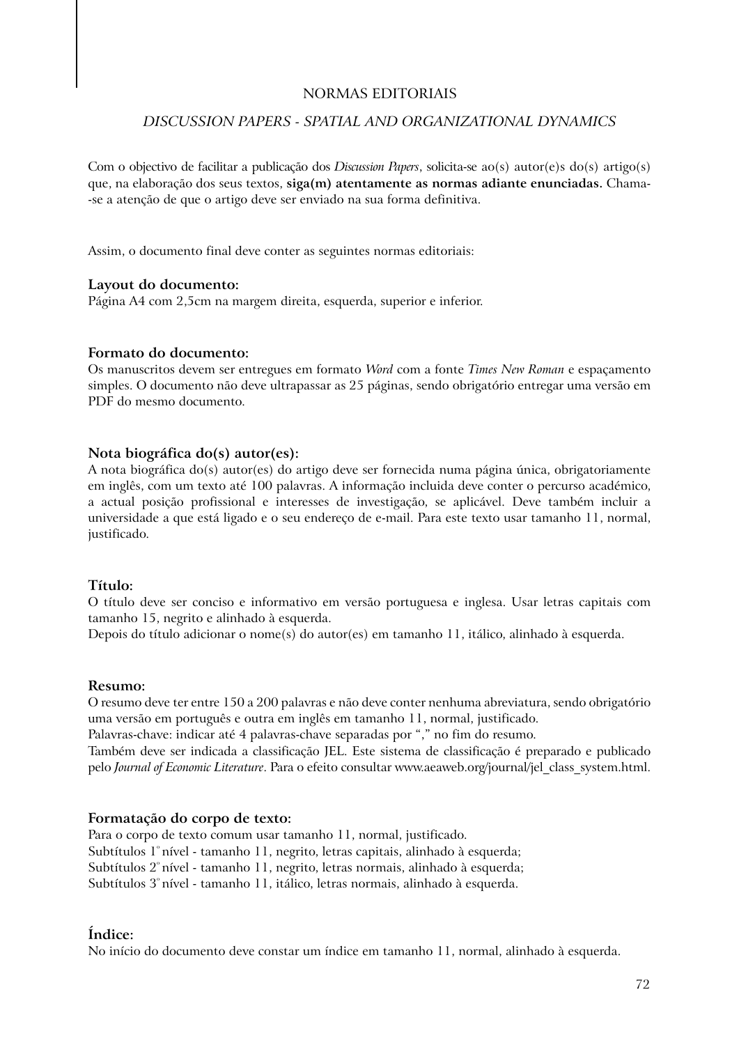### Normas Editoriais

## *DISCUSSION PAPERS - spatial and organizational dynamics*

Com o objectivo de facilitar a publicação dos *Discussion Papers*, solicita-se ao(s) autor(e)s do(s) artigo(s) que, na elaboração dos seus textos, **siga(m) atentamente as normas adiante enunciadas.** Chama- -se a atenção de que o artigo deve ser enviado na sua forma definitiva.

Assim, o documento final deve conter as seguintes normas editoriais:

#### **Layout do documento:**

Página A4 com 2,5cm na margem direita, esquerda, superior e inferior.

#### **Formato do documento:**

Os manuscritos devem ser entregues em formato *Word* com a fonte *Times New Roman* e espaçamento simples. O documento não deve ultrapassar as 25 páginas, sendo obrigatório entregar uma versão em PDF do mesmo documento.

### **Nota biográfica do(s) autor(es):**

A nota biográfica do(s) autor(es) do artigo deve ser fornecida numa página única, obrigatoriamente em inglês, com um texto até 100 palavras. A informação incluida deve conter o percurso académico, a actual posição profissional e interesses de investigação, se aplicável. Deve também incluir a universidade a que está ligado e o seu endereço de e-mail. Para este texto usar tamanho 11, normal, justificado.

### **Título:**

O título deve ser conciso e informativo em versão portuguesa e inglesa. Usar letras capitais com tamanho 15, negrito e alinhado à esquerda.

Depois do título adicionar o nome(s) do autor(es) em tamanho 11, itálico, alinhado à esquerda.

#### **Resumo:**

O resumo deve ter entre 150 a 200 palavras e não deve conter nenhuma abreviatura, sendo obrigatório uma versão em português e outra em inglês em tamanho 11, normal, justificado.

Palavras-chave: indicar até 4 palavras-chave separadas por "," no fim do resumo.

Também deve ser indicada a classificação JEL. Este sistema de classificação é preparado e publicado pelo *Journal of Economic Literature*. Para o efeito consultar www.aeaweb.org/journal/jel\_class\_system.html.

### **Formatação do corpo de texto:**

Para o corpo de texto comum usar tamanho 11, normal, justificado. Subtítulos 1º nível - tamanho 11, negrito, letras capitais, alinhado à esquerda; Subtítulos 2º nível - tamanho 11, negrito, letras normais, alinhado à esquerda; Subtítulos 3º nível - tamanho 11, itálico, letras normais, alinhado à esquerda.

## **Índice:**

No início do documento deve constar um índice em tamanho 11, normal, alinhado à esquerda.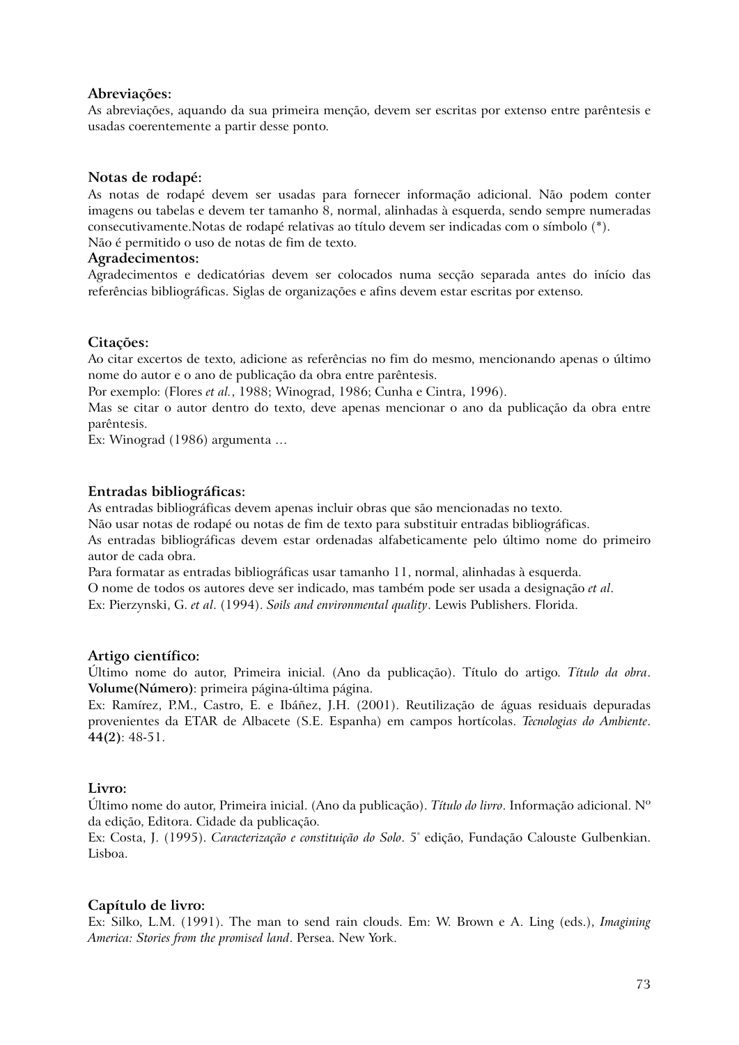### **Abreviações:**

As abreviações, aquando da sua primeira menção, devem ser escritas por extenso entre parêntesis e usadas coerentemente a partir desse ponto.

## **Notas de rodapé:**

As notas de rodapé devem ser usadas para fornecer informação adicional. Não podem conter imagens ou tabelas e devem ter tamanho 8, normal, alinhadas à esquerda, sendo sempre numeradas consecutivamente.Notas de rodapé relativas ao título devem ser indicadas com o símbolo (\*). Não é permitido o uso de notas de fim de texto.

### **Agradecimentos:**

Agradecimentos e dedicatórias devem ser colocados numa secção separada antes do início das referências bibliográficas. Siglas de organizações e afins devem estar escritas por extenso.

## **Citações:**

Ao citar excertos de texto, adicione as referências no fim do mesmo, mencionando apenas o último nome do autor e o ano de publicação da obra entre parêntesis.

Por exemplo: (Flores *et al.*, 1988; Winograd, 1986; Cunha e Cintra, 1996).

Mas se citar o autor dentro do texto, deve apenas mencionar o ano da publicação da obra entre parêntesis.

Ex: Winograd (1986) argumenta …

## **Entradas bibliográficas:**

As entradas bibliográficas devem apenas incluir obras que são mencionadas no texto.

Não usar notas de rodapé ou notas de fim de texto para substituir entradas bibliográficas.

As entradas bibliográficas devem estar ordenadas alfabeticamente pelo último nome do primeiro autor de cada obra.

Para formatar as entradas bibliográficas usar tamanho 11, normal, alinhadas à esquerda. O nome de todos os autores deve ser indicado, mas também pode ser usada a designação *et al*. Ex: Pierzynski, G. *et al*. (1994). *Soils and environmental quality*. Lewis Publishers. Florida.

## **Artigo científico:**

Último nome do autor, Primeira inicial. (Ano da publicação). Título do artigo. *Título da obra*. **Volume(Número)**: primeira página-última página.

Ex: Ramírez, P.M., Castro, E. e Ibáñez, J.H. (2001). Reutilização de águas residuais depuradas provenientes da ETAR de Albacete (S.E. Espanha) em campos hortícolas. *Tecnologias do Ambiente*. **44(2)**: 48-51.

### **Livro:**

Último nome do autor, Primeira inicial. (Ano da publicação). *Título do livro*. Informação adicional. Nº da edição, Editora. Cidade da publicação.

Ex: Costa, J. (1995). *Caracterização e constituição do Solo*. 5ª edição, Fundação Calouste Gulbenkian. Lisboa.

## **Capítulo de livro:**

Ex: Silko, L.M. (1991). The man to send rain clouds. Em: W. Brown e A. Ling (eds.), *Imagining America: Stories from the promised land*. Persea. New York.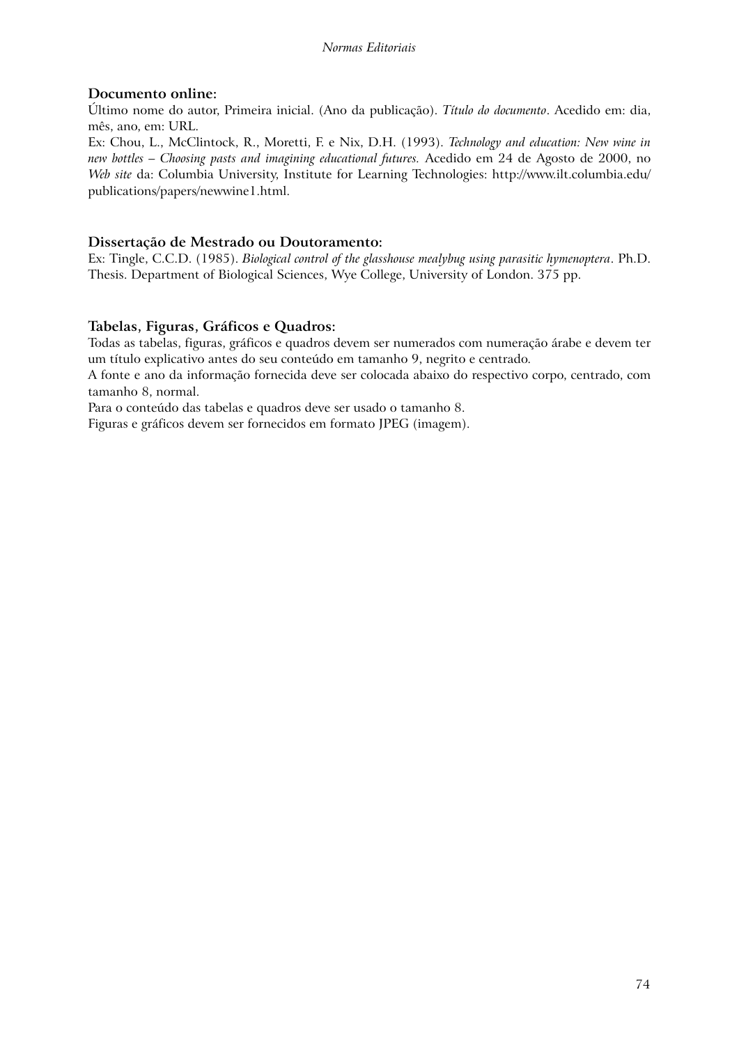## **Documento online:**

Último nome do autor, Primeira inicial. (Ano da publicação). *Título do documento*. Acedido em: dia, mês, ano, em: URL.

Ex: Chou, L., McClintock, R., Moretti, F. e Nix, D.H. (1993). *Technology and education: New wine in new bottles – Choosing pasts and imagining educational futures.* Acedido em 24 de Agosto de 2000, no *Web site* da: Columbia University, Institute for Learning Technologies: http://www.ilt.columbia.edu/ publications/papers/newwine1.html.

## **Dissertação de Mestrado ou Doutoramento:**

Ex: Tingle, C.C.D. (1985). *Biological control of the glasshouse mealybug using parasitic hymenoptera*. Ph.D. Thesis. Department of Biological Sciences, Wye College, University of London. 375 pp.

## **Tabelas, Figuras, Gráficos e Quadros:**

Todas as tabelas, figuras, gráficos e quadros devem ser numerados com numeração árabe e devem ter um título explicativo antes do seu conteúdo em tamanho 9, negrito e centrado.

A fonte e ano da informação fornecida deve ser colocada abaixo do respectivo corpo, centrado, com tamanho 8, normal.

Para o conteúdo das tabelas e quadros deve ser usado o tamanho 8.

Figuras e gráficos devem ser fornecidos em formato JPEG (imagem).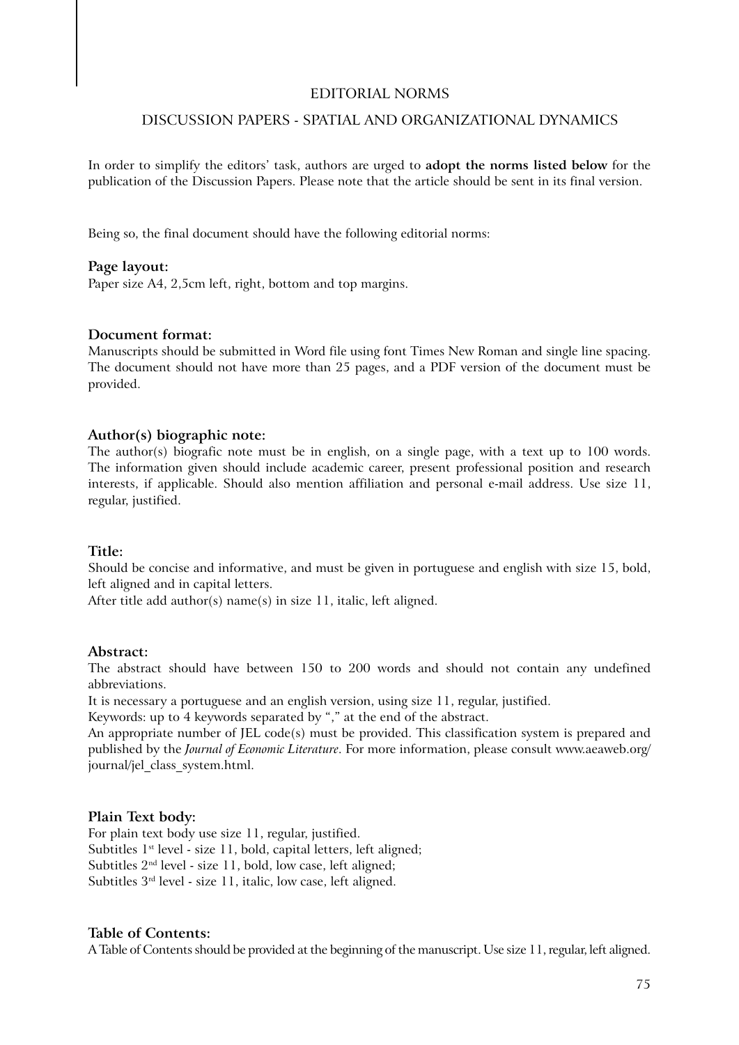### EditoriaL NORMS

## DISCUSSION PAPERS - spatial and organizational dynamics

In order to simplify the editors' task, authors are urged to **adopt the norms listed below** for the publication of the Discussion Papers. Please note that the article should be sent in its final version.

Being so, the final document should have the following editorial norms:

#### **Page layout:**

Paper size A4, 2,5cm left, right, bottom and top margins.

#### **Document format:**

Manuscripts should be submitted in Word file using font Times New Roman and single line spacing. The document should not have more than 25 pages, and a PDF version of the document must be provided.

#### **Author(s) biographic note:**

The author(s) biografic note must be in english, on a single page, with a text up to 100 words. The information given should include academic career, present professional position and research interests, if applicable. Should also mention affiliation and personal e-mail address. Use size 11, regular, justified.

#### **Title:**

Should be concise and informative, and must be given in portuguese and english with size 15, bold, left aligned and in capital letters.

After title add author(s) name(s) in size 11, italic, left aligned.

### **Abstract:**

The abstract should have between 150 to 200 words and should not contain any undefined abbreviations.

It is necessary a portuguese and an english version, using size 11, regular, justified.

Keywords: up to 4 keywords separated by "," at the end of the abstract.

An appropriate number of JEL code(s) must be provided. This classification system is prepared and published by the *Journal of Economic Literature*. For more information, please consult www.aeaweb.org/ journal/jel\_class\_system.html.

### **Plain Text body:**

For plain text body use size 11, regular, justified. Subtitles 1<sup>st</sup> level - size 11, bold, capital letters, left aligned; Subtitles 2<sup>nd</sup> level - size 11, bold, low case, left aligned; Subtitles 3<sup>rd</sup> level - size 11, italic, low case, left aligned.

#### **Table of Contents:**

A Table of Contents should be provided at the beginning of the manuscript. Use size 11, regular, left aligned.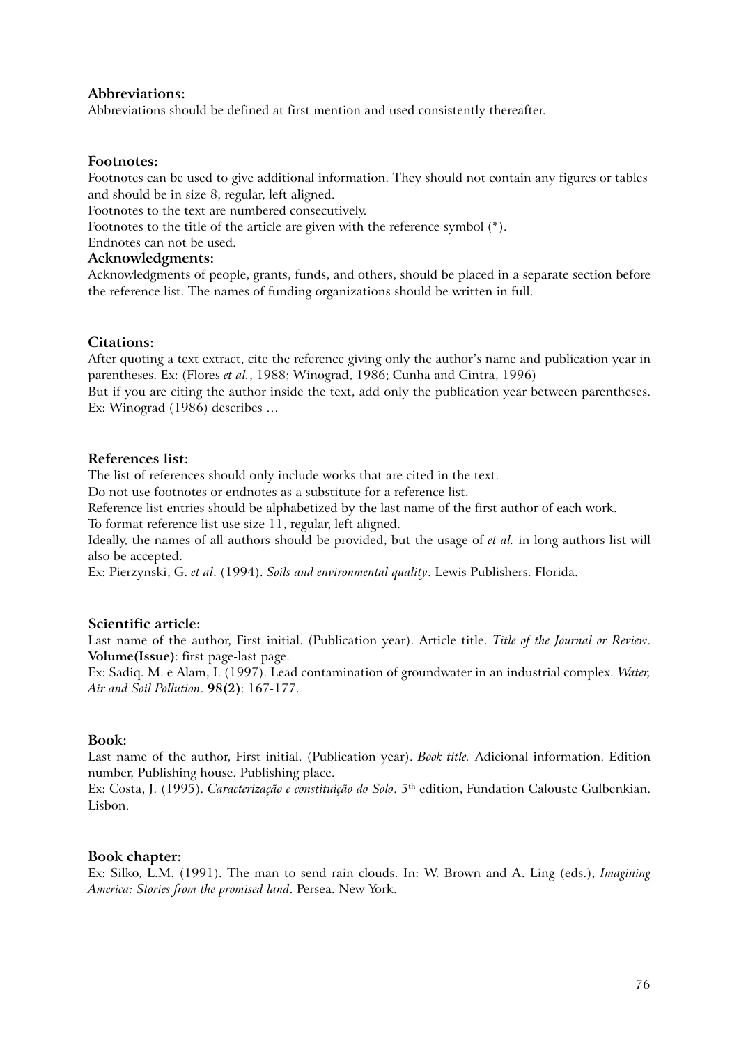### **Abbreviations:**

Abbreviations should be defined at first mention and used consistently thereafter.

## **Footnotes:**

Footnotes can be used to give additional information. They should not contain any figures or tables and should be in size 8, regular, left aligned.

Footnotes to the text are numbered consecutively.

Footnotes to the title of the article are given with the reference symbol (\*).

Endnotes can not be used.

### **Acknowledgments:**

Acknowledgments of people, grants, funds, and others, should be placed in a separate section before the reference list. The names of funding organizations should be written in full.

## **Citations:**

After quoting a text extract, cite the reference giving only the author's name and publication year in parentheses. Ex: (Flores *et al.*, 1988; Winograd, 1986; Cunha and Cintra, 1996) But if you are citing the author inside the text, add only the publication year between parentheses. Ex: Winograd (1986) describes …

## **References list:**

The list of references should only include works that are cited in the text.

Do not use footnotes or endnotes as a substitute for a reference list.

Reference list entries should be alphabetized by the last name of the first author of each work.

To format reference list use size 11, regular, left aligned.

Ideally, the names of all authors should be provided, but the usage of *et al.* in long authors list will also be accepted.

Ex: Pierzynski, G. *et al*. (1994). *Soils and environmental quality*. Lewis Publishers. Florida.

### **Scientific article:**

Last name of the author, First initial. (Publication year). Article title. *Title of the Journal or Review*. **Volume(Issue)**: first page-last page.

Ex: Sadiq. M. e Alam, I. (1997). Lead contamination of groundwater in an industrial complex. *Water, Air and Soil Pollution*. **98(2)**: 167-177.

### **Book:**

Last name of the author, First initial. (Publication year). *Book title.* Adicional information. Edition number, Publishing house. Publishing place.

Ex: Costa, J. (1995). *Caracterização e constituição do Solo*. 5th edition, Fundation Calouste Gulbenkian. Lisbon.

### **Book chapter:**

Ex: Silko, L.M. (1991). The man to send rain clouds. In: W. Brown and A. Ling (eds.), *Imagining America: Stories from the promised land*. Persea. New York.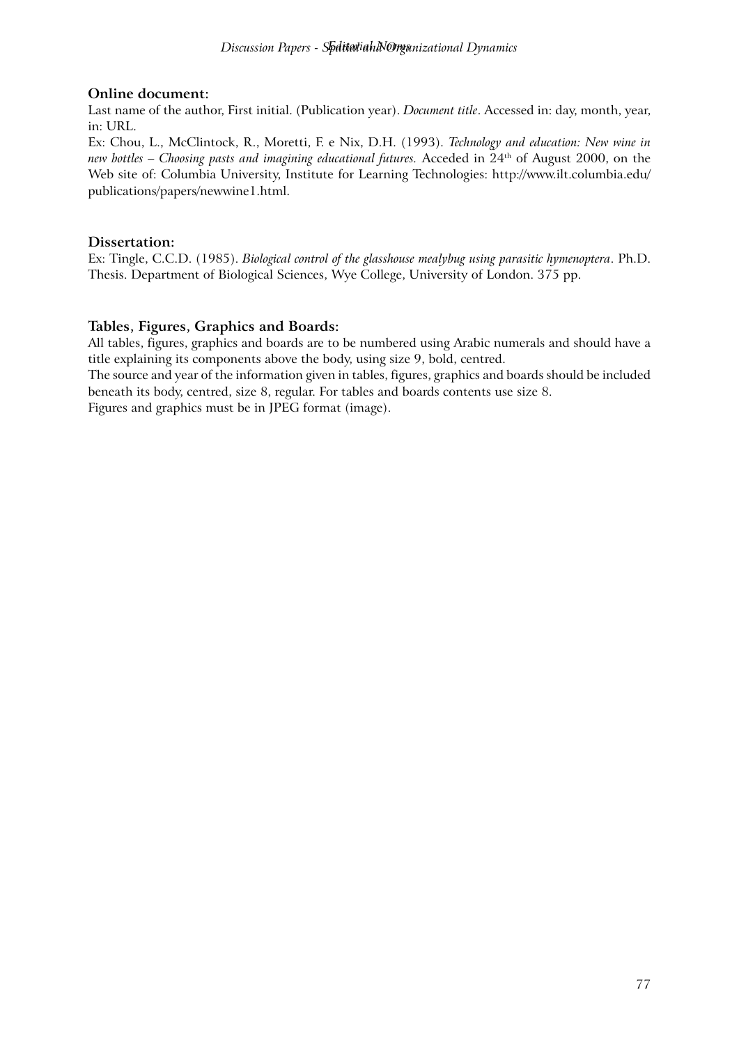## **Online document:**

Last name of the author, First initial. (Publication year). *Document title*. Accessed in: day, month, year, in: URL.

Ex: Chou, L., McClintock, R., Moretti, F. e Nix, D.H. (1993). *Technology and education: New wine in new bottles – Choosing pasts and imagining educational futures.* Acceded in 24th of August 2000, on the Web site of: Columbia University, Institute for Learning Technologies: http://www.ilt.columbia.edu/ publications/papers/newwine1.html.

## **Dissertation:**

Ex: Tingle, C.C.D. (1985). *Biological control of the glasshouse mealybug using parasitic hymenoptera*. Ph.D. Thesis. Department of Biological Sciences, Wye College, University of London. 375 pp.

## **Tables, Figures, Graphics and Boards:**

All tables, figures, graphics and boards are to be numbered using Arabic numerals and should have a title explaining its components above the body, using size 9, bold, centred.

The source and year of the information given in tables, figures, graphics and boards should be included beneath its body, centred, size 8, regular. For tables and boards contents use size 8.

Figures and graphics must be in JPEG format (image).